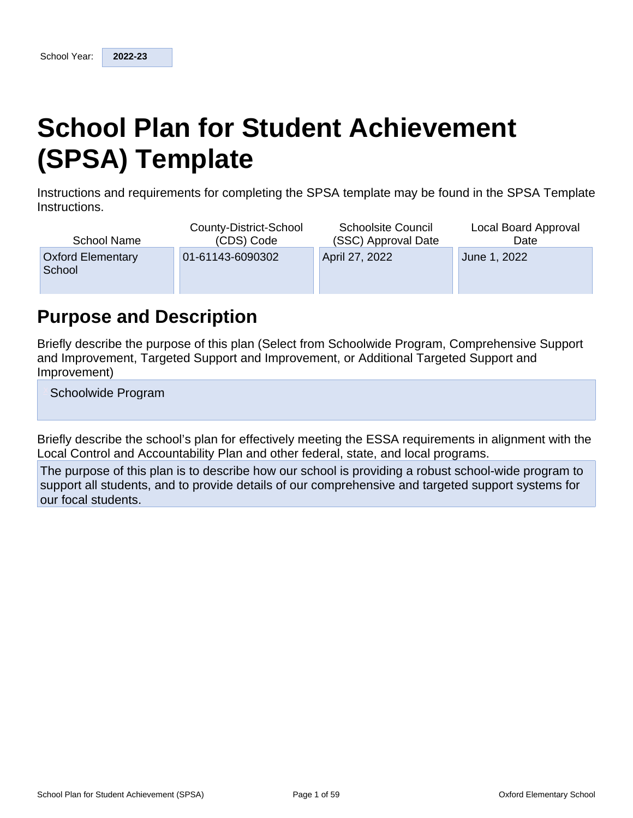# **School Plan for Student Achievement (SPSA) Template**

Instructions and requirements for completing the SPSA template may be found in the SPSA Template Instructions.

| <b>School Name</b>                 | County-District-School | <b>Schoolsite Council</b> | Local Board Approval |
|------------------------------------|------------------------|---------------------------|----------------------|
|                                    | (CDS) Code             | (SSC) Approval Date       | Date                 |
| <b>Oxford Elementary</b><br>School | 01-61143-6090302       | April 27, 2022            | June 1, 2022         |

## **Purpose and Description**

Briefly describe the purpose of this plan (Select from Schoolwide Program, Comprehensive Support and Improvement, Targeted Support and Improvement, or Additional Targeted Support and Improvement)

Schoolwide Program

Briefly describe the school's plan for effectively meeting the ESSA requirements in alignment with the Local Control and Accountability Plan and other federal, state, and local programs.

The purpose of this plan is to describe how our school is providing a robust school-wide program to support all students, and to provide details of our comprehensive and targeted support systems for our focal students.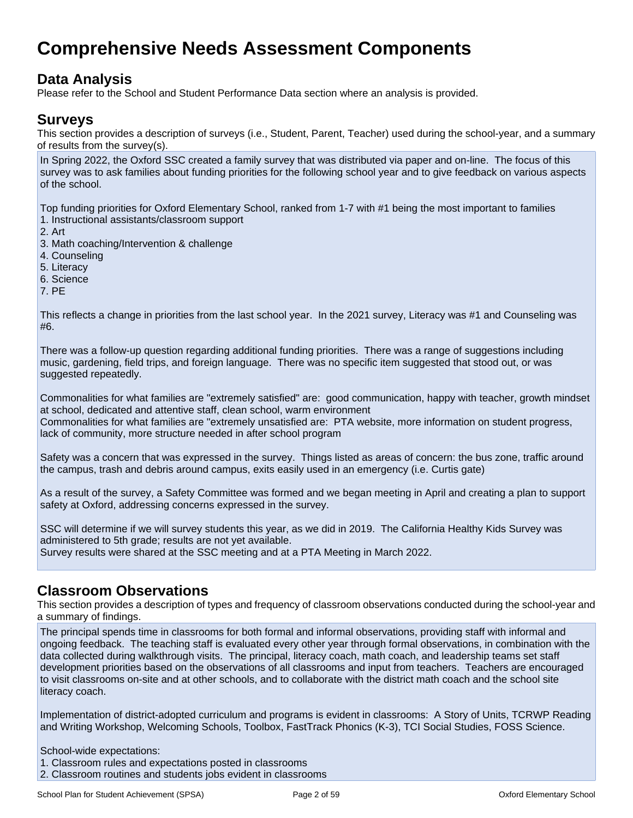## **Comprehensive Needs Assessment Components**

## **Data Analysis**

Please refer to the School and Student Performance Data section where an analysis is provided.

### **Surveys**

This section provides a description of surveys (i.e., Student, Parent, Teacher) used during the school-year, and a summary of results from the survey(s).

In Spring 2022, the Oxford SSC created a family survey that was distributed via paper and on-line. The focus of this survey was to ask families about funding priorities for the following school year and to give feedback on various aspects of the school.

Top funding priorities for Oxford Elementary School, ranked from 1-7 with #1 being the most important to families 1. Instructional assistants/classroom support

- 2. Art
- 3. Math coaching/Intervention & challenge
- 4. Counseling
- 5. Literacy
- 6. Science
- 7. PE

This reflects a change in priorities from the last school year. In the 2021 survey, Literacy was #1 and Counseling was #6.

There was a follow-up question regarding additional funding priorities. There was a range of suggestions including music, gardening, field trips, and foreign language. There was no specific item suggested that stood out, or was suggested repeatedly.

Commonalities for what families are "extremely satisfied" are: good communication, happy with teacher, growth mindset at school, dedicated and attentive staff, clean school, warm environment

Commonalities for what families are "extremely unsatisfied are: PTA website, more information on student progress, lack of community, more structure needed in after school program

Safety was a concern that was expressed in the survey. Things listed as areas of concern: the bus zone, traffic around the campus, trash and debris around campus, exits easily used in an emergency (i.e. Curtis gate)

As a result of the survey, a Safety Committee was formed and we began meeting in April and creating a plan to support safety at Oxford, addressing concerns expressed in the survey.

SSC will determine if we will survey students this year, as we did in 2019. The California Healthy Kids Survey was administered to 5th grade; results are not yet available. Survey results were shared at the SSC meeting and at a PTA Meeting in March 2022.

### **Classroom Observations**

This section provides a description of types and frequency of classroom observations conducted during the school-year and a summary of findings.

The principal spends time in classrooms for both formal and informal observations, providing staff with informal and ongoing feedback. The teaching staff is evaluated every other year through formal observations, in combination with the data collected during walkthrough visits. The principal, literacy coach, math coach, and leadership teams set staff development priorities based on the observations of all classrooms and input from teachers. Teachers are encouraged to visit classrooms on-site and at other schools, and to collaborate with the district math coach and the school site literacy coach.

Implementation of district-adopted curriculum and programs is evident in classrooms: A Story of Units, TCRWP Reading and Writing Workshop, Welcoming Schools, Toolbox, FastTrack Phonics (K-3), TCI Social Studies, FOSS Science.

School-wide expectations: 1. Classroom rules and expectations posted in classrooms 2. Classroom routines and students jobs evident in classrooms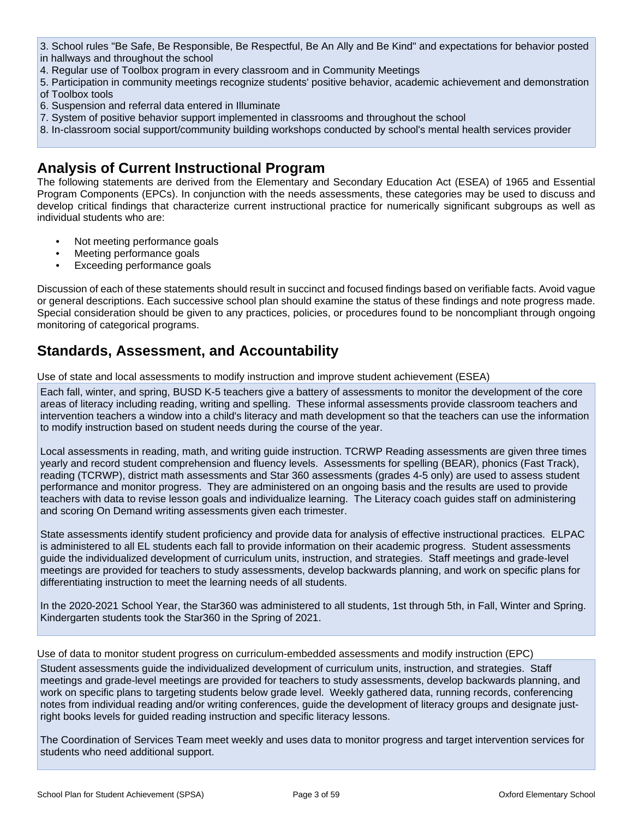- 3. School rules "Be Safe, Be Responsible, Be Respectful, Be An Ally and Be Kind" and expectations for behavior posted in hallways and throughout the school
- 4. Regular use of Toolbox program in every classroom and in Community Meetings
- 5. Participation in community meetings recognize students' positive behavior, academic achievement and demonstration of Toolbox tools
- 6. Suspension and referral data entered in Illuminate
- 7. System of positive behavior support implemented in classrooms and throughout the school
- 8. In-classroom social support/community building workshops conducted by school's mental health services provider

### **Analysis of Current Instructional Program**

The following statements are derived from the Elementary and Secondary Education Act (ESEA) of 1965 and Essential Program Components (EPCs). In conjunction with the needs assessments, these categories may be used to discuss and develop critical findings that characterize current instructional practice for numerically significant subgroups as well as individual students who are:

- Not meeting performance goals
- Meeting performance goals
- Exceeding performance goals

Discussion of each of these statements should result in succinct and focused findings based on verifiable facts. Avoid vague or general descriptions. Each successive school plan should examine the status of these findings and note progress made. Special consideration should be given to any practices, policies, or procedures found to be noncompliant through ongoing monitoring of categorical programs.

### **Standards, Assessment, and Accountability**

Use of state and local assessments to modify instruction and improve student achievement (ESEA)

Each fall, winter, and spring, BUSD K-5 teachers give a battery of assessments to monitor the development of the core areas of literacy including reading, writing and spelling. These informal assessments provide classroom teachers and intervention teachers a window into a child's literacy and math development so that the teachers can use the information to modify instruction based on student needs during the course of the year.

Local assessments in reading, math, and writing guide instruction. TCRWP Reading assessments are given three times yearly and record student comprehension and fluency levels. Assessments for spelling (BEAR), phonics (Fast Track), reading (TCRWP), district math assessments and Star 360 assessments (grades 4-5 only) are used to assess student performance and monitor progress. They are administered on an ongoing basis and the results are used to provide teachers with data to revise lesson goals and individualize learning. The Literacy coach guides staff on administering and scoring On Demand writing assessments given each trimester.

State assessments identify student proficiency and provide data for analysis of effective instructional practices. ELPAC is administered to all EL students each fall to provide information on their academic progress. Student assessments guide the individualized development of curriculum units, instruction, and strategies. Staff meetings and grade-level meetings are provided for teachers to study assessments, develop backwards planning, and work on specific plans for differentiating instruction to meet the learning needs of all students.

In the 2020-2021 School Year, the Star360 was administered to all students, 1st through 5th, in Fall, Winter and Spring. Kindergarten students took the Star360 in the Spring of 2021.

Use of data to monitor student progress on curriculum-embedded assessments and modify instruction (EPC)

Student assessments guide the individualized development of curriculum units, instruction, and strategies. Staff meetings and grade-level meetings are provided for teachers to study assessments, develop backwards planning, and work on specific plans to targeting students below grade level. Weekly gathered data, running records, conferencing notes from individual reading and/or writing conferences, guide the development of literacy groups and designate justright books levels for guided reading instruction and specific literacy lessons.

The Coordination of Services Team meet weekly and uses data to monitor progress and target intervention services for students who need additional support.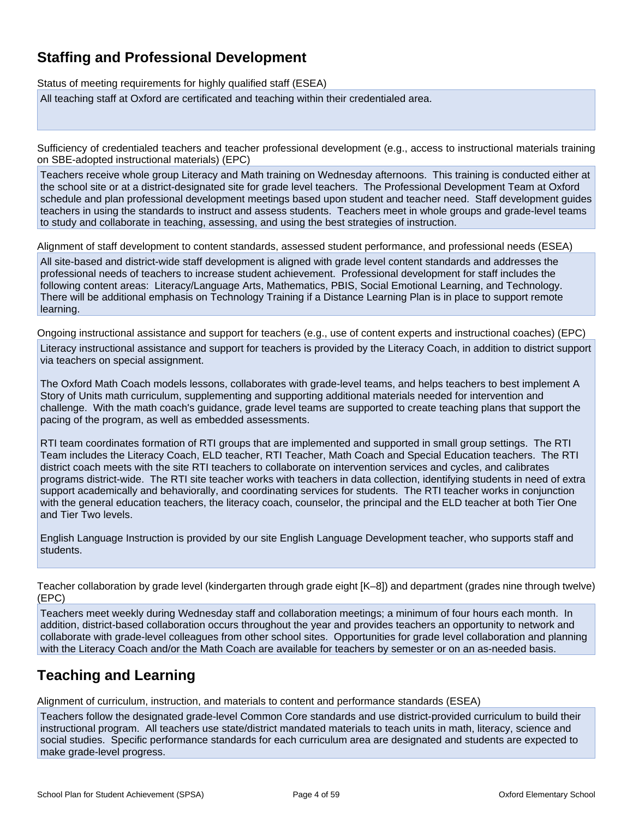## **Staffing and Professional Development**

Status of meeting requirements for highly qualified staff (ESEA) All teaching staff at Oxford are certificated and teaching within their credentialed area.

Sufficiency of credentialed teachers and teacher professional development (e.g., access to instructional materials training on SBE-adopted instructional materials) (EPC)

Teachers receive whole group Literacy and Math training on Wednesday afternoons. This training is conducted either at the school site or at a district-designated site for grade level teachers. The Professional Development Team at Oxford schedule and plan professional development meetings based upon student and teacher need. Staff development guides teachers in using the standards to instruct and assess students. Teachers meet in whole groups and grade-level teams to study and collaborate in teaching, assessing, and using the best strategies of instruction.

Alignment of staff development to content standards, assessed student performance, and professional needs (ESEA)

All site-based and district-wide staff development is aligned with grade level content standards and addresses the professional needs of teachers to increase student achievement. Professional development for staff includes the following content areas: Literacy/Language Arts, Mathematics, PBIS, Social Emotional Learning, and Technology. There will be additional emphasis on Technology Training if a Distance Learning Plan is in place to support remote learning.

Ongoing instructional assistance and support for teachers (e.g., use of content experts and instructional coaches) (EPC) Literacy instructional assistance and support for teachers is provided by the Literacy Coach, in addition to district support via teachers on special assignment.

The Oxford Math Coach models lessons, collaborates with grade-level teams, and helps teachers to best implement A Story of Units math curriculum, supplementing and supporting additional materials needed for intervention and challenge. With the math coach's guidance, grade level teams are supported to create teaching plans that support the pacing of the program, as well as embedded assessments.

RTI team coordinates formation of RTI groups that are implemented and supported in small group settings. The RTI Team includes the Literacy Coach, ELD teacher, RTI Teacher, Math Coach and Special Education teachers. The RTI district coach meets with the site RTI teachers to collaborate on intervention services and cycles, and calibrates programs district-wide. The RTI site teacher works with teachers in data collection, identifying students in need of extra support academically and behaviorally, and coordinating services for students. The RTI teacher works in conjunction with the general education teachers, the literacy coach, counselor, the principal and the ELD teacher at both Tier One and Tier Two levels.

English Language Instruction is provided by our site English Language Development teacher, who supports staff and students.

Teacher collaboration by grade level (kindergarten through grade eight [K–8]) and department (grades nine through twelve) (EPC)

Teachers meet weekly during Wednesday staff and collaboration meetings; a minimum of four hours each month. In addition, district-based collaboration occurs throughout the year and provides teachers an opportunity to network and collaborate with grade-level colleagues from other school sites. Opportunities for grade level collaboration and planning with the Literacy Coach and/or the Math Coach are available for teachers by semester or on an as-needed basis.

### **Teaching and Learning**

Alignment of curriculum, instruction, and materials to content and performance standards (ESEA)

Teachers follow the designated grade-level Common Core standards and use district-provided curriculum to build their instructional program. All teachers use state/district mandated materials to teach units in math, literacy, science and social studies. Specific performance standards for each curriculum area are designated and students are expected to make grade-level progress.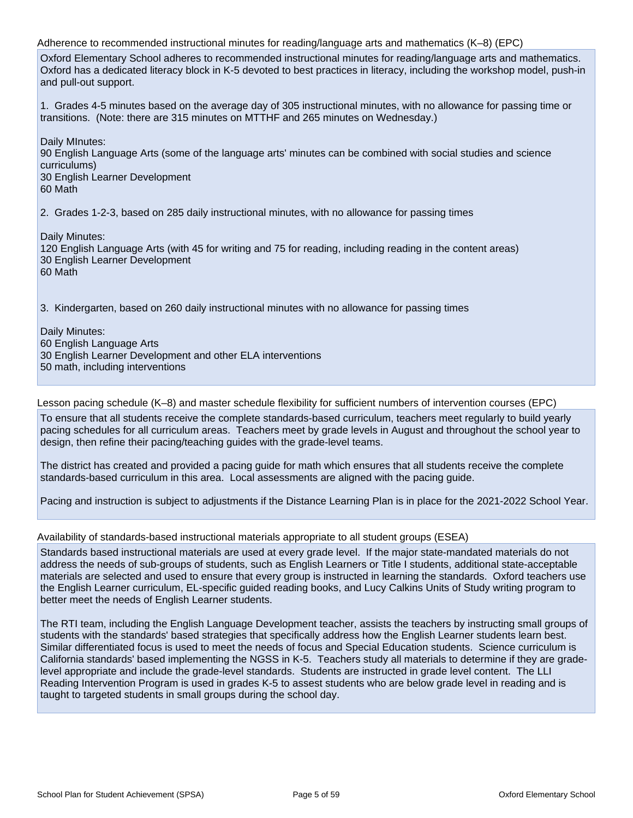Adherence to recommended instructional minutes for reading/language arts and mathematics (K–8) (EPC) Oxford Elementary School adheres to recommended instructional minutes for reading/language arts and mathematics. Oxford has a dedicated literacy block in K-5 devoted to best practices in literacy, including the workshop model, push-in and pull-out support. 1. Grades 4-5 minutes based on the average day of 305 instructional minutes, with no allowance for passing time or transitions. (Note: there are 315 minutes on MTTHF and 265 minutes on Wednesday.) Daily MInutes: 90 English Language Arts (some of the language arts' minutes can be combined with social studies and science curriculums) 30 English Learner Development 60 Math 2. Grades 1-2-3, based on 285 daily instructional minutes, with no allowance for passing times Daily Minutes: 120 English Language Arts (with 45 for writing and 75 for reading, including reading in the content areas) 30 English Learner Development 60 Math 3. Kindergarten, based on 260 daily instructional minutes with no allowance for passing times

Daily Minutes: 60 English Language Arts 30 English Learner Development and other ELA interventions 50 math, including interventions

Lesson pacing schedule (K–8) and master schedule flexibility for sufficient numbers of intervention courses (EPC)

To ensure that all students receive the complete standards-based curriculum, teachers meet regularly to build yearly pacing schedules for all curriculum areas. Teachers meet by grade levels in August and throughout the school year to design, then refine their pacing/teaching guides with the grade-level teams.

The district has created and provided a pacing guide for math which ensures that all students receive the complete standards-based curriculum in this area. Local assessments are aligned with the pacing guide.

Pacing and instruction is subject to adjustments if the Distance Learning Plan is in place for the 2021-2022 School Year.

Availability of standards-based instructional materials appropriate to all student groups (ESEA)

Standards based instructional materials are used at every grade level. If the major state-mandated materials do not address the needs of sub-groups of students, such as English Learners or Title I students, additional state-acceptable materials are selected and used to ensure that every group is instructed in learning the standards. Oxford teachers use the English Learner curriculum, EL-specific guided reading books, and Lucy Calkins Units of Study writing program to better meet the needs of English Learner students.

The RTI team, including the English Language Development teacher, assists the teachers by instructing small groups of students with the standards' based strategies that specifically address how the English Learner students learn best. Similar differentiated focus is used to meet the needs of focus and Special Education students. Science curriculum is California standards' based implementing the NGSS in K-5. Teachers study all materials to determine if they are gradelevel appropriate and include the grade-level standards. Students are instructed in grade level content. The LLI Reading Intervention Program is used in grades K-5 to assest students who are below grade level in reading and is taught to targeted students in small groups during the school day.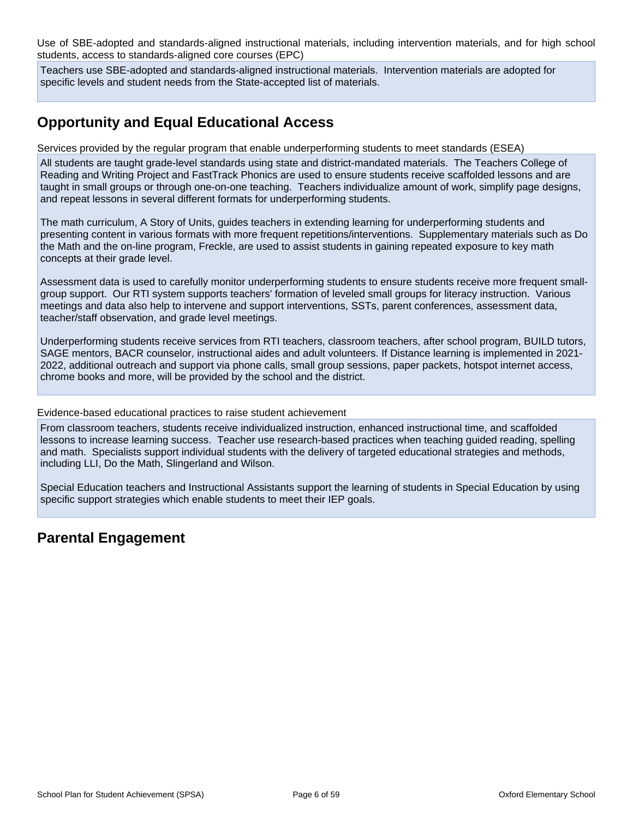Use of SBE-adopted and standards-aligned instructional materials, including intervention materials, and for high school students, access to standards-aligned core courses (EPC)

Teachers use SBE-adopted and standards-aligned instructional materials. Intervention materials are adopted for specific levels and student needs from the State-accepted list of materials.

## **Opportunity and Equal Educational Access**

Services provided by the regular program that enable underperforming students to meet standards (ESEA)

All students are taught grade-level standards using state and district-mandated materials. The Teachers College of Reading and Writing Project and FastTrack Phonics are used to ensure students receive scaffolded lessons and are taught in small groups or through one-on-one teaching. Teachers individualize amount of work, simplify page designs, and repeat lessons in several different formats for underperforming students.

The math curriculum, A Story of Units, guides teachers in extending learning for underperforming students and presenting content in various formats with more frequent repetitions/interventions. Supplementary materials such as Do the Math and the on-line program, Freckle, are used to assist students in gaining repeated exposure to key math concepts at their grade level.

Assessment data is used to carefully monitor underperforming students to ensure students receive more frequent smallgroup support. Our RTI system supports teachers' formation of leveled small groups for literacy instruction. Various meetings and data also help to intervene and support interventions, SSTs, parent conferences, assessment data, teacher/staff observation, and grade level meetings.

Underperforming students receive services from RTI teachers, classroom teachers, after school program, BUILD tutors, SAGE mentors, BACR counselor, instructional aides and adult volunteers. If Distance learning is implemented in 2021- 2022, additional outreach and support via phone calls, small group sessions, paper packets, hotspot internet access, chrome books and more, will be provided by the school and the district.

Evidence-based educational practices to raise student achievement

From classroom teachers, students receive individualized instruction, enhanced instructional time, and scaffolded lessons to increase learning success. Teacher use research-based practices when teaching guided reading, spelling and math. Specialists support individual students with the delivery of targeted educational strategies and methods, including LLI, Do the Math, Slingerland and Wilson.

Special Education teachers and Instructional Assistants support the learning of students in Special Education by using specific support strategies which enable students to meet their IEP goals.

### **Parental Engagement**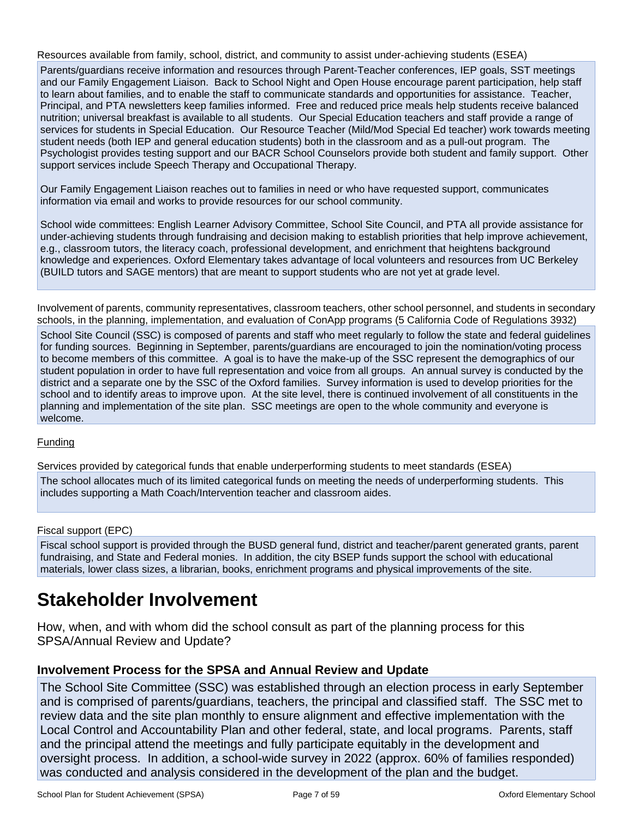Resources available from family, school, district, and community to assist under-achieving students (ESEA)

Parents/guardians receive information and resources through Parent-Teacher conferences, IEP goals, SST meetings and our Family Engagement Liaison. Back to School Night and Open House encourage parent participation, help staff to learn about families, and to enable the staff to communicate standards and opportunities for assistance. Teacher, Principal, and PTA newsletters keep families informed. Free and reduced price meals help students receive balanced nutrition; universal breakfast is available to all students. Our Special Education teachers and staff provide a range of services for students in Special Education. Our Resource Teacher (Mild/Mod Special Ed teacher) work towards meeting student needs (both IEP and general education students) both in the classroom and as a pull-out program. The Psychologist provides testing support and our BACR School Counselors provide both student and family support. Other support services include Speech Therapy and Occupational Therapy.

Our Family Engagement Liaison reaches out to families in need or who have requested support, communicates information via email and works to provide resources for our school community.

School wide committees: English Learner Advisory Committee, School Site Council, and PTA all provide assistance for under-achieving students through fundraising and decision making to establish priorities that help improve achievement, e.g., classroom tutors, the literacy coach, professional development, and enrichment that heightens background knowledge and experiences. Oxford Elementary takes advantage of local volunteers and resources from UC Berkeley (BUILD tutors and SAGE mentors) that are meant to support students who are not yet at grade level.

Involvement of parents, community representatives, classroom teachers, other school personnel, and students in secondary schools, in the planning, implementation, and evaluation of ConApp programs (5 California Code of Regulations 3932)

School Site Council (SSC) is composed of parents and staff who meet regularly to follow the state and federal guidelines for funding sources. Beginning in September, parents/guardians are encouraged to join the nomination/voting process to become members of this committee. A goal is to have the make-up of the SSC represent the demographics of our student population in order to have full representation and voice from all groups. An annual survey is conducted by the district and a separate one by the SSC of the Oxford families. Survey information is used to develop priorities for the school and to identify areas to improve upon. At the site level, there is continued involvement of all constituents in the planning and implementation of the site plan. SSC meetings are open to the whole community and everyone is welcome.

#### Funding

Services provided by categorical funds that enable underperforming students to meet standards (ESEA)

The school allocates much of its limited categorical funds on meeting the needs of underperforming students. This includes supporting a Math Coach/Intervention teacher and classroom aides.

#### Fiscal support (EPC)

Fiscal school support is provided through the BUSD general fund, district and teacher/parent generated grants, parent fundraising, and State and Federal monies. In addition, the city BSEP funds support the school with educational materials, lower class sizes, a librarian, books, enrichment programs and physical improvements of the site.

## **Stakeholder Involvement**

How, when, and with whom did the school consult as part of the planning process for this SPSA/Annual Review and Update?

#### **Involvement Process for the SPSA and Annual Review and Update**

The School Site Committee (SSC) was established through an election process in early September and is comprised of parents/guardians, teachers, the principal and classified staff. The SSC met to review data and the site plan monthly to ensure alignment and effective implementation with the Local Control and Accountability Plan and other federal, state, and local programs. Parents, staff and the principal attend the meetings and fully participate equitably in the development and oversight process. In addition, a school-wide survey in 2022 (approx. 60% of families responded) was conducted and analysis considered in the development of the plan and the budget.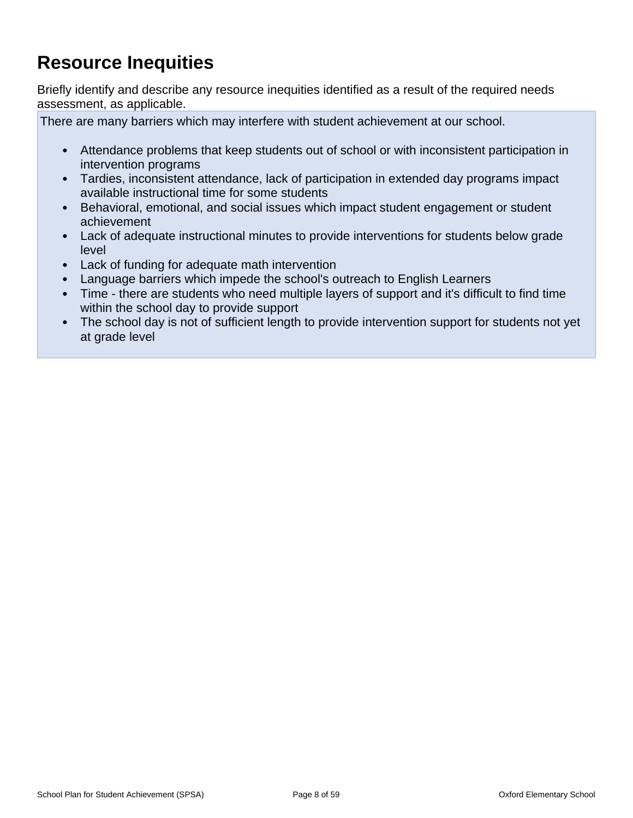## **Resource Inequities**

Briefly identify and describe any resource inequities identified as a result of the required needs assessment, as applicable.

There are many barriers which may interfere with student achievement at our school.

- Attendance problems that keep students out of school or with inconsistent participation in intervention programs
- Tardies, inconsistent attendance, lack of participation in extended day programs impact available instructional time for some students
- Behavioral, emotional, and social issues which impact student engagement or student achievement
- Lack of adequate instructional minutes to provide interventions for students below grade level
- Lack of funding for adequate math intervention
- Language barriers which impede the school's outreach to English Learners
- Time there are students who need multiple layers of support and it's difficult to find time within the school day to provide support
- The school day is not of sufficient length to provide intervention support for students not yet at grade level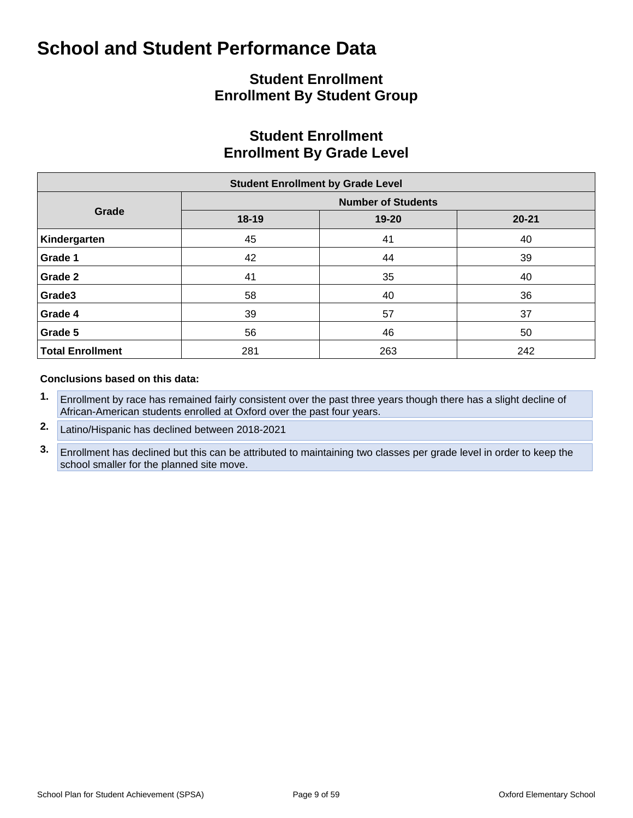## **Student Enrollment Enrollment By Student Group**

### **Student Enrollment Enrollment By Grade Level**

| <b>Student Enrollment by Grade Level</b> |       |                           |           |  |  |  |  |  |  |  |  |
|------------------------------------------|-------|---------------------------|-----------|--|--|--|--|--|--|--|--|
|                                          |       | <b>Number of Students</b> |           |  |  |  |  |  |  |  |  |
| Grade                                    | 18-19 | 19-20                     | $20 - 21$ |  |  |  |  |  |  |  |  |
| Kindergarten                             | 45    | 41                        | 40        |  |  |  |  |  |  |  |  |
| Grade 1                                  | 42    | 44                        | 39        |  |  |  |  |  |  |  |  |
| Grade 2                                  | 41    | 35                        | 40        |  |  |  |  |  |  |  |  |
| Grade3                                   | 58    | 40                        | 36        |  |  |  |  |  |  |  |  |
| Grade 4                                  | 39    | 57                        | 37        |  |  |  |  |  |  |  |  |
| Grade 5                                  | 56    | 46                        | 50        |  |  |  |  |  |  |  |  |
| <b>Total Enrollment</b>                  | 281   | 263                       | 242       |  |  |  |  |  |  |  |  |

#### **Conclusions based on this data:**

- **1.** Enrollment by race has remained fairly consistent over the past three years though there has a slight decline of African-American students enrolled at Oxford over the past four years.
- **2.** Latino/Hispanic has declined between 2018-2021
- **3.** Enrollment has declined but this can be attributed to maintaining two classes per grade level in order to keep the school smaller for the planned site move.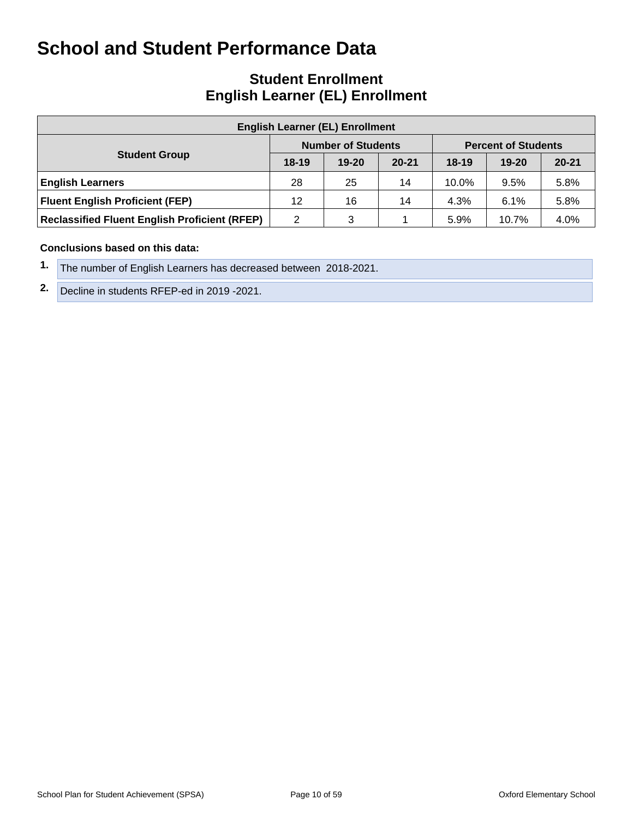### **Student Enrollment English Learner (EL) Enrollment**

| <b>English Learner (EL) Enrollment</b>               |         |                           |           |         |                            |           |  |  |  |  |  |  |
|------------------------------------------------------|---------|---------------------------|-----------|---------|----------------------------|-----------|--|--|--|--|--|--|
|                                                      |         | <b>Number of Students</b> |           |         | <b>Percent of Students</b> |           |  |  |  |  |  |  |
| <b>Student Group</b>                                 | $18-19$ | $19 - 20$                 | $20 - 21$ | $18-19$ | $19 - 20$                  | $20 - 21$ |  |  |  |  |  |  |
| <b>English Learners</b>                              | 28      | 25                        | 14        | 10.0%   | 9.5%                       | 5.8%      |  |  |  |  |  |  |
| <b>Fluent English Proficient (FEP)</b>               | 12      | 16                        | 14        | 4.3%    | 6.1%                       | 5.8%      |  |  |  |  |  |  |
| <b>Reclassified Fluent English Proficient (RFEP)</b> | 2       | 3                         |           | 5.9%    | 10.7%                      | 4.0%      |  |  |  |  |  |  |

#### **Conclusions based on this data:**

- **1.** The number of English Learners has decreased between 2018-2021.
- **2.** Decline in students RFEP-ed in 2019 -2021.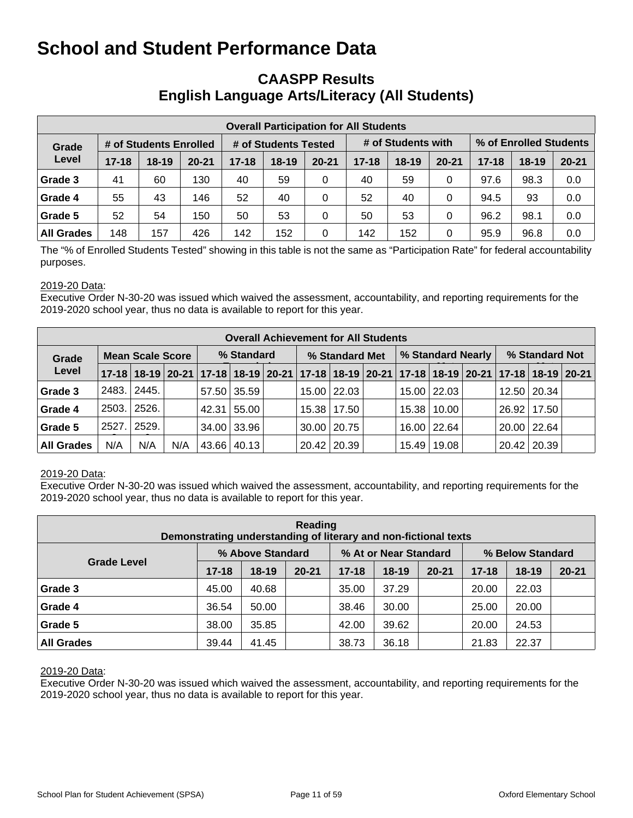### **CAASPP Results English Language Arts/Literacy (All Students)**

| <b>Overall Participation for All Students</b> |           |                        |           |           |                      |           |           |                    |           |                        |           |           |  |
|-----------------------------------------------|-----------|------------------------|-----------|-----------|----------------------|-----------|-----------|--------------------|-----------|------------------------|-----------|-----------|--|
| Grade                                         |           | # of Students Enrolled |           |           | # of Students Tested |           |           | # of Students with |           | % of Enrolled Students |           |           |  |
| Level                                         | $17 - 18$ | $18 - 19$              | $20 - 21$ | $17 - 18$ | $18 - 19$            | $20 - 21$ | $17 - 18$ | $18 - 19$          | $20 - 21$ | $17 - 18$              | $18 - 19$ | $20 - 21$ |  |
| Grade 3                                       | 41        | 60                     | 130       | 40        | 59                   | $\Omega$  | 40        | 59                 | 0         | 97.6                   | 98.3      | 0.0       |  |
| Grade 4                                       | 55        | 43                     | 146       | 52        | 40                   | 0         | 52        | 40                 | 0         | 94.5                   | 93        | 0.0       |  |
| Grade 5                                       | 52        | 54                     | 150       | 50        | 53                   | 0         | 50        | 53                 | 0         | 96.2                   | 98.1      | 0.0       |  |
| <b>All Grades</b>                             | 148       | 157                    | 426       | 142       | 152                  | 0         | 142       | 152                | 0         | 95.9                   | 96.8      | 0.0       |  |

The "% of Enrolled Students Tested" showing in this table is not the same as "Participation Rate" for federal accountability purposes.

#### 2019-20 Data:

Executive Order N-30-20 was issued which waived the assessment, accountability, and reporting requirements for the 2019-2020 school year, thus no data is available to report for this year.

|                   | <b>Overall Achievement for All Students</b> |                         |     |            |             |  |                |                    |  |                   |               |  |                |                                                                                           |  |
|-------------------|---------------------------------------------|-------------------------|-----|------------|-------------|--|----------------|--------------------|--|-------------------|---------------|--|----------------|-------------------------------------------------------------------------------------------|--|
| Grade             |                                             | <b>Mean Scale Score</b> |     | % Standard |             |  | % Standard Met |                    |  | % Standard Nearly |               |  | % Standard Not |                                                                                           |  |
| Level             |                                             |                         |     |            |             |  |                |                    |  |                   |               |  |                | 17-18 18-19 20-21 17-18 18-19 20-21 17-18 18-19 20-21 17-18 18-19 20-21 17-18 18-19 20-21 |  |
| Grade 3           | 2483.                                       | 2445.                   |     |            | 57.50 35.59 |  |                | 15.00   22.03      |  |                   | 15.00 22.03   |  |                | 12.50 20.34                                                                               |  |
| Grade 4           |                                             | 2503. 2526.             |     | 42.31      | 55.00       |  |                | 15.38   17.50      |  |                   | 15.38   10.00 |  | 26.92          | 17.50                                                                                     |  |
| Grade 5           | 2527.1                                      | 2529.                   |     |            | 34.00 33.96 |  |                | $30.00$   20.75    |  |                   | 16.00   22.64 |  | 20.00   22.64  |                                                                                           |  |
| <b>All Grades</b> | N/A                                         | N/A                     | N/A |            | 43.66 40.13 |  |                | $20.42 \mid 20.39$ |  |                   | 15.49   19.08 |  | 20.42   20.39  |                                                                                           |  |

#### 2019-20 Data:

Executive Order N-30-20 was issued which waived the assessment, accountability, and reporting requirements for the 2019-2020 school year, thus no data is available to report for this year.

| Reading<br>Demonstrating understanding of literary and non-fictional texts |           |                  |           |           |                       |           |                  |           |           |  |  |  |  |
|----------------------------------------------------------------------------|-----------|------------------|-----------|-----------|-----------------------|-----------|------------------|-----------|-----------|--|--|--|--|
|                                                                            |           | % Above Standard |           |           | % At or Near Standard |           | % Below Standard |           |           |  |  |  |  |
| <b>Grade Level</b>                                                         | $17 - 18$ | $18 - 19$        | $20 - 21$ | $17 - 18$ | $18 - 19$             | $20 - 21$ | $17 - 18$        | $18 - 19$ | $20 - 21$ |  |  |  |  |
| Grade 3                                                                    | 45.00     | 40.68            |           | 35.00     | 37.29                 |           | 20.00            | 22.03     |           |  |  |  |  |
| Grade 4                                                                    | 36.54     | 50.00            |           | 38.46     | 30.00                 |           | 25.00            | 20.00     |           |  |  |  |  |
| Grade 5                                                                    | 38.00     | 35.85            |           | 42.00     | 39.62                 |           | 20.00            | 24.53     |           |  |  |  |  |
| <b>All Grades</b>                                                          | 39.44     | 41.45            |           | 38.73     | 36.18                 |           | 21.83            | 22.37     |           |  |  |  |  |

#### 2019-20 Data: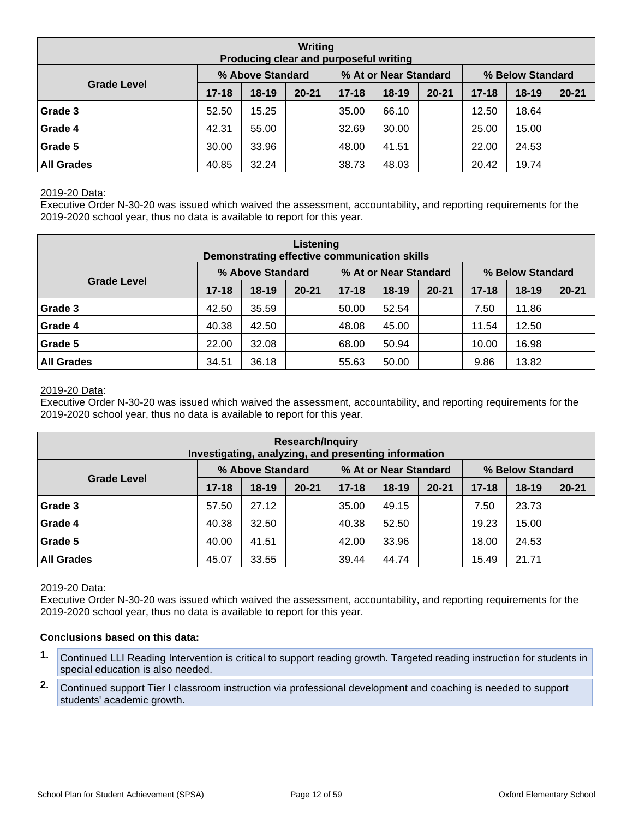| Writing<br>Producing clear and purposeful writing |           |                  |           |           |                       |           |                  |           |           |  |  |  |  |
|---------------------------------------------------|-----------|------------------|-----------|-----------|-----------------------|-----------|------------------|-----------|-----------|--|--|--|--|
|                                                   |           | % Above Standard |           |           | % At or Near Standard |           | % Below Standard |           |           |  |  |  |  |
| <b>Grade Level</b>                                | $17 - 18$ | $18-19$          | $20 - 21$ | $17 - 18$ | $18 - 19$             | $20 - 21$ | $17 - 18$        | $18 - 19$ | $20 - 21$ |  |  |  |  |
| Grade 3                                           | 52.50     | 15.25            |           | 35.00     | 66.10                 |           | 12.50            | 18.64     |           |  |  |  |  |
| Grade 4                                           | 42.31     | 55.00            |           | 32.69     | 30.00                 |           | 25.00            | 15.00     |           |  |  |  |  |
| Grade 5                                           | 30.00     | 33.96            |           | 48.00     | 41.51                 |           | 22.00            | 24.53     |           |  |  |  |  |
| <b>All Grades</b>                                 | 40.85     | 32.24            |           | 38.73     | 48.03                 |           | 20.42            | 19.74     |           |  |  |  |  |

Executive Order N-30-20 was issued which waived the assessment, accountability, and reporting requirements for the 2019-2020 school year, thus no data is available to report for this year.

| Listening<br>Demonstrating effective communication skills |           |                  |           |           |                       |           |                  |           |           |  |  |  |  |
|-----------------------------------------------------------|-----------|------------------|-----------|-----------|-----------------------|-----------|------------------|-----------|-----------|--|--|--|--|
|                                                           |           | % Above Standard |           |           | % At or Near Standard |           | % Below Standard |           |           |  |  |  |  |
| <b>Grade Level</b>                                        | $17 - 18$ | $18-19$          | $20 - 21$ | $17 - 18$ | $18 - 19$             | $20 - 21$ | $17 - 18$        | $18 - 19$ | $20 - 21$ |  |  |  |  |
| Grade 3                                                   | 42.50     | 35.59            |           | 50.00     | 52.54                 |           | 7.50             | 11.86     |           |  |  |  |  |
| Grade 4                                                   | 40.38     | 42.50            |           | 48.08     | 45.00                 |           | 11.54            | 12.50     |           |  |  |  |  |
| Grade 5                                                   | 22.00     | 32.08            |           | 68.00     | 50.94                 |           | 10.00            | 16.98     |           |  |  |  |  |
| <b>All Grades</b>                                         | 34.51     | 36.18            |           | 55.63     | 50.00                 |           | 9.86             | 13.82     |           |  |  |  |  |

#### 2019-20 Data:

Executive Order N-30-20 was issued which waived the assessment, accountability, and reporting requirements for the 2019-2020 school year, thus no data is available to report for this year.

| <b>Research/Inquiry</b><br>Investigating, analyzing, and presenting information |           |                  |           |           |                       |           |                  |           |           |  |  |  |  |
|---------------------------------------------------------------------------------|-----------|------------------|-----------|-----------|-----------------------|-----------|------------------|-----------|-----------|--|--|--|--|
|                                                                                 |           | % Above Standard |           |           | % At or Near Standard |           | % Below Standard |           |           |  |  |  |  |
| <b>Grade Level</b>                                                              | $17 - 18$ | $18-19$          | $20 - 21$ | $17 - 18$ | $18-19$               | $20 - 21$ | $17 - 18$        | $18 - 19$ | $20 - 21$ |  |  |  |  |
| Grade 3                                                                         | 57.50     | 27.12            |           | 35.00     | 49.15                 |           | 7.50             | 23.73     |           |  |  |  |  |
| Grade 4                                                                         | 40.38     | 32.50            |           | 40.38     | 52.50                 |           | 19.23            | 15.00     |           |  |  |  |  |
| Grade 5                                                                         | 40.00     | 41.51            |           | 42.00     | 33.96                 |           | 18.00            | 24.53     |           |  |  |  |  |
| <b>All Grades</b>                                                               | 45.07     | 33.55            |           | 39.44     | 44.74                 |           | 15.49            | 21.71     |           |  |  |  |  |

#### 2019-20 Data:

Executive Order N-30-20 was issued which waived the assessment, accountability, and reporting requirements for the 2019-2020 school year, thus no data is available to report for this year.

#### **Conclusions based on this data:**

- **1.** Continued LLI Reading Intervention is critical to support reading growth. Targeted reading instruction for students in special education is also needed.
- **2.** Continued support Tier I classroom instruction via professional development and coaching is needed to support students' academic growth.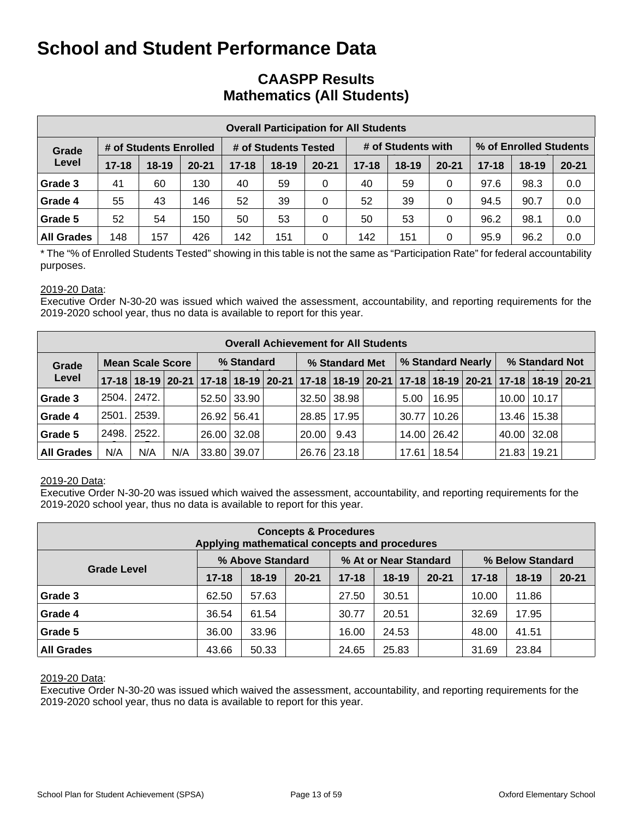### **CAASPP Results Mathematics (All Students)**

|                   | <b>Overall Participation for All Students</b> |                        |           |           |                      |           |           |                    |           |                        |           |           |  |  |
|-------------------|-----------------------------------------------|------------------------|-----------|-----------|----------------------|-----------|-----------|--------------------|-----------|------------------------|-----------|-----------|--|--|
| Grade             |                                               | # of Students Enrolled |           |           | # of Students Tested |           |           | # of Students with |           | % of Enrolled Students |           |           |  |  |
| Level             | $17 - 18$                                     | $18 - 19$              | $20 - 21$ | $17 - 18$ | $18 - 19$            | $20 - 21$ | $17 - 18$ | $18-19$            | $20 - 21$ | $17 - 18$              | $18 - 19$ | $20 - 21$ |  |  |
| Grade 3           | 41                                            | 60                     | 130       | 40        | 59                   | 0         | 40        | 59                 | 0         | 97.6                   | 98.3      | 0.0       |  |  |
| Grade 4           | 55                                            | 43                     | 146       | 52        | 39                   | $\Omega$  | 52        | 39                 | 0         | 94.5                   | 90.7      | 0.0       |  |  |
| Grade 5           | 52                                            | 54                     | 150       | 50        | 53                   | 0         | 50        | 53                 | 0         | 96.2                   | 98.1      | 0.0       |  |  |
| <b>All Grades</b> | 148                                           | 157                    | 426       | 142       | 151                  | $\Omega$  | 142       | 151                | 0         | 95.9                   | 96.2      | 0.0       |  |  |

\* The "% of Enrolled Students Tested" showing in this table is not the same as "Participation Rate" for federal accountability purposes.

#### 2019-20 Data:

Executive Order N-30-20 was issued which waived the assessment, accountability, and reporting requirements for the 2019-2020 school year, thus no data is available to report for this year.

|                   | <b>Overall Achievement for All Students</b> |                         |     |             |             |  |                |               |  |                   |               |  |                |                                                                                           |  |
|-------------------|---------------------------------------------|-------------------------|-----|-------------|-------------|--|----------------|---------------|--|-------------------|---------------|--|----------------|-------------------------------------------------------------------------------------------|--|
| Grade             |                                             | <b>Mean Scale Score</b> |     | % Standard  |             |  | % Standard Met |               |  | % Standard Nearly |               |  | % Standard Not |                                                                                           |  |
| Level             |                                             |                         |     |             |             |  |                |               |  |                   |               |  |                | 17-18 18-19 20-21 17-18 18-19 20-21 17-18 18-19 20-21 17-18 18-19 20-21 17-18 18-19 20-21 |  |
| Grade 3           | 2504.                                       | 2472.                   |     |             | 52.50 33.90 |  |                | 32.50 38.98   |  | 5.00              | 16.95         |  |                | $10.00$   10.17                                                                           |  |
| Grade 4           | 2501.                                       | 2539.                   |     | 26.92 56.41 |             |  |                | 28.85   17.95 |  | 30.77             | 10.26         |  | 13.46   15.38  |                                                                                           |  |
| Grade 5           | 2498.                                       | 2522.                   |     |             | 26.00 32.08 |  | 20.00          | 9.43          |  |                   | 14.00   26.42 |  | $40.00$ 32.08  |                                                                                           |  |
| <b>All Grades</b> | N/A                                         | N/A                     | N/A | 33.80 39.07 |             |  |                | 26.76 23.18   |  | 17.61             | 18.54         |  | 21.83          | 19.21                                                                                     |  |

#### 2019-20 Data:

Executive Order N-30-20 was issued which waived the assessment, accountability, and reporting requirements for the 2019-2020 school year, thus no data is available to report for this year.

| <b>Concepts &amp; Procedures</b><br>Applying mathematical concepts and procedures |           |                  |           |           |                       |           |                  |           |           |  |  |  |  |
|-----------------------------------------------------------------------------------|-----------|------------------|-----------|-----------|-----------------------|-----------|------------------|-----------|-----------|--|--|--|--|
|                                                                                   |           | % Above Standard |           |           | % At or Near Standard |           | % Below Standard |           |           |  |  |  |  |
| <b>Grade Level</b>                                                                | $17 - 18$ | $18-19$          | $20 - 21$ | $17 - 18$ | $18 - 19$             | $20 - 21$ | $17 - 18$        | $18 - 19$ | $20 - 21$ |  |  |  |  |
| Grade 3                                                                           | 62.50     | 57.63            |           | 27.50     | 30.51                 |           | 10.00            | 11.86     |           |  |  |  |  |
| Grade 4                                                                           | 36.54     | 61.54            |           | 30.77     | 20.51                 |           | 32.69            | 17.95     |           |  |  |  |  |
| Grade 5                                                                           | 36.00     | 33.96            |           | 16.00     | 24.53                 |           | 48.00            | 41.51     |           |  |  |  |  |
| <b>All Grades</b>                                                                 | 43.66     | 50.33            |           | 24.65     | 25.83                 |           | 31.69            | 23.84     |           |  |  |  |  |

#### 2019-20 Data: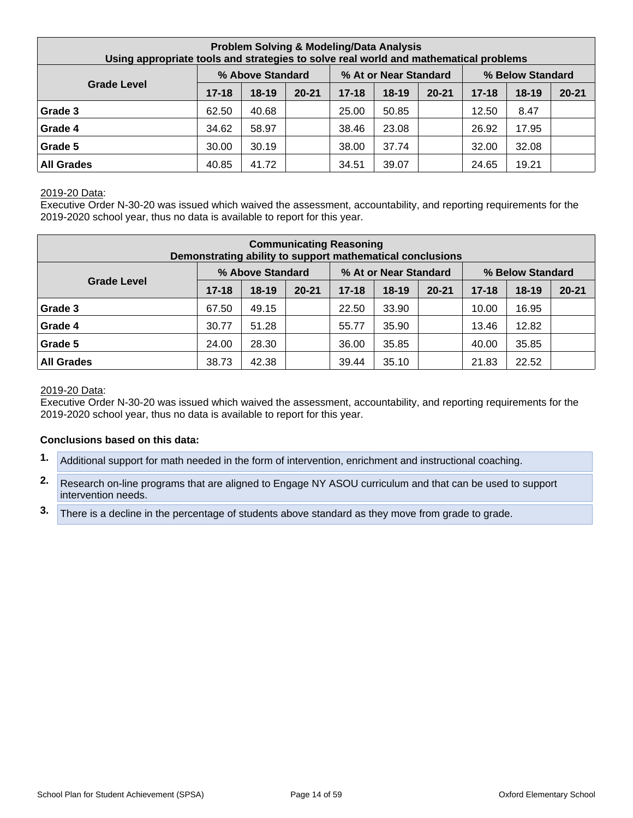| <b>Problem Solving &amp; Modeling/Data Analysis</b><br>Using appropriate tools and strategies to solve real world and mathematical problems |           |                  |           |           |                       |           |           |                  |           |  |  |
|---------------------------------------------------------------------------------------------------------------------------------------------|-----------|------------------|-----------|-----------|-----------------------|-----------|-----------|------------------|-----------|--|--|
|                                                                                                                                             |           | % Above Standard |           |           | % At or Near Standard |           |           | % Below Standard |           |  |  |
| <b>Grade Level</b>                                                                                                                          | $17 - 18$ | $18-19$          | $20 - 21$ | $17 - 18$ | $18-19$               | $20 - 21$ | $17 - 18$ | $18 - 19$        | $20 - 21$ |  |  |
| Grade 3                                                                                                                                     | 62.50     | 40.68            |           | 25.00     | 50.85                 |           | 12.50     | 8.47             |           |  |  |
| Grade 4                                                                                                                                     | 34.62     | 58.97            |           | 38.46     | 23.08                 |           | 26.92     | 17.95            |           |  |  |
| Grade 5                                                                                                                                     | 30.00     | 30.19            |           | 38.00     | 37.74                 |           | 32.00     | 32.08            |           |  |  |
| <b>All Grades</b>                                                                                                                           | 40.85     | 41.72            |           | 34.51     | 39.07                 |           | 24.65     | 19.21            |           |  |  |

Executive Order N-30-20 was issued which waived the assessment, accountability, and reporting requirements for the 2019-2020 school year, thus no data is available to report for this year.

| <b>Communicating Reasoning</b><br>Demonstrating ability to support mathematical conclusions |           |                  |           |           |                       |           |           |                  |           |  |  |
|---------------------------------------------------------------------------------------------|-----------|------------------|-----------|-----------|-----------------------|-----------|-----------|------------------|-----------|--|--|
|                                                                                             |           | % Above Standard |           |           | % At or Near Standard |           |           | % Below Standard |           |  |  |
| <b>Grade Level</b>                                                                          | $17 - 18$ | $18 - 19$        | $20 - 21$ | $17 - 18$ | $18 - 19$             | $20 - 21$ | $17 - 18$ | $18 - 19$        | $20 - 21$ |  |  |
| Grade 3                                                                                     | 67.50     | 49.15            |           | 22.50     | 33.90                 |           | 10.00     | 16.95            |           |  |  |
| Grade 4                                                                                     | 30.77     | 51.28            |           | 55.77     | 35.90                 |           | 13.46     | 12.82            |           |  |  |
| Grade 5                                                                                     | 24.00     | 28.30            |           | 36.00     | 35.85                 |           | 40.00     | 35.85            |           |  |  |
| <b>All Grades</b>                                                                           | 38.73     | 42.38            |           | 39.44     | 35.10                 |           | 21.83     | 22.52            |           |  |  |

#### 2019-20 Data:

Executive Order N-30-20 was issued which waived the assessment, accountability, and reporting requirements for the 2019-2020 school year, thus no data is available to report for this year.

#### **Conclusions based on this data:**

- **1.** Additional support for math needed in the form of intervention, enrichment and instructional coaching.
- **2.** Research on-line programs that are aligned to Engage NY ASOU curriculum and that can be used to support intervention needs.
- **3.** There is a decline in the percentage of students above standard as they move from grade to grade.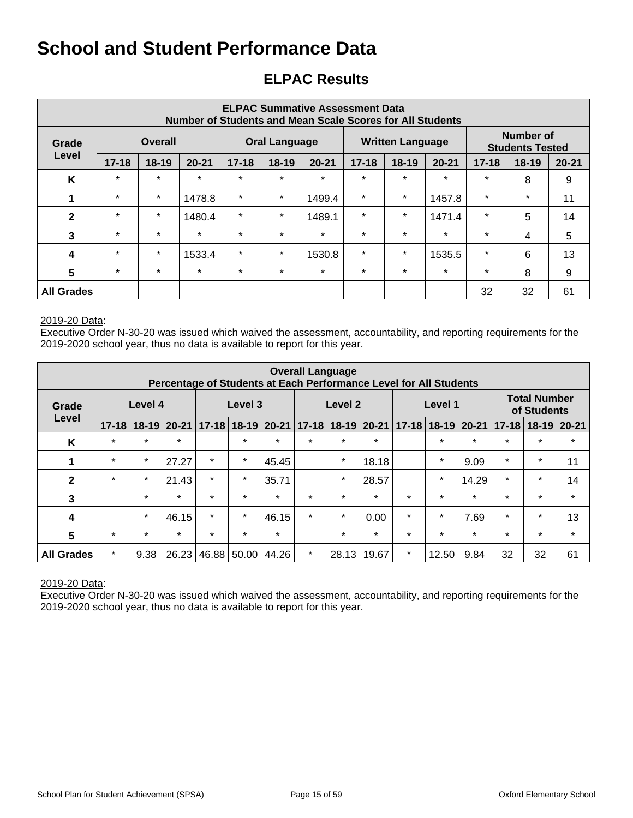## **ELPAC Results**

| <b>ELPAC Summative Assessment Data</b><br><b>Number of Students and Mean Scale Scores for All Students</b> |                         |         |           |           |                      |           |           |                         |           |           |                                     |           |
|------------------------------------------------------------------------------------------------------------|-------------------------|---------|-----------|-----------|----------------------|-----------|-----------|-------------------------|-----------|-----------|-------------------------------------|-----------|
| Grade                                                                                                      | <b>Overall</b><br>Level |         |           |           | <b>Oral Language</b> |           |           | <b>Written Language</b> |           |           | Number of<br><b>Students Tested</b> |           |
|                                                                                                            | $17 - 18$               | $18-19$ | $20 - 21$ | $17 - 18$ | 18-19                | $20 - 21$ | $17 - 18$ | $18-19$                 | $20 - 21$ | $17 - 18$ | $18 - 19$                           | $20 - 21$ |
| K                                                                                                          | $\star$                 | $\star$ | $\star$   | $\star$   | $\star$              | $\star$   | $\star$   | $\star$                 | $\star$   | $\star$   | 8                                   | 9         |
| 1                                                                                                          | $\star$                 | $\star$ | 1478.8    | $\star$   | $\star$              | 1499.4    | $\star$   | $\star$                 | 1457.8    | $\star$   | $\star$                             | 11        |
| $\mathbf{2}$                                                                                               | $\star$                 | $\star$ | 1480.4    | $\star$   | $\star$              | 1489.1    | $\star$   | $\star$                 | 1471.4    | $\star$   | 5                                   | 14        |
| 3                                                                                                          | $\star$                 | $\star$ | $\star$   | $\star$   | $\star$              | $\star$   | $\star$   | $\star$                 | $\star$   | $\star$   | 4                                   | 5         |
| 4                                                                                                          | $\star$                 | $\star$ | 1533.4    | $\star$   | $\star$              | 1530.8    | $\star$   | $\star$                 | 1535.5    | $\star$   | 6                                   | 13        |
| $5\phantom{.0}$                                                                                            | $\star$                 | $\star$ | $\star$   | $\star$   | $\star$              | $\star$   | $\star$   | $\star$                 | $\star$   | $\star$   | 8                                   | 9         |
| <b>All Grades</b>                                                                                          |                         |         |           |           |                      |           |           |                         |           | 32        | 32                                  | 61        |

#### 2019-20 Data:

Executive Order N-30-20 was issued which waived the assessment, accountability, and reporting requirements for the 2019-2020 school year, thus no data is available to report for this year.

| <b>Overall Language</b><br>Percentage of Students at Each Performance Level for All Students |           |         |                 |           |           |           |         |                           |         |           |         |                 |           |                                    |           |
|----------------------------------------------------------------------------------------------|-----------|---------|-----------------|-----------|-----------|-----------|---------|---------------------------|---------|-----------|---------|-----------------|-----------|------------------------------------|-----------|
| Grade                                                                                        |           | Level 4 |                 |           | Level 3   |           |         | Level 2                   |         |           | Level 1 |                 |           | <b>Total Number</b><br>of Students |           |
| Level                                                                                        | $17 - 18$ |         | $18-19$   20-21 | $17 - 18$ | $18 - 19$ | $20 - 21$ |         | $17 - 18$ 18 - 19 20 - 21 |         | $17 - 18$ |         | $18-19$   20-21 | $17 - 18$ | $18 - 19$                          | $20 - 21$ |
| K                                                                                            | $\star$   | $\star$ | $\star$         |           | $\star$   | $\star$   | $\star$ | $\star$                   | $\star$ |           | $\star$ | $\star$         | $\star$   | $\star$                            | $\star$   |
| 1                                                                                            | $\star$   | $\star$ | 27.27           | $\star$   | $\star$   | 45.45     |         | $\star$                   | 18.18   |           | $\star$ | 9.09            | $\star$   | $\star$                            | 11        |
| $\mathbf{2}$                                                                                 | $\star$   | $\star$ | 21.43           | $\star$   | $\star$   | 35.71     |         | $\star$                   | 28.57   |           | $\star$ | 14.29           | $\star$   | $\star$                            | 14        |
| 3                                                                                            |           | $\star$ | $\star$         | $\star$   | $\star$   | $\star$   | $\star$ | $\star$                   | $\star$ | $\star$   | $\star$ | $\star$         | $\star$   | $\star$                            | $\star$   |
| 4                                                                                            |           | $\star$ | 46.15           | $\star$   | $\star$   | 46.15     | $\star$ | $\star$                   | 0.00    | $\star$   | $\star$ | 7.69            | $\star$   | $\star$                            | 13        |
| 5                                                                                            | $\star$   | $\star$ | $\star$         | $\star$   | $\star$   | $\star$   |         | $\star$                   | $\star$ | $\star$   | $\star$ | $\star$         | $\star$   | $\star$                            | $\star$   |
| <b>All Grades</b>                                                                            | $\star$   | 9.38    | 26.23           | 46.88     | 50.00     | 44.26     | $\star$ | 28.13                     | 19.67   | $\ast$    | 12.50   | 9.84            | 32        | 32                                 | 61        |

#### 2019-20 Data: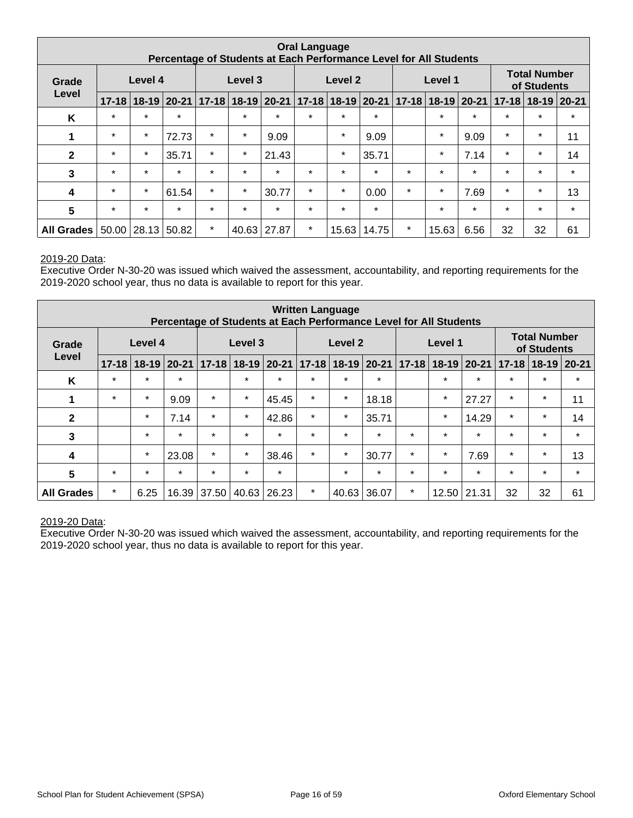| <b>Oral Language</b><br>Percentage of Students at Each Performance Level for All Students |                  |             |         |                               |         |             |                      |         |         |         |                           |         |                                    |                           |         |
|-------------------------------------------------------------------------------------------|------------------|-------------|---------|-------------------------------|---------|-------------|----------------------|---------|---------|---------|---------------------------|---------|------------------------------------|---------------------------|---------|
| Grade                                                                                     | Level 4<br>Level |             |         |                               | Level 3 |             |                      | Level 2 |         |         | Level 1                   |         | <b>Total Number</b><br>of Students |                           |         |
|                                                                                           | $17 - 18$        |             |         | 18-19 20-21 17-18 18-19 20-21 |         |             | $ 17-18 18-19 20-21$ |         |         |         | $17 - 18$ 18 - 19 20 - 21 |         |                                    | $17 - 18$   18-19   20-21 |         |
| K                                                                                         | $\star$          | $\star$     | $\star$ |                               | $\star$ | $\star$     | $\star$              | $\star$ | $\star$ |         | $\star$                   | $\star$ | $\star$                            | $\star$                   | $\star$ |
| 1                                                                                         | $\star$          | $\star$     | 72.73   | $\star$                       | $\star$ | 9.09        |                      | $\star$ | 9.09    |         | $\star$                   | 9.09    | $\star$                            | $\star$                   | 11      |
| $\mathbf{2}$                                                                              | $\star$          | $\star$     | 35.71   | $\star$                       | $\star$ | 21.43       |                      | $\star$ | 35.71   |         | $\star$                   | 7.14    | $\star$                            | $\star$                   | 14      |
| 3                                                                                         | $\star$          | $\star$     | $\star$ | $\star$                       | $\star$ | $\star$     | $\star$              | $\star$ | $\star$ | $\star$ | $\star$                   | $\star$ | $\star$                            | $\star$                   | $\star$ |
| 4                                                                                         | $\star$          | $\star$     | 61.54   | $\star$                       | $\star$ | 30.77       | $\star$              | $\star$ | 0.00    | $\star$ | $\star$                   | 7.69    | $\star$                            | $\star$                   | 13      |
| 5                                                                                         | $\star$          | $\star$     | $\star$ | $\star$                       | $\star$ | $\star$     | $\star$              | $\star$ | $\star$ |         | $\star$                   | $\star$ | $\star$                            | $\star$                   | $\star$ |
| <b>All Grades</b>                                                                         | 50.00            | 28.13 50.82 |         | $\star$                       |         | 40.63 27.87 | $\star$              | 15.63   | 14.75   | $\star$ | 15.63                     | 6.56    | 32                                 | 32                        | 61      |

Executive Order N-30-20 was issued which waived the assessment, accountability, and reporting requirements for the 2019-2020 school year, thus no data is available to report for this year.

| <b>Written Language</b><br>Percentage of Students at Each Performance Level for All Students |           |           |           |           |           |           |           |                    |         |           |         |               |           |                                    |           |  |
|----------------------------------------------------------------------------------------------|-----------|-----------|-----------|-----------|-----------|-----------|-----------|--------------------|---------|-----------|---------|---------------|-----------|------------------------------------|-----------|--|
| Grade                                                                                        |           | Level 4   |           |           | Level 3   |           |           | Level <sub>2</sub> |         |           | Level 1 |               |           | <b>Total Number</b><br>of Students |           |  |
| Level                                                                                        | $17 - 18$ | $18 - 19$ | $20 - 21$ | $17 - 18$ | $18 - 19$ | $20 - 21$ | $17 - 18$ | $18-19$ 20-21      |         | $17 - 18$ |         | $18-19$ 20-21 | $17 - 18$ | $18 - 19$                          | $20 - 21$ |  |
| K                                                                                            | $\star$   | $\star$   | $\star$   |           | $\star$   | $\star$   | $\star$   | $\star$            | $\star$ |           | $\star$ | $\star$       | $\star$   | $\star$                            | $\star$   |  |
| 1                                                                                            | $\star$   | $\star$   | 9.09      | $\star$   | $\star$   | 45.45     | $\star$   | $\star$            | 18.18   |           | $\star$ | 27.27         | $\ast$    | $\star$                            | 11        |  |
| $\mathbf{2}$                                                                                 |           | $\star$   | 7.14      | $\star$   | $\star$   | 42.86     | $\star$   | $\star$            | 35.71   |           | $\star$ | 14.29         | $\star$   | $\star$                            | 14        |  |
| 3                                                                                            |           | $\star$   | $\star$   | $\star$   | $\star$   | $\star$   | $\star$   | $\star$            | $\star$ | $\star$   | $\star$ | $\star$       | $\star$   | $\star$                            | $\star$   |  |
| 4                                                                                            |           | $\star$   | 23.08     | $\star$   | $\star$   | 38.46     | $\star$   | $\star$            | 30.77   | $\star$   | $\star$ | 7.69          | $\star$   | $\ast$                             | 13        |  |
| 5                                                                                            | $\star$   | $\star$   | $\star$   | $\star$   | $\star$   | $\star$   |           | $\star$            | $\star$ | $\star$   | $\star$ | $\star$       | $\star$   | $\star$                            | $\star$   |  |
| <b>All Grades</b>                                                                            | $\star$   | 6.25      | 16.39     | 37.50     | 40.63     | 26.23     | $\star$   | 40.63              | 36.07   | $\ast$    | 12.50   | 21.31         | 32        | 32                                 | 61        |  |

#### 2019-20 Data: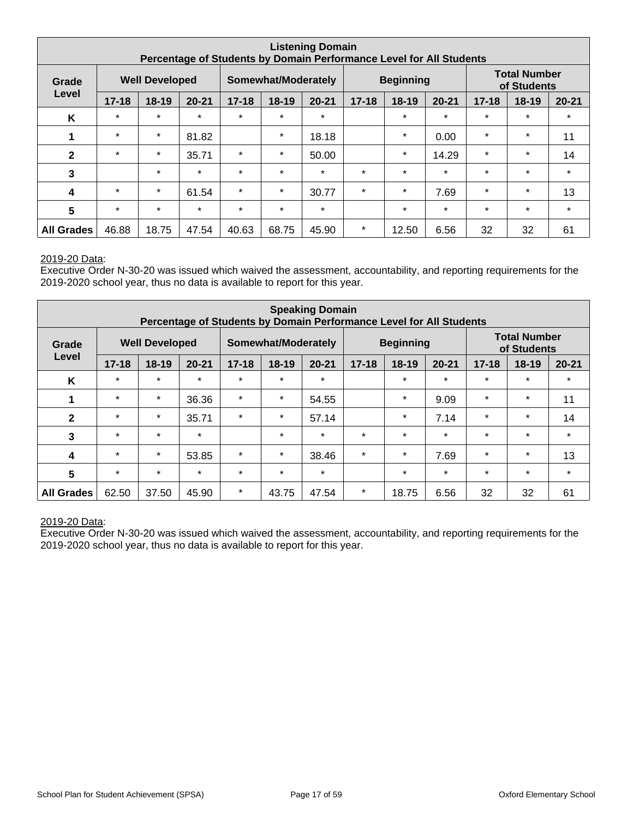| <b>Listening Domain</b><br>Percentage of Students by Domain Performance Level for All Students |           |                       |           |           |                            |           |           |                  |           |           |                                    |           |
|------------------------------------------------------------------------------------------------|-----------|-----------------------|-----------|-----------|----------------------------|-----------|-----------|------------------|-----------|-----------|------------------------------------|-----------|
| Grade                                                                                          |           | <b>Well Developed</b> |           |           | <b>Somewhat/Moderately</b> |           |           | <b>Beginning</b> |           |           | <b>Total Number</b><br>of Students |           |
| Level                                                                                          | $17 - 18$ | $18 - 19$             | $20 - 21$ | $17 - 18$ | 18-19                      | $20 - 21$ | $17 - 18$ | $18-19$          | $20 - 21$ | $17 - 18$ | $18 - 19$                          | $20 - 21$ |
| K                                                                                              | $\star$   | $\star$               | $\star$   | $\star$   | $\star$                    | $\star$   |           | $\star$          | $\star$   | $\star$   | $\ast$                             | $\star$   |
|                                                                                                | $\star$   | $\star$               | 81.82     |           | $\star$                    | 18.18     |           | $\ast$           | 0.00      | $\star$   | $\ast$                             | 11        |
| $\mathbf{2}$                                                                                   | $\star$   | $\star$               | 35.71     | $\star$   | $\star$                    | 50.00     |           | $\star$          | 14.29     | $\star$   | $\star$                            | 14        |
| 3                                                                                              |           | $\star$               | $\star$   | $\star$   | $\star$                    | $\star$   | $\star$   | $\star$          | $\star$   | $\star$   | $\star$                            | $\star$   |
| 4                                                                                              | $\star$   | $\star$               | 61.54     | $\star$   | $\star$                    | 30.77     | $\star$   | $\star$          | 7.69      | $\star$   | $\ast$                             | 13        |
| $5\phantom{.0}$                                                                                | $\star$   | $\star$               | $\star$   | $\star$   | $\star$                    | $\star$   |           | $\star$          | $\star$   | $\star$   | $\ast$                             | $\star$   |
| <b>All Grades</b>                                                                              | 46.88     | 18.75                 | 47.54     | 40.63     | 68.75                      | 45.90     | $\star$   | 12.50            | 6.56      | 32        | 32                                 | 61        |

Executive Order N-30-20 was issued which waived the assessment, accountability, and reporting requirements for the 2019-2020 school year, thus no data is available to report for this year.

| <b>Speaking Domain</b><br>Percentage of Students by Domain Performance Level for All Students |           |                       |           |           |                     |           |           |                  |           |           |                                    |           |
|-----------------------------------------------------------------------------------------------|-----------|-----------------------|-----------|-----------|---------------------|-----------|-----------|------------------|-----------|-----------|------------------------------------|-----------|
| Grade                                                                                         |           | <b>Well Developed</b> |           |           | Somewhat/Moderately |           |           | <b>Beginning</b> |           |           | <b>Total Number</b><br>of Students |           |
| Level                                                                                         | $17 - 18$ | $18-19$               | $20 - 21$ | $17 - 18$ | 18-19               | $20 - 21$ | $17 - 18$ | $18-19$          | $20 - 21$ | $17 - 18$ | $18 - 19$                          | $20 - 21$ |
| K                                                                                             | $\star$   | $\star$               | $\star$   | $\star$   | $\star$             | $\star$   |           | $\star$          | $\star$   | $\star$   | $\star$                            | $\star$   |
| 1                                                                                             | $\star$   | $\star$               | 36.36     | $\star$   | $\star$             | 54.55     |           | $\ast$           | 9.09      | $\star$   | $\star$                            | 11        |
| $\mathbf{2}$                                                                                  | $\star$   | $\star$               | 35.71     | $\star$   | $\star$             | 57.14     |           | $\star$          | 7.14      | $\star$   | $\star$                            | 14        |
| 3                                                                                             | $\star$   | $\star$               | $\star$   |           | $\star$             | $\star$   | $\star$   | $\star$          | $\star$   | $\star$   | $\star$                            | $\star$   |
| 4                                                                                             | $\star$   | $\star$               | 53.85     | $\star$   | $\star$             | 38.46     | $\star$   | $\star$          | 7.69      | $\star$   | $\star$                            | 13        |
| 5                                                                                             | $\star$   | $\star$               | $\star$   | $\star$   | $\star$             | $\star$   |           | $\star$          | $\star$   | $\star$   | $\star$                            | $\star$   |
| <b>All Grades</b>                                                                             | 62.50     | 37.50                 | 45.90     | $\star$   | 43.75               | 47.54     | $\star$   | 18.75            | 6.56      | 32        | 32                                 | 61        |

#### 2019-20 Data: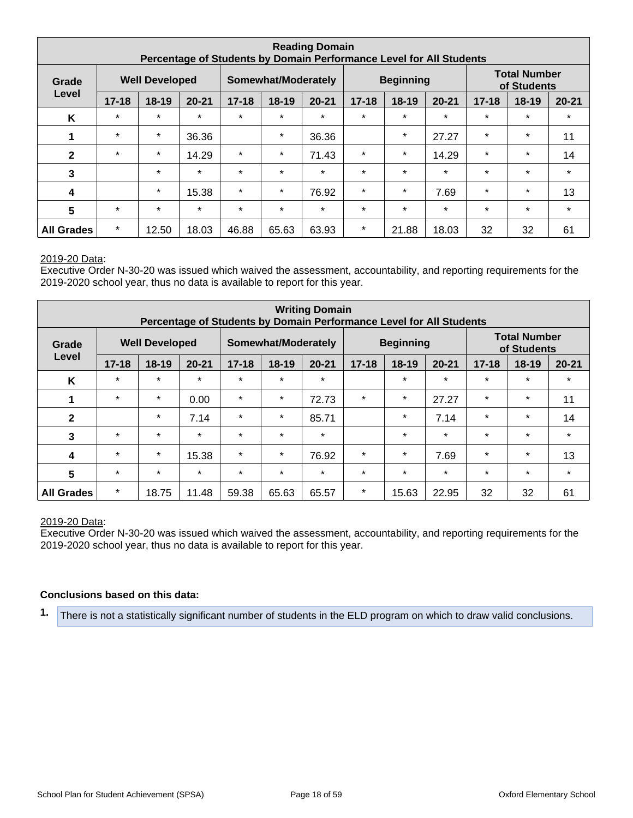| <b>Reading Domain</b><br>Percentage of Students by Domain Performance Level for All Students |                                |         |           |           |                     |           |           |                  |           |           |                                    |           |
|----------------------------------------------------------------------------------------------|--------------------------------|---------|-----------|-----------|---------------------|-----------|-----------|------------------|-----------|-----------|------------------------------------|-----------|
| Grade                                                                                        | <b>Well Developed</b><br>Level |         |           |           | Somewhat/Moderately |           |           | <b>Beginning</b> |           |           | <b>Total Number</b><br>of Students |           |
|                                                                                              | $17 - 18$                      | $18-19$ | $20 - 21$ | $17 - 18$ | 18-19               | $20 - 21$ | $17 - 18$ | 18-19            | $20 - 21$ | $17 - 18$ | 18-19                              | $20 - 21$ |
| K                                                                                            | $\star$                        | $\star$ | $\star$   | $\star$   | $\star$             | $\star$   | $\star$   | $\star$          | $\star$   | $\star$   | $\star$                            | $\star$   |
|                                                                                              | $\star$                        | $\star$ | 36.36     |           | $\star$             | 36.36     |           | $\star$          | 27.27     | $\star$   | $\star$                            | 11        |
| $\mathbf{2}$                                                                                 | $\star$                        | $\star$ | 14.29     | $\star$   | $\star$             | 71.43     | $^\star$  | $\star$          | 14.29     | $\star$   | $\ast$                             | 14        |
| $\mathbf{3}$                                                                                 |                                | $\star$ | $\star$   | $\star$   | $\star$             | $\star$   | $\star$   | $\star$          | $\star$   | $\star$   | $\star$                            | $\star$   |
| $\overline{\mathbf{4}}$                                                                      |                                | $\star$ | 15.38     | $\star$   | $\star$             | 76.92     | $\ast$    | $\ast$           | 7.69      | $\ast$    | $\ast$                             | 13        |
| 5                                                                                            | $\star$                        | $\star$ | $\star$   | $\star$   | $\star$             | $\star$   | $\star$   | $\star$          | $\star$   | $\star$   | $\star$                            | $\star$   |
| <b>All Grades</b>                                                                            | $\star$                        | 12.50   | 18.03     | 46.88     | 65.63               | 63.93     | $\ast$    | 21.88            | 18.03     | 32        | 32                                 | 61        |

Executive Order N-30-20 was issued which waived the assessment, accountability, and reporting requirements for the 2019-2020 school year, thus no data is available to report for this year.

| <b>Writing Domain</b><br>Percentage of Students by Domain Performance Level for All Students |           |                       |           |           |                     |           |           |                  |           |           |                                    |           |
|----------------------------------------------------------------------------------------------|-----------|-----------------------|-----------|-----------|---------------------|-----------|-----------|------------------|-----------|-----------|------------------------------------|-----------|
| Grade                                                                                        |           | <b>Well Developed</b> |           |           | Somewhat/Moderately |           |           | <b>Beginning</b> |           |           | <b>Total Number</b><br>of Students |           |
| Level                                                                                        | $17 - 18$ | $18 - 19$             | $20 - 21$ | $17 - 18$ | 18-19               | $20 - 21$ | $17 - 18$ | $18 - 19$        | $20 - 21$ | $17 - 18$ | $18 - 19$                          | $20 - 21$ |
| K                                                                                            | $\star$   | $\star$               | $\star$   | $\star$   | $\star$             | $\star$   |           | $\star$          | $\star$   | $\star$   | $\star$                            | $\star$   |
| 1                                                                                            | $\star$   | $\star$               | 0.00      | $\star$   | $\star$             | 72.73     | $\ast$    | $\star$          | 27.27     | $\ast$    | $\star$                            | 11        |
| $\mathbf{2}$                                                                                 |           | $\star$               | 7.14      | $\star$   | $\star$             | 85.71     |           | $\ast$           | 7.14      | $\star$   | $\star$                            | 14        |
| 3                                                                                            | $\star$   | $\star$               | $\star$   | $\star$   | $\star$             | $\ast$    |           | $\star$          | $\star$   | $\star$   | $\star$                            | $\star$   |
| 4                                                                                            | $\star$   | $\star$               | 15.38     | $\star$   | $\star$             | 76.92     | $\star$   | $\star$          | 7.69      | $\star$   | $\star$                            | 13        |
| 5                                                                                            | $\star$   | $\star$               | $\star$   | $\star$   | $\star$             | $\star$   | $\star$   | $\star$          | $\star$   | $\star$   | $\star$                            | $\star$   |
| <b>All Grades</b>                                                                            | $\star$   | 18.75                 | 11.48     | 59.38     | 65.63               | 65.57     | $\star$   | 15.63            | 22.95     | 32        | 32                                 | 61        |

#### 2019-20 Data:

Executive Order N-30-20 was issued which waived the assessment, accountability, and reporting requirements for the 2019-2020 school year, thus no data is available to report for this year.

#### **Conclusions based on this data:**

**1.** There is not a statistically significant number of students in the ELD program on which to draw valid conclusions.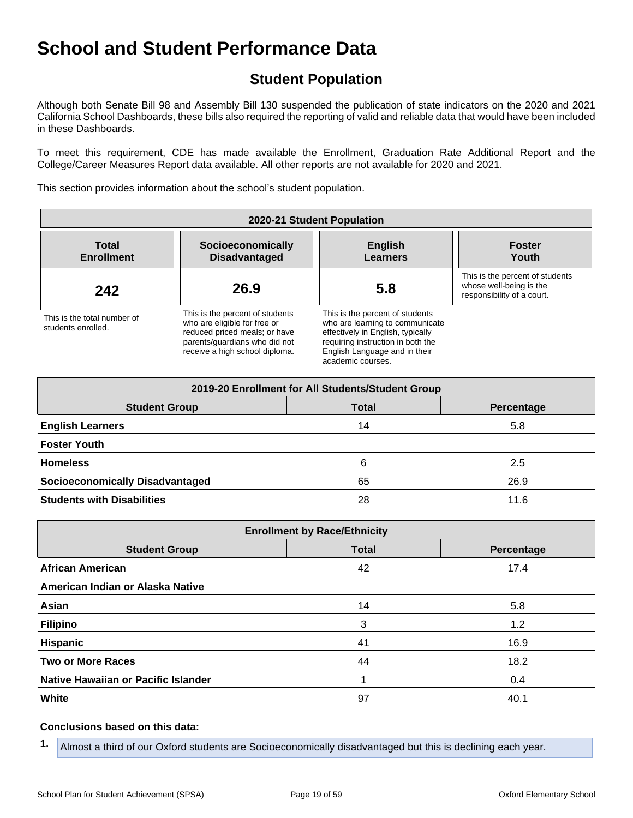## **Student Population**

Although both Senate Bill 98 and Assembly Bill 130 suspended the publication of state indicators on the 2020 and 2021 California School Dashboards, these bills also required the reporting of valid and reliable data that would have been included in these Dashboards.

To meet this requirement, CDE has made available the Enrollment, Graduation Rate Additional Report and the College/Career Measures Report data available. All other reports are not available for 2020 and 2021.

This section provides information about the school's student population.

| 2020-21 Student Population                        |                                                                                                                                                                     |                                                                                                                                                                                                    |                                                                                          |  |  |  |  |  |  |
|---------------------------------------------------|---------------------------------------------------------------------------------------------------------------------------------------------------------------------|----------------------------------------------------------------------------------------------------------------------------------------------------------------------------------------------------|------------------------------------------------------------------------------------------|--|--|--|--|--|--|
| <b>Total</b><br><b>Enrollment</b>                 | Socioeconomically<br><b>Disadvantaged</b>                                                                                                                           | <b>English</b><br><b>Learners</b>                                                                                                                                                                  | <b>Foster</b><br>Youth                                                                   |  |  |  |  |  |  |
| 242                                               | 26.9                                                                                                                                                                | 5.8                                                                                                                                                                                                | This is the percent of students<br>whose well-being is the<br>responsibility of a court. |  |  |  |  |  |  |
| This is the total number of<br>students enrolled. | This is the percent of students<br>who are eligible for free or<br>reduced priced meals; or have<br>parents/quardians who did not<br>receive a high school diploma. | This is the percent of students<br>who are learning to communicate<br>effectively in English, typically<br>requiring instruction in both the<br>English Language and in their<br>academic courses. |                                                                                          |  |  |  |  |  |  |

| 2019-20 Enrollment for All Students/Student Group |              |            |  |  |  |  |  |  |  |
|---------------------------------------------------|--------------|------------|--|--|--|--|--|--|--|
| <b>Student Group</b>                              | <b>Total</b> | Percentage |  |  |  |  |  |  |  |
| <b>English Learners</b>                           | 14           | 5.8        |  |  |  |  |  |  |  |
| <b>Foster Youth</b>                               |              |            |  |  |  |  |  |  |  |
| <b>Homeless</b>                                   | 6            | 2.5        |  |  |  |  |  |  |  |
| <b>Socioeconomically Disadvantaged</b>            | 65           | 26.9       |  |  |  |  |  |  |  |
| <b>Students with Disabilities</b>                 | 28           | 11.6       |  |  |  |  |  |  |  |

| <b>Enrollment by Race/Ethnicity</b>                |    |      |  |  |
|----------------------------------------------------|----|------|--|--|
| <b>Total</b><br><b>Student Group</b><br>Percentage |    |      |  |  |
| <b>African American</b>                            | 42 | 17.4 |  |  |
| American Indian or Alaska Native                   |    |      |  |  |
| Asian                                              | 14 | 5.8  |  |  |
| <b>Filipino</b>                                    | 3  | 1.2  |  |  |
| <b>Hispanic</b>                                    | 41 | 16.9 |  |  |
| <b>Two or More Races</b>                           | 44 | 18.2 |  |  |
| Native Hawaiian or Pacific Islander                |    | 0.4  |  |  |
| White                                              | 97 | 40.1 |  |  |

#### **Conclusions based on this data:**

**1.** Almost a third of our Oxford students are Socioeconomically disadvantaged but this is declining each year.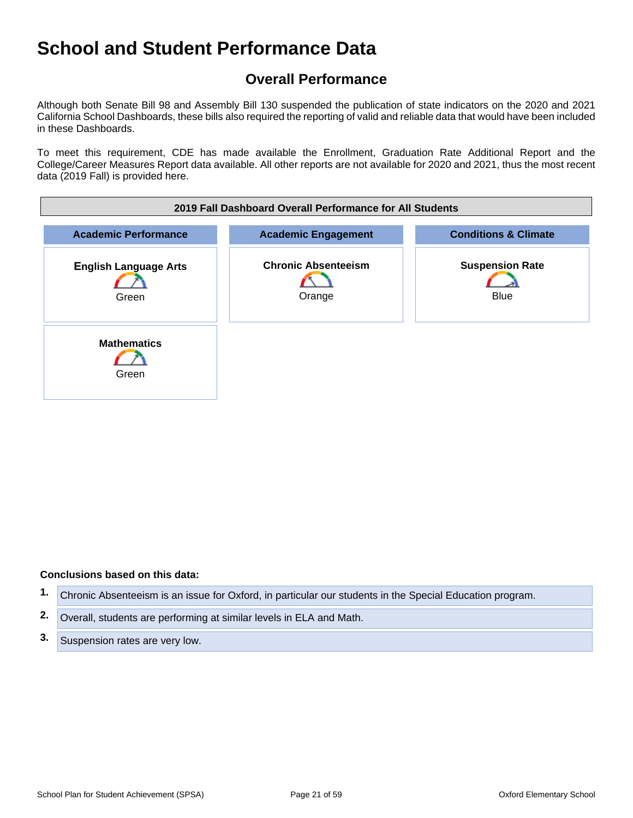## **Overall Performance**

Although both Senate Bill 98 and Assembly Bill 130 suspended the publication of state indicators on the 2020 and 2021 California School Dashboards, these bills also required the reporting of valid and reliable data that would have been included in these Dashboards.

To meet this requirement, CDE has made available the Enrollment, Graduation Rate Additional Report and the College/Career Measures Report data available. All other reports are not available for 2020 and 2021, thus the most recent data (2019 Fall) is provided here.



#### **Conclusions based on this data:**

- **1.** Chronic Absenteeism is an issue for Oxford, in particular our students in the Special Education program.
- **2.** Overall, students are performing at similar levels in ELA and Math.
- **3.** Suspension rates are very low.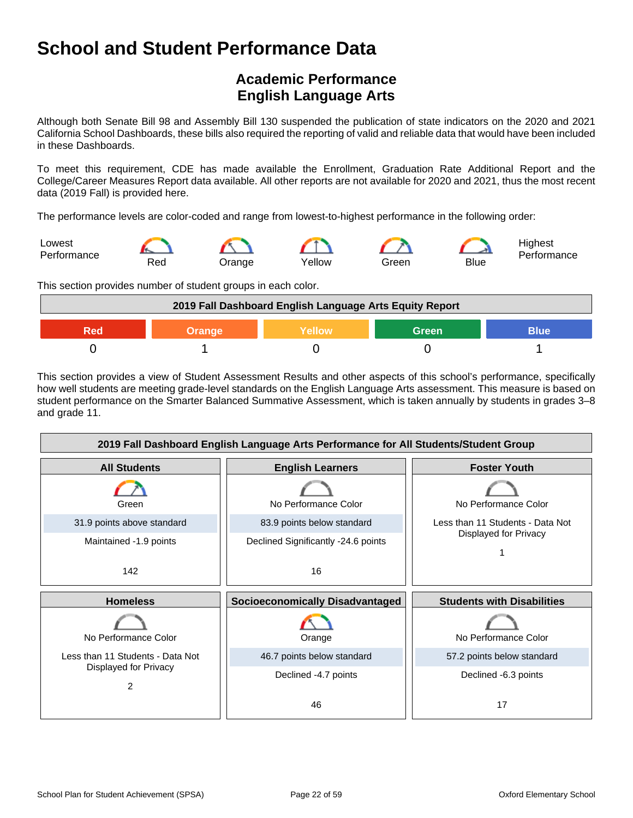## **Academic Performance English Language Arts**

Although both Senate Bill 98 and Assembly Bill 130 suspended the publication of state indicators on the 2020 and 2021 California School Dashboards, these bills also required the reporting of valid and reliable data that would have been included in these Dashboards.

To meet this requirement, CDE has made available the Enrollment, Graduation Rate Additional Report and the College/Career Measures Report data available. All other reports are not available for 2020 and 2021, thus the most recent data (2019 Fall) is provided here.

The performance levels are color-coded and range from lowest-to-highest performance in the following order:



This section provides number of student groups in each color.



This section provides a view of Student Assessment Results and other aspects of this school's performance, specifically how well students are meeting grade-level standards on the English Language Arts assessment. This measure is based on student performance on the Smarter Balanced Summative Assessment, which is taken annually by students in grades 3–8 and grade 11.

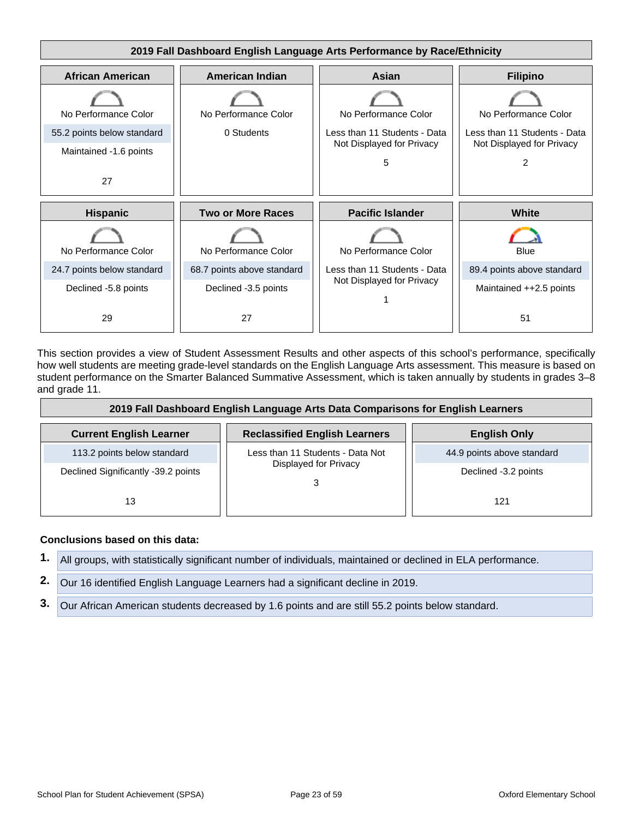

This section provides a view of Student Assessment Results and other aspects of this school's performance, specifically how well students are meeting grade-level standards on the English Language Arts assessment. This measure is based on student performance on the Smarter Balanced Summative Assessment, which is taken annually by students in grades 3–8 and grade 11.

| 2019 Fall Dashboard English Language Arts Data Comparisons for English Learners |                                      |                            |  |
|---------------------------------------------------------------------------------|--------------------------------------|----------------------------|--|
| <b>Current English Learner</b>                                                  | <b>Reclassified English Learners</b> | <b>English Only</b>        |  |
| 113.2 points below standard                                                     | Less than 11 Students - Data Not     | 44.9 points above standard |  |
| Declined Significantly -39.2 points                                             | Displayed for Privacy                | Declined -3.2 points       |  |
| 13                                                                              |                                      | 121                        |  |

#### **Conclusions based on this data:**

**1.** All groups, with statistically significant number of individuals, maintained or declined in ELA performance.

**2.** Our 16 identified English Language Learners had a significant decline in 2019.

**3.** Our African American students decreased by 1.6 points and are still 55.2 points below standard.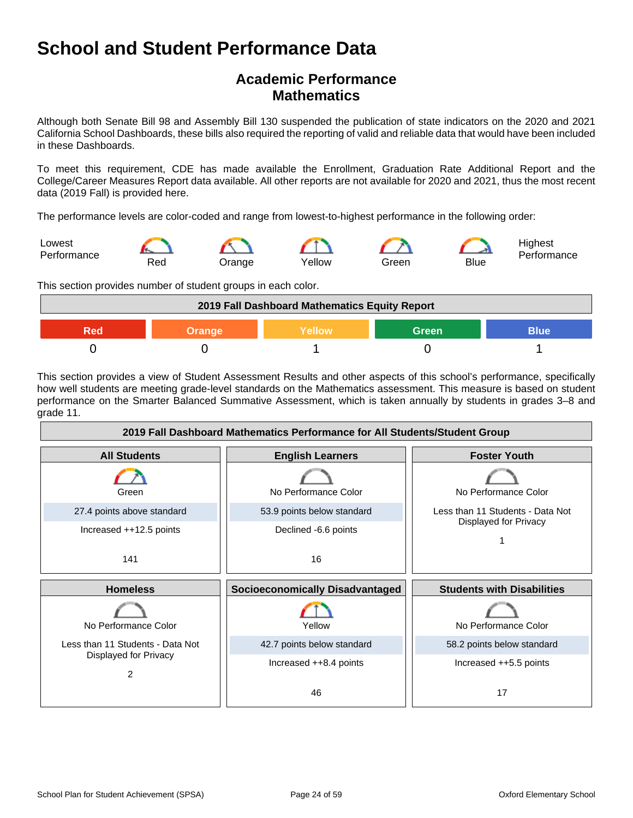### **Academic Performance Mathematics**

Although both Senate Bill 98 and Assembly Bill 130 suspended the publication of state indicators on the 2020 and 2021 California School Dashboards, these bills also required the reporting of valid and reliable data that would have been included in these Dashboards.

To meet this requirement, CDE has made available the Enrollment, Graduation Rate Additional Report and the College/Career Measures Report data available. All other reports are not available for 2020 and 2021, thus the most recent data (2019 Fall) is provided here.

The performance levels are color-coded and range from lowest-to-highest performance in the following order:



This section provides number of student groups in each color.



This section provides a view of Student Assessment Results and other aspects of this school's performance, specifically how well students are meeting grade-level standards on the Mathematics assessment. This measure is based on student performance on the Smarter Balanced Summative Assessment, which is taken annually by students in grades 3–8 and grade 11.

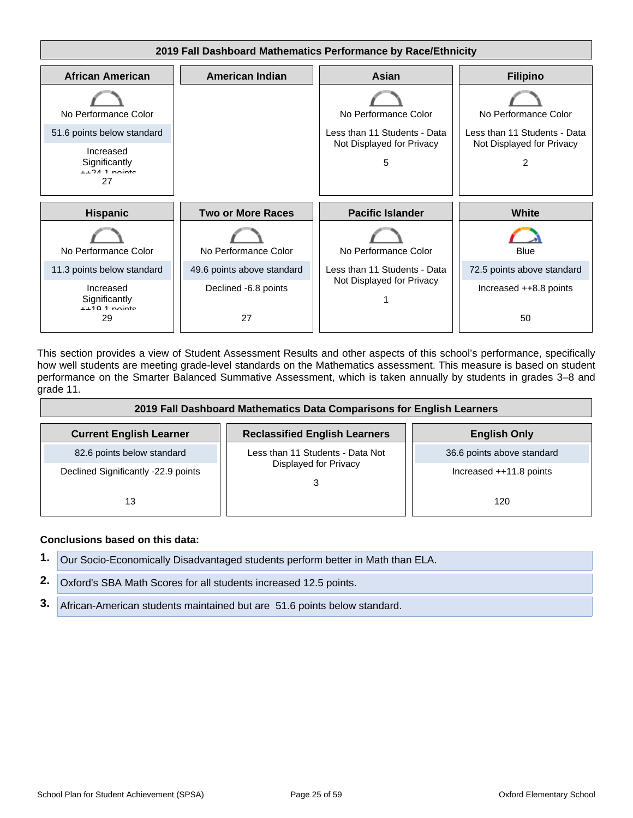

This section provides a view of Student Assessment Results and other aspects of this school's performance, specifically how well students are meeting grade-level standards on the Mathematics assessment. This measure is based on student performance on the Smarter Balanced Summative Assessment, which is taken annually by students in grades 3–8 and grade 11.

| 2019 Fall Dashboard Mathematics Data Comparisons for English Learners |                                      |                            |  |
|-----------------------------------------------------------------------|--------------------------------------|----------------------------|--|
| <b>Current English Learner</b>                                        | <b>Reclassified English Learners</b> | <b>English Only</b>        |  |
| 82.6 points below standard                                            | Less than 11 Students - Data Not     | 36.6 points above standard |  |
| Declined Significantly -22.9 points                                   | Displayed for Privacy                | Increased ++11.8 points    |  |
| 13                                                                    |                                      | 120                        |  |

#### **Conclusions based on this data:**

|    | Our Socio-Economically Disadvantaged students perform better in Math than ELA. |
|----|--------------------------------------------------------------------------------|
|    | 2. Oxford's SBA Math Scores for all students increased 12.5 points.            |
| 3. | African-American students maintained but are 51.6 points below standard.       |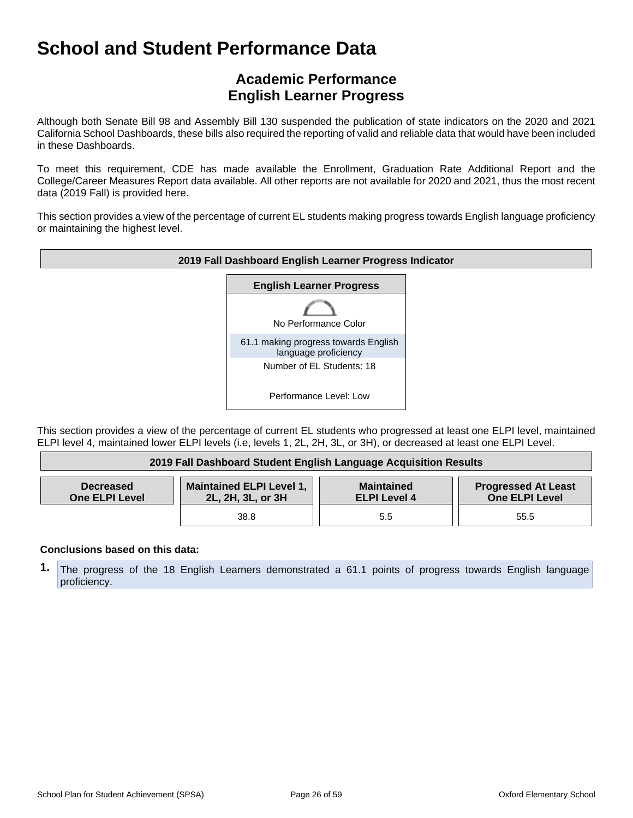## **Academic Performance English Learner Progress**

Although both Senate Bill 98 and Assembly Bill 130 suspended the publication of state indicators on the 2020 and 2021 California School Dashboards, these bills also required the reporting of valid and reliable data that would have been included in these Dashboards.

To meet this requirement, CDE has made available the Enrollment, Graduation Rate Additional Report and the College/Career Measures Report data available. All other reports are not available for 2020 and 2021, thus the most recent data (2019 Fall) is provided here.

This section provides a view of the percentage of current EL students making progress towards English language proficiency or maintaining the highest level.



This section provides a view of the percentage of current EL students who progressed at least one ELPI level, maintained ELPI level 4, maintained lower ELPI levels (i.e, levels 1, 2L, 2H, 3L, or 3H), or decreased at least one ELPI Level.

| 2019 Fall Dashboard Student English Language Acquisition Results |                                                      |                                          |                                              |
|------------------------------------------------------------------|------------------------------------------------------|------------------------------------------|----------------------------------------------|
| <b>Decreased</b><br><b>One ELPI Level</b>                        | <b>Maintained ELPI Level 1,</b><br>2L, 2H, 3L, or 3H | <b>Maintained</b><br><b>ELPI Level 4</b> | <b>Progressed At Least</b><br>One ELPI Level |
|                                                                  | 38.8                                                 | 5.5                                      | 55.5                                         |

#### **Conclusions based on this data:**

**1.** The progress of the 18 English Learners demonstrated a 61.1 points of progress towards English language proficiency.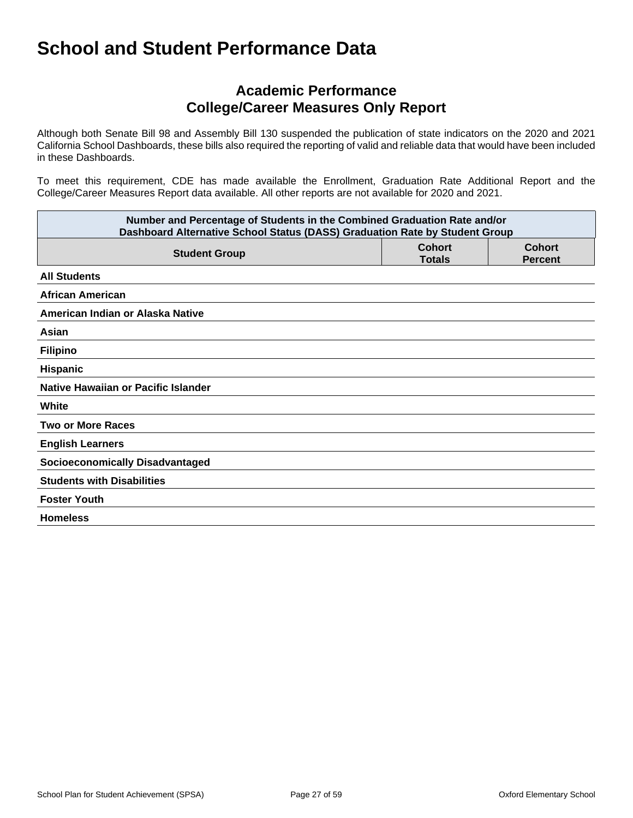### **Academic Performance College/Career Measures Only Report**

Although both Senate Bill 98 and Assembly Bill 130 suspended the publication of state indicators on the 2020 and 2021 California School Dashboards, these bills also required the reporting of valid and reliable data that would have been included in these Dashboards.

To meet this requirement, CDE has made available the Enrollment, Graduation Rate Additional Report and the College/Career Measures Report data available. All other reports are not available for 2020 and 2021.

| Number and Percentage of Students in the Combined Graduation Rate and/or<br>Dashboard Alternative School Status (DASS) Graduation Rate by Student Group |                                |                                 |  |
|---------------------------------------------------------------------------------------------------------------------------------------------------------|--------------------------------|---------------------------------|--|
| <b>Student Group</b>                                                                                                                                    | <b>Cohort</b><br><b>Totals</b> | <b>Cohort</b><br><b>Percent</b> |  |
| <b>All Students</b>                                                                                                                                     |                                |                                 |  |
| <b>African American</b>                                                                                                                                 |                                |                                 |  |
| American Indian or Alaska Native                                                                                                                        |                                |                                 |  |
| Asian                                                                                                                                                   |                                |                                 |  |
| <b>Filipino</b>                                                                                                                                         |                                |                                 |  |
| Hispanic                                                                                                                                                |                                |                                 |  |
| Native Hawaiian or Pacific Islander                                                                                                                     |                                |                                 |  |
| White                                                                                                                                                   |                                |                                 |  |
| <b>Two or More Races</b>                                                                                                                                |                                |                                 |  |
| <b>English Learners</b>                                                                                                                                 |                                |                                 |  |
| <b>Socioeconomically Disadvantaged</b>                                                                                                                  |                                |                                 |  |
| <b>Students with Disabilities</b>                                                                                                                       |                                |                                 |  |
| <b>Foster Youth</b>                                                                                                                                     |                                |                                 |  |
| <b>Homeless</b>                                                                                                                                         |                                |                                 |  |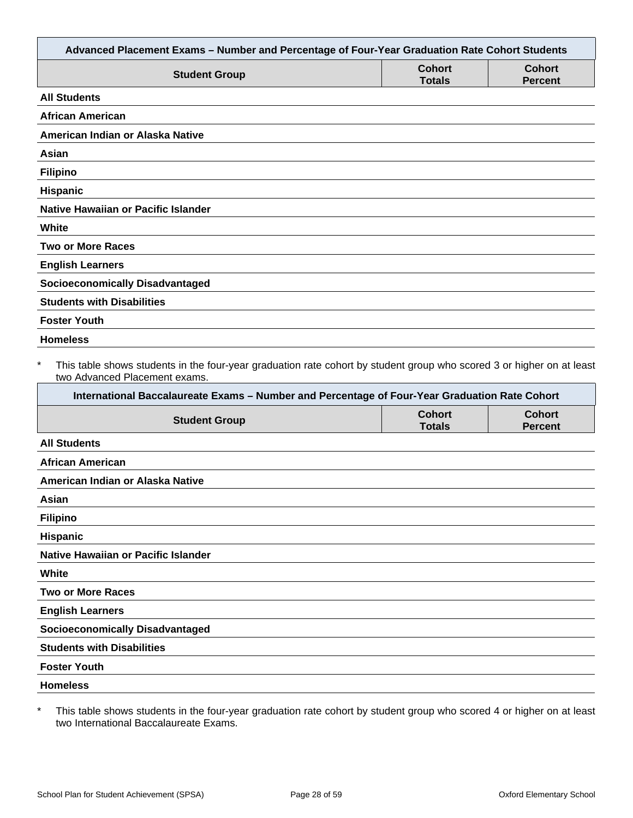| Advanced Placement Exams - Number and Percentage of Four-Year Graduation Rate Cohort Students                                                                                                                                                                     |                                |                                 |
|-------------------------------------------------------------------------------------------------------------------------------------------------------------------------------------------------------------------------------------------------------------------|--------------------------------|---------------------------------|
| <b>Student Group</b>                                                                                                                                                                                                                                              | <b>Cohort</b><br><b>Totals</b> | <b>Cohort</b><br><b>Percent</b> |
| <b>All Students</b>                                                                                                                                                                                                                                               |                                |                                 |
| <b>African American</b>                                                                                                                                                                                                                                           |                                |                                 |
| American Indian or Alaska Native                                                                                                                                                                                                                                  |                                |                                 |
| Asian                                                                                                                                                                                                                                                             |                                |                                 |
| <b>Filipino</b>                                                                                                                                                                                                                                                   |                                |                                 |
| Hispanic                                                                                                                                                                                                                                                          |                                |                                 |
| <b>Native Hawaiian or Pacific Islander</b>                                                                                                                                                                                                                        |                                |                                 |
| White                                                                                                                                                                                                                                                             |                                |                                 |
| <b>Two or More Races</b>                                                                                                                                                                                                                                          |                                |                                 |
| <b>English Learners</b>                                                                                                                                                                                                                                           |                                |                                 |
| <b>Socioeconomically Disadvantaged</b>                                                                                                                                                                                                                            |                                |                                 |
| <b>Students with Disabilities</b>                                                                                                                                                                                                                                 |                                |                                 |
| <b>Foster Youth</b>                                                                                                                                                                                                                                               |                                |                                 |
| <b>Homeless</b>                                                                                                                                                                                                                                                   |                                |                                 |
| $\ast$<br>This table shows students in the four-year graduation rate cohort by student group who scored 3 or higher on at least<br>two Advanced Placement exams.<br>International Baccalaureate Exams - Number and Percentage of Four-Year Graduation Rate Cohort |                                |                                 |
| <b>Student Group</b>                                                                                                                                                                                                                                              | <b>Cohort</b><br><b>Totals</b> | <b>Cohort</b><br><b>Percent</b> |
| <b>All Students</b>                                                                                                                                                                                                                                               |                                |                                 |
| <b>African American</b>                                                                                                                                                                                                                                           |                                |                                 |
| American Indian or Alaska Native                                                                                                                                                                                                                                  |                                |                                 |
| Asian                                                                                                                                                                                                                                                             |                                |                                 |
| <b>Filipino</b>                                                                                                                                                                                                                                                   |                                |                                 |
| Hispanic                                                                                                                                                                                                                                                          |                                |                                 |
| Native Hawaiian or Pacific Islander                                                                                                                                                                                                                               |                                |                                 |
| White                                                                                                                                                                                                                                                             |                                |                                 |
| <b>Two or More Races</b>                                                                                                                                                                                                                                          |                                |                                 |
| <b>English Learners</b>                                                                                                                                                                                                                                           |                                |                                 |
| <b>Socioeconomically Disadvantaged</b>                                                                                                                                                                                                                            |                                |                                 |
| <b>Students with Disabilities</b>                                                                                                                                                                                                                                 |                                |                                 |
| <b>Foster Youth</b>                                                                                                                                                                                                                                               |                                |                                 |
| <b>Homeless</b>                                                                                                                                                                                                                                                   |                                |                                 |
|                                                                                                                                                                                                                                                                   |                                |                                 |

\* This table shows students in the four-year graduation rate cohort by student group who scored 4 or higher on at least two International Baccalaureate Exams.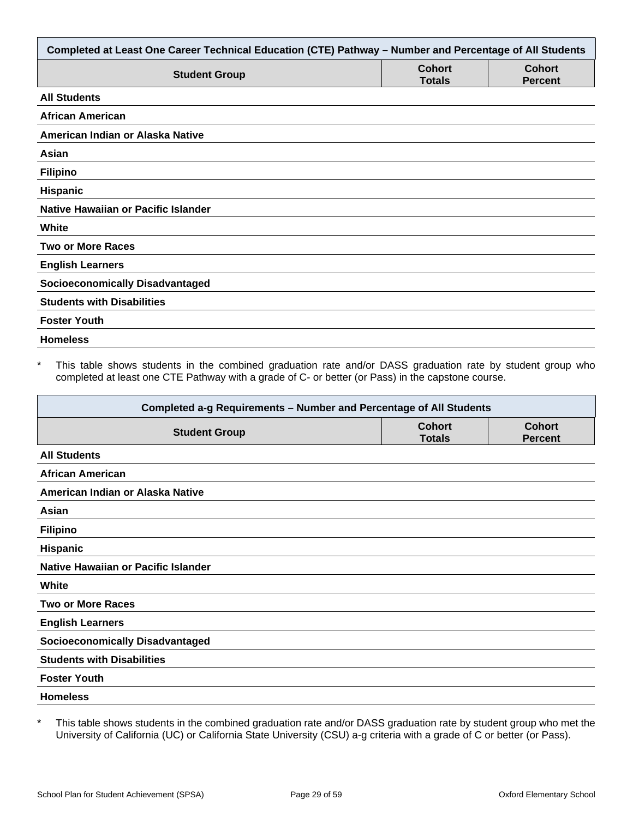| Completed at Least One Career Technical Education (CTE) Pathway - Number and Percentage of All Students |                                |                                 |  |
|---------------------------------------------------------------------------------------------------------|--------------------------------|---------------------------------|--|
| <b>Student Group</b>                                                                                    | <b>Cohort</b><br><b>Totals</b> | <b>Cohort</b><br><b>Percent</b> |  |
| <b>All Students</b>                                                                                     |                                |                                 |  |
| <b>African American</b>                                                                                 |                                |                                 |  |
| American Indian or Alaska Native                                                                        |                                |                                 |  |
| Asian                                                                                                   |                                |                                 |  |
| <b>Filipino</b>                                                                                         |                                |                                 |  |
| Hispanic                                                                                                |                                |                                 |  |
| <b>Native Hawaiian or Pacific Islander</b>                                                              |                                |                                 |  |
| White                                                                                                   |                                |                                 |  |
| <b>Two or More Races</b>                                                                                |                                |                                 |  |
| <b>English Learners</b>                                                                                 |                                |                                 |  |
| <b>Socioeconomically Disadvantaged</b>                                                                  |                                |                                 |  |
| <b>Students with Disabilities</b>                                                                       |                                |                                 |  |
| <b>Foster Youth</b>                                                                                     |                                |                                 |  |
| <b>Homeless</b>                                                                                         |                                |                                 |  |

\* This table shows students in the combined graduation rate and/or DASS graduation rate by student group who completed at least one CTE Pathway with a grade of C- or better (or Pass) in the capstone course.

| Completed a-g Requirements - Number and Percentage of All Students |                                |                                 |  |
|--------------------------------------------------------------------|--------------------------------|---------------------------------|--|
| <b>Student Group</b>                                               | <b>Cohort</b><br><b>Totals</b> | <b>Cohort</b><br><b>Percent</b> |  |
| <b>All Students</b>                                                |                                |                                 |  |
| <b>African American</b>                                            |                                |                                 |  |
| American Indian or Alaska Native                                   |                                |                                 |  |
| Asian                                                              |                                |                                 |  |
| <b>Filipino</b>                                                    |                                |                                 |  |
| <b>Hispanic</b>                                                    |                                |                                 |  |
| Native Hawaiian or Pacific Islander                                |                                |                                 |  |
| White                                                              |                                |                                 |  |
| <b>Two or More Races</b>                                           |                                |                                 |  |
| <b>English Learners</b>                                            |                                |                                 |  |
| <b>Socioeconomically Disadvantaged</b>                             |                                |                                 |  |
| <b>Students with Disabilities</b>                                  |                                |                                 |  |
| <b>Foster Youth</b>                                                |                                |                                 |  |
| <b>Homeless</b>                                                    |                                |                                 |  |

\* This table shows students in the combined graduation rate and/or DASS graduation rate by student group who met the University of California (UC) or California State University (CSU) a-g criteria with a grade of C or better (or Pass).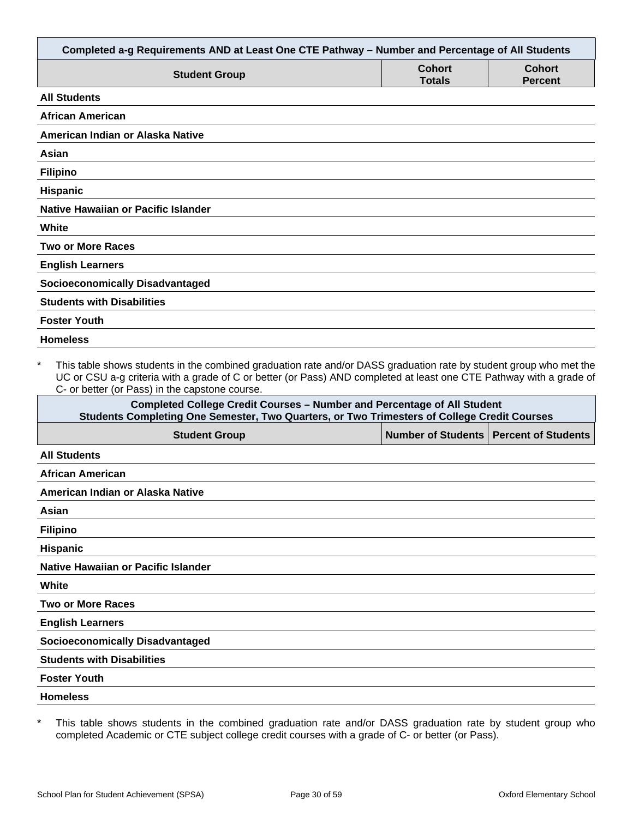| Completed a-g Requirements AND at Least One CTE Pathway - Number and Percentage of All Students                                                                                                                                                                                                        |                                |                                 |
|--------------------------------------------------------------------------------------------------------------------------------------------------------------------------------------------------------------------------------------------------------------------------------------------------------|--------------------------------|---------------------------------|
| <b>Student Group</b>                                                                                                                                                                                                                                                                                   | <b>Cohort</b><br><b>Totals</b> | <b>Cohort</b><br><b>Percent</b> |
| <b>All Students</b>                                                                                                                                                                                                                                                                                    |                                |                                 |
| <b>African American</b>                                                                                                                                                                                                                                                                                |                                |                                 |
| American Indian or Alaska Native                                                                                                                                                                                                                                                                       |                                |                                 |
| Asian                                                                                                                                                                                                                                                                                                  |                                |                                 |
| <b>Filipino</b>                                                                                                                                                                                                                                                                                        |                                |                                 |
| <b>Hispanic</b>                                                                                                                                                                                                                                                                                        |                                |                                 |
| Native Hawaiian or Pacific Islander                                                                                                                                                                                                                                                                    |                                |                                 |
| White                                                                                                                                                                                                                                                                                                  |                                |                                 |
| <b>Two or More Races</b>                                                                                                                                                                                                                                                                               |                                |                                 |
| <b>English Learners</b>                                                                                                                                                                                                                                                                                |                                |                                 |
| <b>Socioeconomically Disadvantaged</b>                                                                                                                                                                                                                                                                 |                                |                                 |
| <b>Students with Disabilities</b>                                                                                                                                                                                                                                                                      |                                |                                 |
| <b>Foster Youth</b>                                                                                                                                                                                                                                                                                    |                                |                                 |
| <b>Homeless</b>                                                                                                                                                                                                                                                                                        |                                |                                 |
| $\star$<br>This table shows students in the combined graduation rate and/or DASS graduation rate by student group who met the<br>UC or CSU a-g criteria with a grade of C or better (or Pass) AND completed at least one CTE Pathway with a grade of<br>C- or better (or Pass) in the capstone course. |                                |                                 |
| <b>Completed College Credit Courses - Number and Percentage of All Student</b><br>Students Completing One Semester, Two Quarters, or Two Trimesters of College Credit Courses                                                                                                                          |                                |                                 |
| <b>Student Group</b>                                                                                                                                                                                                                                                                                   | <b>Number of Students</b>      | <b>Percent of Students</b>      |
| <b>All Students</b>                                                                                                                                                                                                                                                                                    |                                |                                 |
| African American                                                                                                                                                                                                                                                                                       |                                |                                 |
| American Indian or Alaska Native                                                                                                                                                                                                                                                                       |                                |                                 |
| Asian                                                                                                                                                                                                                                                                                                  |                                |                                 |

**Filipino**

**Hispanic**

**Native Hawaiian or Pacific Islander**

**White**

**Two or More Races**

**English Learners**

**Socioeconomically Disadvantaged**

**Students with Disabilities**

**Foster Youth**

**Homeless**

\* This table shows students in the combined graduation rate and/or DASS graduation rate by student group who completed Academic or CTE subject college credit courses with a grade of C- or better (or Pass).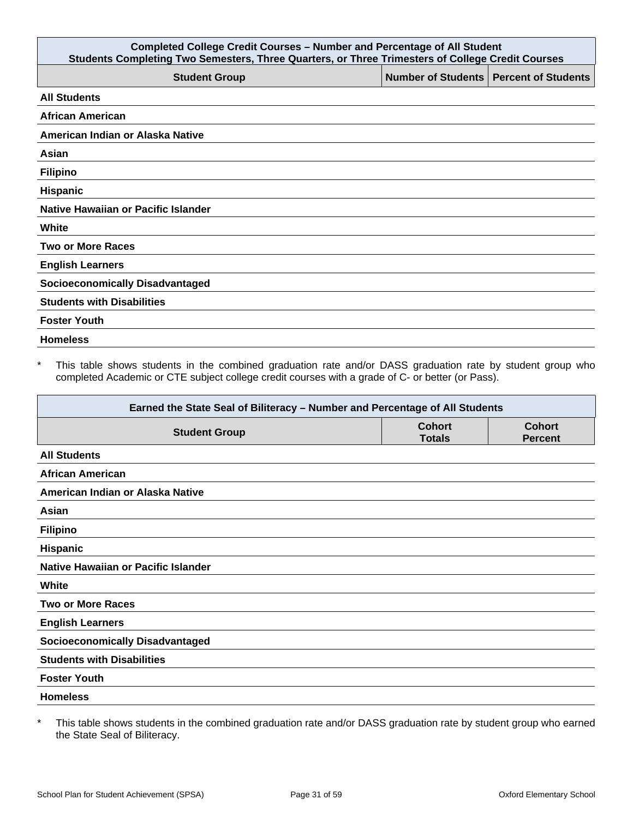| <b>Completed College Credit Courses - Number and Percentage of All Student</b><br>Students Completing Two Semesters, Three Quarters, or Three Trimesters of College Credit Courses |                                          |  |  |
|------------------------------------------------------------------------------------------------------------------------------------------------------------------------------------|------------------------------------------|--|--|
| <b>Student Group</b>                                                                                                                                                               | Number of Students   Percent of Students |  |  |
| <b>All Students</b>                                                                                                                                                                |                                          |  |  |
| <b>African American</b>                                                                                                                                                            |                                          |  |  |
| American Indian or Alaska Native                                                                                                                                                   |                                          |  |  |
| Asian                                                                                                                                                                              |                                          |  |  |
| <b>Filipino</b>                                                                                                                                                                    |                                          |  |  |
| Hispanic                                                                                                                                                                           |                                          |  |  |
| Native Hawaiian or Pacific Islander                                                                                                                                                |                                          |  |  |
| White                                                                                                                                                                              |                                          |  |  |
| <b>Two or More Races</b>                                                                                                                                                           |                                          |  |  |
| <b>English Learners</b>                                                                                                                                                            |                                          |  |  |
| <b>Socioeconomically Disadvantaged</b>                                                                                                                                             |                                          |  |  |
| <b>Students with Disabilities</b>                                                                                                                                                  |                                          |  |  |
| <b>Foster Youth</b>                                                                                                                                                                |                                          |  |  |
| <b>Homeless</b>                                                                                                                                                                    |                                          |  |  |

\* This table shows students in the combined graduation rate and/or DASS graduation rate by student group who completed Academic or CTE subject college credit courses with a grade of C- or better (or Pass).

| Earned the State Seal of Biliteracy - Number and Percentage of All Students |                                |                                 |  |
|-----------------------------------------------------------------------------|--------------------------------|---------------------------------|--|
| <b>Student Group</b>                                                        | <b>Cohort</b><br><b>Totals</b> | <b>Cohort</b><br><b>Percent</b> |  |
| <b>All Students</b>                                                         |                                |                                 |  |
| <b>African American</b>                                                     |                                |                                 |  |
| American Indian or Alaska Native                                            |                                |                                 |  |
| Asian                                                                       |                                |                                 |  |
| <b>Filipino</b>                                                             |                                |                                 |  |
| <b>Hispanic</b>                                                             |                                |                                 |  |
| Native Hawaiian or Pacific Islander                                         |                                |                                 |  |
| White                                                                       |                                |                                 |  |
| <b>Two or More Races</b>                                                    |                                |                                 |  |
| <b>English Learners</b>                                                     |                                |                                 |  |
| <b>Socioeconomically Disadvantaged</b>                                      |                                |                                 |  |
| <b>Students with Disabilities</b>                                           |                                |                                 |  |
| <b>Foster Youth</b>                                                         |                                |                                 |  |
| <b>Homeless</b>                                                             |                                |                                 |  |

\* This table shows students in the combined graduation rate and/or DASS graduation rate by student group who earned the State Seal of Biliteracy.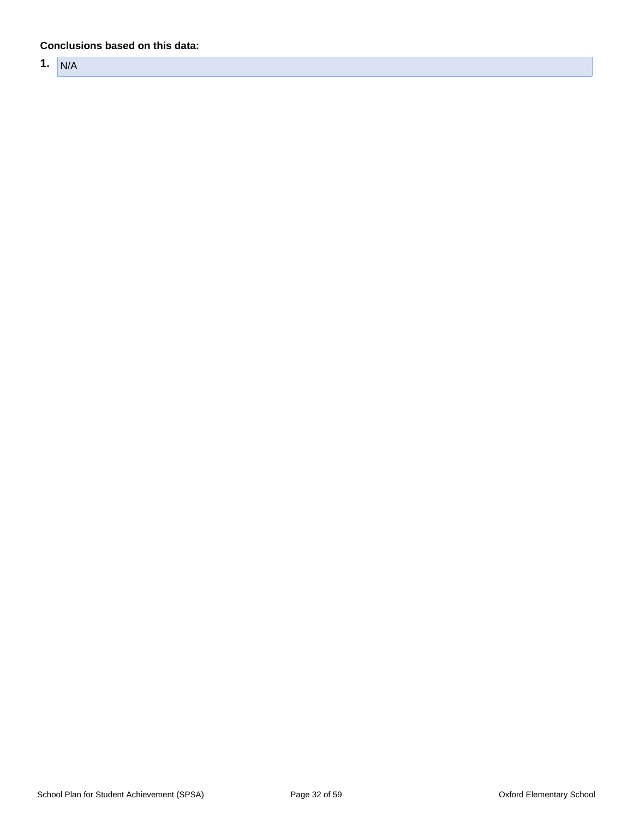#### **Conclusions based on this data:**

**1.** N/A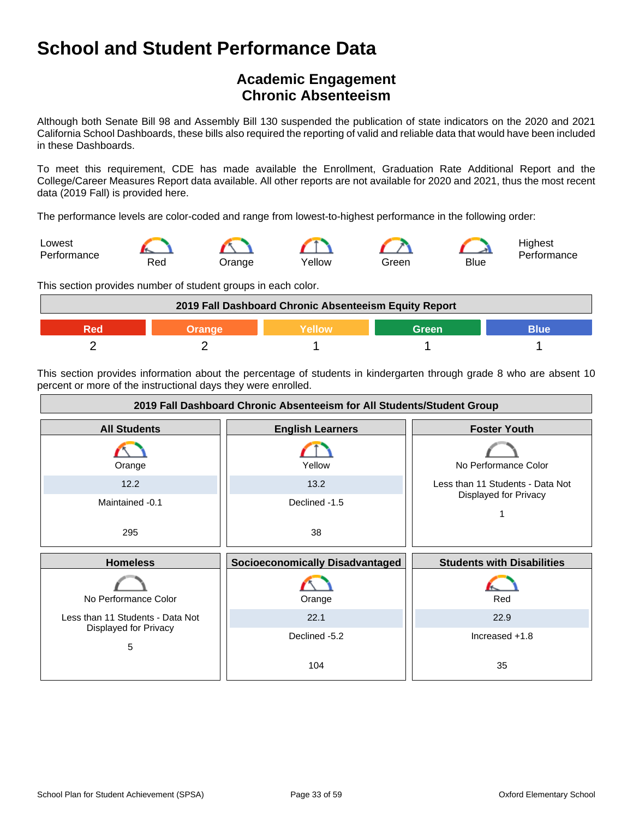## **Academic Engagement Chronic Absenteeism**

Although both Senate Bill 98 and Assembly Bill 130 suspended the publication of state indicators on the 2020 and 2021 California School Dashboards, these bills also required the reporting of valid and reliable data that would have been included in these Dashboards.

To meet this requirement, CDE has made available the Enrollment, Graduation Rate Additional Report and the College/Career Measures Report data available. All other reports are not available for 2020 and 2021, thus the most recent data (2019 Fall) is provided here.

The performance levels are color-coded and range from lowest-to-highest performance in the following order:



This section provides number of student groups in each color.



This section provides information about the percentage of students in kindergarten through grade 8 who are absent 10 percent or more of the instructional days they were enrolled.

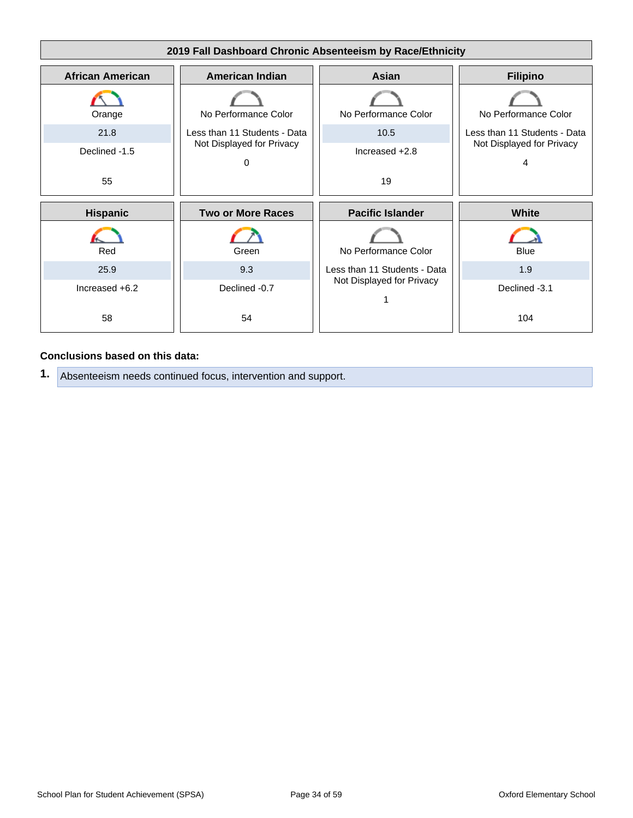

#### **Conclusions based on this data:**

**1.** Absenteeism needs continued focus, intervention and support.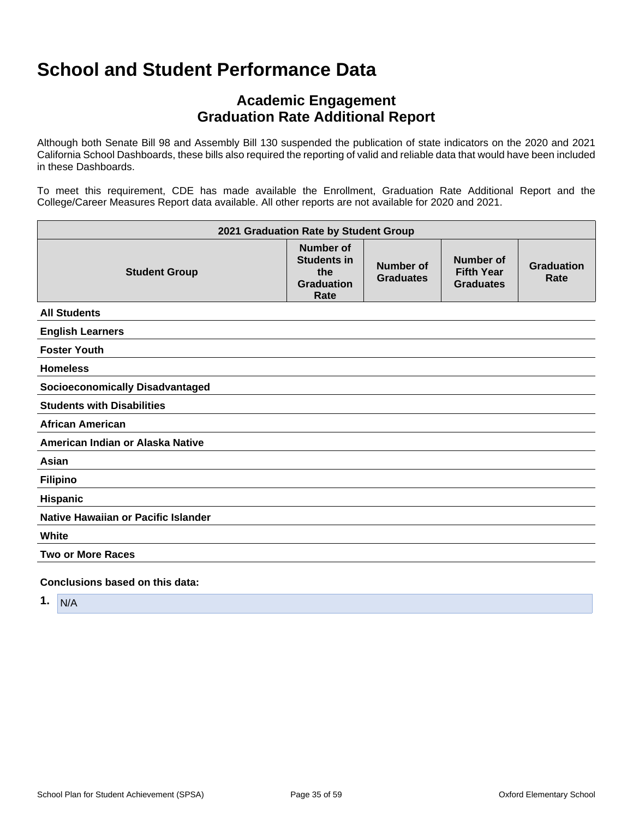## **Academic Engagement Graduation Rate Additional Report**

Although both Senate Bill 98 and Assembly Bill 130 suspended the publication of state indicators on the 2020 and 2021 California School Dashboards, these bills also required the reporting of valid and reliable data that would have been included in these Dashboards.

To meet this requirement, CDE has made available the Enrollment, Graduation Rate Additional Report and the College/Career Measures Report data available. All other reports are not available for 2020 and 2021.

| 2021 Graduation Rate by Student Group  |                                                                     |                               |                                                    |                           |
|----------------------------------------|---------------------------------------------------------------------|-------------------------------|----------------------------------------------------|---------------------------|
| <b>Student Group</b>                   | Number of<br><b>Students in</b><br>the<br><b>Graduation</b><br>Rate | Number of<br><b>Graduates</b> | Number of<br><b>Fifth Year</b><br><b>Graduates</b> | <b>Graduation</b><br>Rate |
| <b>All Students</b>                    |                                                                     |                               |                                                    |                           |
| <b>English Learners</b>                |                                                                     |                               |                                                    |                           |
| <b>Foster Youth</b>                    |                                                                     |                               |                                                    |                           |
| <b>Homeless</b>                        |                                                                     |                               |                                                    |                           |
| <b>Socioeconomically Disadvantaged</b> |                                                                     |                               |                                                    |                           |
| <b>Students with Disabilities</b>      |                                                                     |                               |                                                    |                           |
| <b>African American</b>                |                                                                     |                               |                                                    |                           |
| American Indian or Alaska Native       |                                                                     |                               |                                                    |                           |
| Asian                                  |                                                                     |                               |                                                    |                           |
| <b>Filipino</b>                        |                                                                     |                               |                                                    |                           |
| Hispanic                               |                                                                     |                               |                                                    |                           |
| Native Hawaiian or Pacific Islander    |                                                                     |                               |                                                    |                           |
| White                                  |                                                                     |                               |                                                    |                           |
| <b>Two or More Races</b>               |                                                                     |                               |                                                    |                           |
| Conclusions based on this data:        |                                                                     |                               |                                                    |                           |

**1.** N/A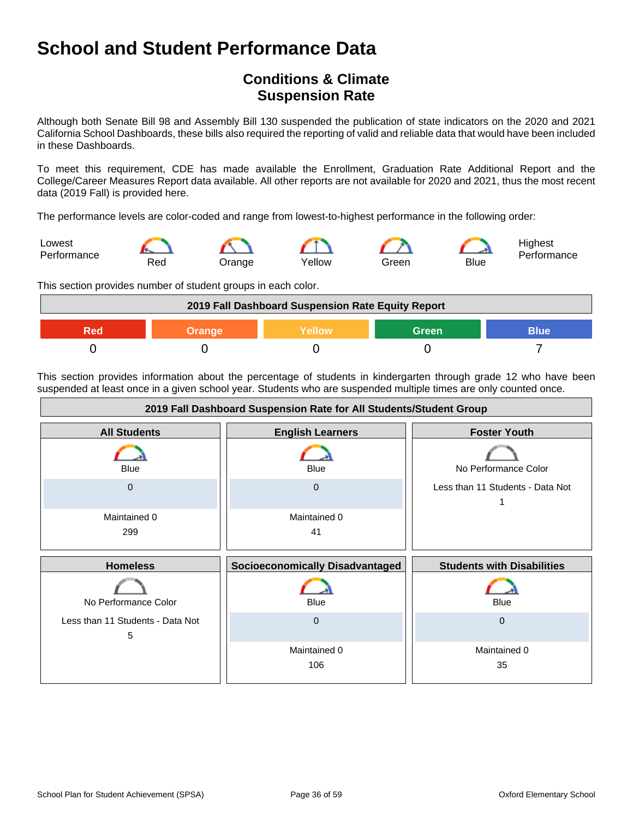## **Conditions & Climate Suspension Rate**

Although both Senate Bill 98 and Assembly Bill 130 suspended the publication of state indicators on the 2020 and 2021 California School Dashboards, these bills also required the reporting of valid and reliable data that would have been included in these Dashboards.

To meet this requirement, CDE has made available the Enrollment, Graduation Rate Additional Report and the College/Career Measures Report data available. All other reports are not available for 2020 and 2021, thus the most recent data (2019 Fall) is provided here.

The performance levels are color-coded and range from lowest-to-highest performance in the following order:



This section provides number of student groups in each color.



This section provides information about the percentage of students in kindergarten through grade 12 who have been suspended at least once in a given school year. Students who are suspended multiple times are only counted once.

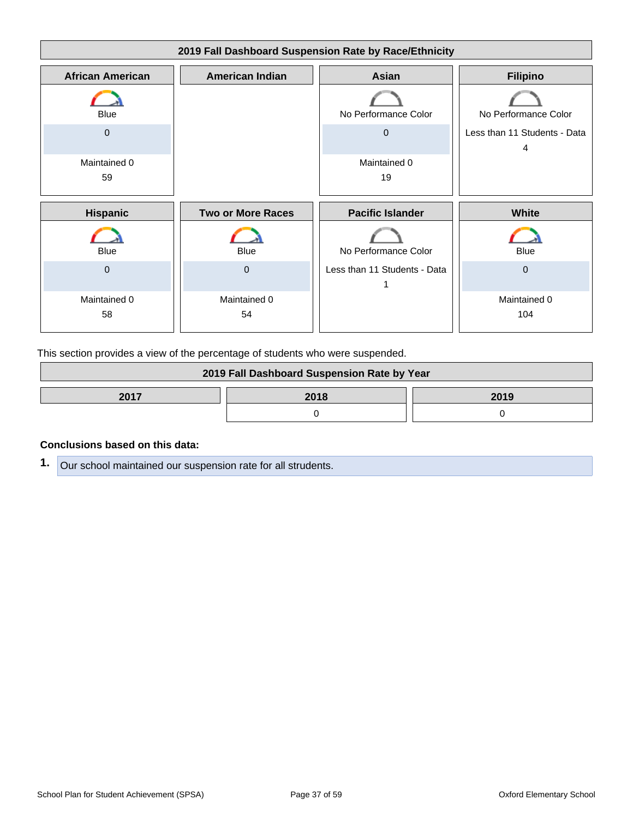

This section provides a view of the percentage of students who were suspended.

| 2019 Fall Dashboard Suspension Rate by Year |  |  |
|---------------------------------------------|--|--|
| 2017<br>2018<br>2019                        |  |  |
|                                             |  |  |

#### **Conclusions based on this data:**

**1.** Our school maintained our suspension rate for all strudents.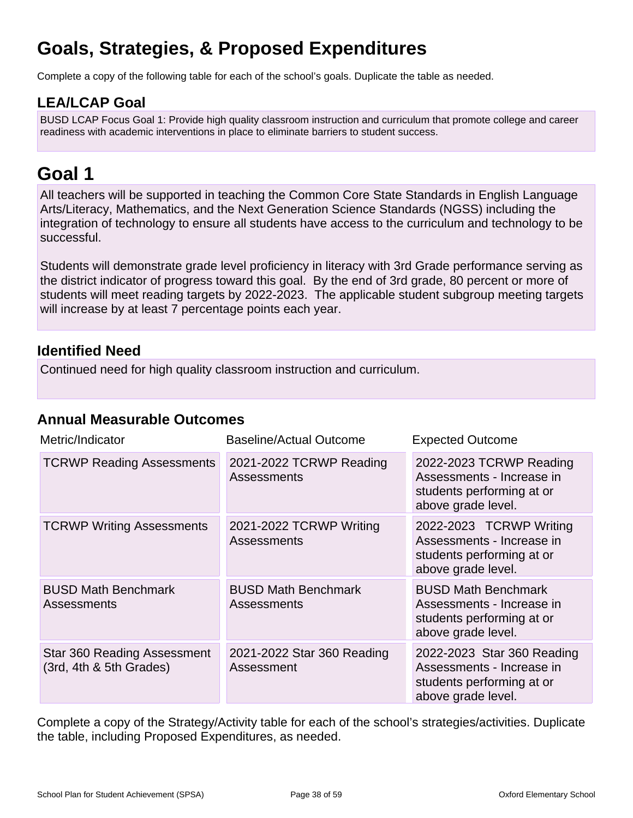## **Goals, Strategies, & Proposed Expenditures**

Complete a copy of the following table for each of the school's goals. Duplicate the table as needed.

### **LEA/LCAP Goal**

BUSD LCAP Focus Goal 1: Provide high quality classroom instruction and curriculum that promote college and career readiness with academic interventions in place to eliminate barriers to student success.

## **Goal 1**

All teachers will be supported in teaching the Common Core State Standards in English Language Arts/Literacy, Mathematics, and the Next Generation Science Standards (NGSS) including the integration of technology to ensure all students have access to the curriculum and technology to be successful.

Students will demonstrate grade level proficiency in literacy with 3rd Grade performance serving as the district indicator of progress toward this goal. By the end of 3rd grade, 80 percent or more of students will meet reading targets by 2022-2023. The applicable student subgroup meeting targets will increase by at least 7 percentage points each year.

### **Identified Need**

Continued need for high quality classroom instruction and curriculum.

### **Annual Measurable Outcomes**

| Metric/Indicator                                              | <b>Baseline/Actual Outcome</b>                   | <b>Expected Outcome</b>                                                                                    |
|---------------------------------------------------------------|--------------------------------------------------|------------------------------------------------------------------------------------------------------------|
| <b>TCRWP Reading Assessments</b>                              | 2021-2022 TCRWP Reading<br>Assessments           | 2022-2023 TCRWP Reading<br>Assessments - Increase in<br>students performing at or<br>above grade level.    |
| <b>TCRWP Writing Assessments</b>                              | 2021-2022 TCRWP Writing<br>Assessments           | 2022-2023 TCRWP Writing<br>Assessments - Increase in<br>students performing at or<br>above grade level.    |
| <b>BUSD Math Benchmark</b><br><b>Assessments</b>              | <b>BUSD Math Benchmark</b><br><b>Assessments</b> | <b>BUSD Math Benchmark</b><br>Assessments - Increase in<br>students performing at or<br>above grade level. |
| <b>Star 360 Reading Assessment</b><br>(3rd, 4th & 5th Grades) | 2021-2022 Star 360 Reading<br>Assessment         | 2022-2023 Star 360 Reading<br>Assessments - Increase in<br>students performing at or<br>above grade level. |

Complete a copy of the Strategy/Activity table for each of the school's strategies/activities. Duplicate the table, including Proposed Expenditures, as needed.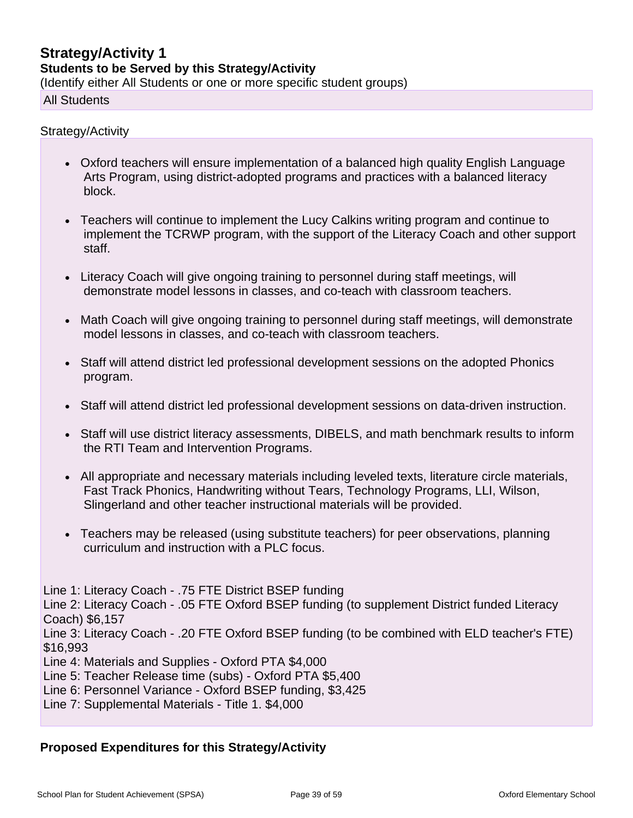## **Strategy/Activity 1 Students to be Served by this Strategy/Activity**

(Identify either All Students or one or more specific student groups)

All Students

#### Strategy/Activity

- Oxford teachers will ensure implementation of a balanced high quality English Language Arts Program, using district-adopted programs and practices with a balanced literacy block.
- Teachers will continue to implement the Lucy Calkins writing program and continue to implement the TCRWP program, with the support of the Literacy Coach and other support staff.
- Literacy Coach will give ongoing training to personnel during staff meetings, will demonstrate model lessons in classes, and co-teach with classroom teachers.
- Math Coach will give ongoing training to personnel during staff meetings, will demonstrate model lessons in classes, and co-teach with classroom teachers.
- Staff will attend district led professional development sessions on the adopted Phonics program.
- Staff will attend district led professional development sessions on data-driven instruction.
- Staff will use district literacy assessments, DIBELS, and math benchmark results to inform the RTI Team and Intervention Programs.
- All appropriate and necessary materials including leveled texts, literature circle materials, Fast Track Phonics, Handwriting without Tears, Technology Programs, LLI, Wilson, Slingerland and other teacher instructional materials will be provided.
- Teachers may be released (using substitute teachers) for peer observations, planning curriculum and instruction with a PLC focus.

Line 1: Literacy Coach - .75 FTE District BSEP funding Line 2: Literacy Coach - .05 FTE Oxford BSEP funding (to supplement District funded Literacy Coach) \$6,157 Line 3: Literacy Coach - .20 FTE Oxford BSEP funding (to be combined with ELD teacher's FTE) \$16,993 Line 4: Materials and Supplies - Oxford PTA \$4,000 Line 5: Teacher Release time (subs) - Oxford PTA \$5,400 Line 6: Personnel Variance - Oxford BSEP funding, \$3,425

Line 7: Supplemental Materials - Title 1. \$4,000

#### **Proposed Expenditures for this Strategy/Activity**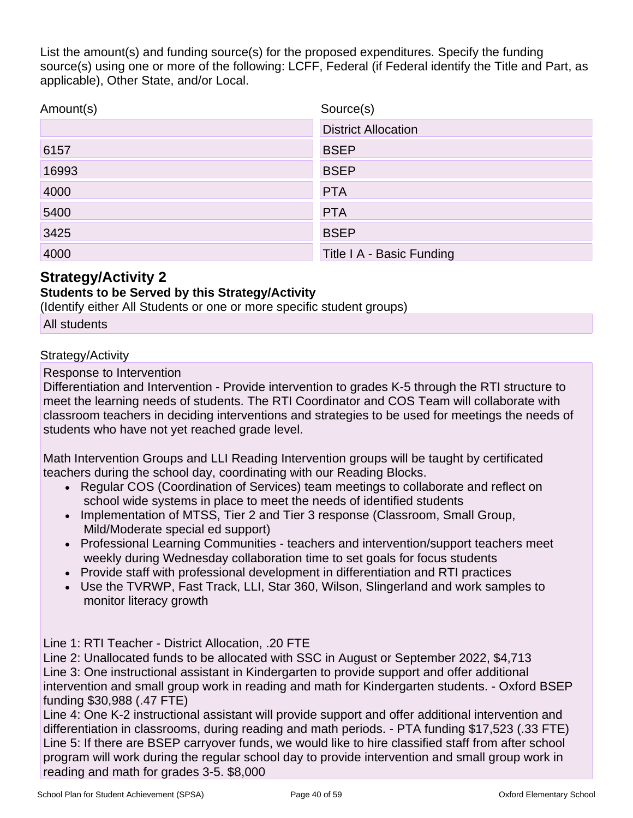List the amount(s) and funding source(s) for the proposed expenditures. Specify the funding source(s) using one or more of the following: LCFF, Federal (if Federal identify the Title and Part, as applicable), Other State, and/or Local.

| Amount(s) | Source(s)                  |
|-----------|----------------------------|
|           | <b>District Allocation</b> |
| 6157      | <b>BSEP</b>                |
| 16993     | <b>BSEP</b>                |
| 4000      | <b>PTA</b>                 |
| 5400      | <b>PTA</b>                 |
| 3425      | <b>BSEP</b>                |
| 4000      | Title I A - Basic Funding  |

### **Strategy/Activity 2**

#### **Students to be Served by this Strategy/Activity**

(Identify either All Students or one or more specific student groups)

All students

#### Strategy/Activity

Response to Intervention

Differentiation and Intervention - Provide intervention to grades K-5 through the RTI structure to meet the learning needs of students. The RTI Coordinator and COS Team will collaborate with classroom teachers in deciding interventions and strategies to be used for meetings the needs of students who have not yet reached grade level.

Math Intervention Groups and LLI Reading Intervention groups will be taught by certificated teachers during the school day, coordinating with our Reading Blocks.

- Regular COS (Coordination of Services) team meetings to collaborate and reflect on school wide systems in place to meet the needs of identified students
- Implementation of MTSS, Tier 2 and Tier 3 response (Classroom, Small Group, Mild/Moderate special ed support)
- Professional Learning Communities teachers and intervention/support teachers meet weekly during Wednesday collaboration time to set goals for focus students
- Provide staff with professional development in differentiation and RTI practices
- Use the TVRWP, Fast Track, LLI, Star 360, Wilson, Slingerland and work samples to monitor literacy growth

Line 1: RTI Teacher - District Allocation, .20 FTE

Line 2: Unallocated funds to be allocated with SSC in August or September 2022, \$4,713 Line 3: One instructional assistant in Kindergarten to provide support and offer additional intervention and small group work in reading and math for Kindergarten students. - Oxford BSEP funding \$30,988 (.47 FTE)

Line 4: One K-2 instructional assistant will provide support and offer additional intervention and differentiation in classrooms, during reading and math periods. - PTA funding \$17,523 (.33 FTE) Line 5: If there are BSEP carryover funds, we would like to hire classified staff from after school program will work during the regular school day to provide intervention and small group work in reading and math for grades 3-5. \$8,000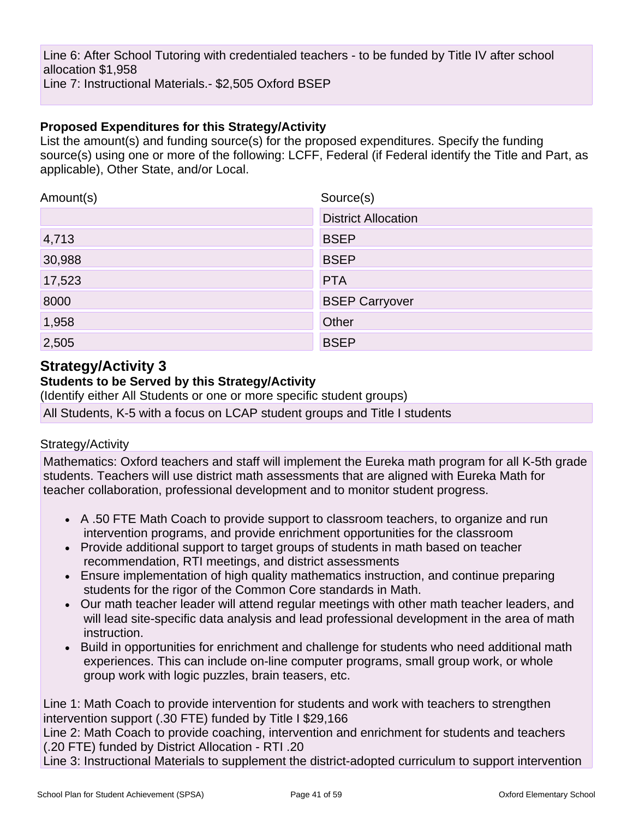Line 6: After School Tutoring with credentialed teachers - to be funded by Title IV after school allocation \$1,958 Line 7: Instructional Materials.- \$2,505 Oxford BSEP

#### **Proposed Expenditures for this Strategy/Activity**

List the amount(s) and funding source(s) for the proposed expenditures. Specify the funding source(s) using one or more of the following: LCFF, Federal (if Federal identify the Title and Part, as applicable), Other State, and/or Local.

| Amount(s) | Source(s)                  |
|-----------|----------------------------|
|           | <b>District Allocation</b> |
| 4,713     | <b>BSEP</b>                |
| 30,988    | <b>BSEP</b>                |
| 17,523    | <b>PTA</b>                 |
| 8000      | <b>BSEP Carryover</b>      |
| 1,958     | Other                      |
| 2,505     | <b>BSEP</b>                |

### **Strategy/Activity 3**

### **Students to be Served by this Strategy/Activity**

(Identify either All Students or one or more specific student groups)

All Students, K-5 with a focus on LCAP student groups and Title I students

#### Strategy/Activity

Mathematics: Oxford teachers and staff will implement the Eureka math program for all K-5th grade students. Teachers will use district math assessments that are aligned with Eureka Math for teacher collaboration, professional development and to monitor student progress.

- A .50 FTE Math Coach to provide support to classroom teachers, to organize and run intervention programs, and provide enrichment opportunities for the classroom
- Provide additional support to target groups of students in math based on teacher recommendation, RTI meetings, and district assessments
- Ensure implementation of high quality mathematics instruction, and continue preparing students for the rigor of the Common Core standards in Math.
- Our math teacher leader will attend regular meetings with other math teacher leaders, and will lead site-specific data analysis and lead professional development in the area of math instruction.
- Build in opportunities for enrichment and challenge for students who need additional math experiences. This can include on-line computer programs, small group work, or whole group work with logic puzzles, brain teasers, etc.

Line 1: Math Coach to provide intervention for students and work with teachers to strengthen intervention support (.30 FTE) funded by Title I \$29,166

Line 2: Math Coach to provide coaching, intervention and enrichment for students and teachers (.20 FTE) funded by District Allocation - RTI .20

Line 3: Instructional Materials to supplement the district-adopted curriculum to support intervention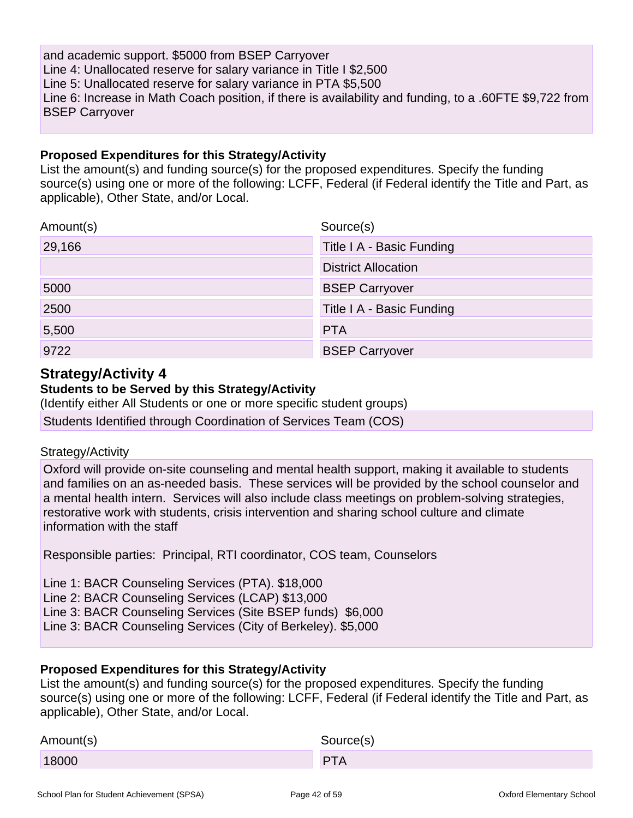and academic support. \$5000 from BSEP Carryover Line 4: Unallocated reserve for salary variance in Title I \$2,500 Line 5: Unallocated reserve for salary variance in PTA \$5,500 Line 6: Increase in Math Coach position, if there is availability and funding, to a .60FTE \$9,722 from BSEP Carryover

#### **Proposed Expenditures for this Strategy/Activity**

List the amount(s) and funding source(s) for the proposed expenditures. Specify the funding source(s) using one or more of the following: LCFF, Federal (if Federal identify the Title and Part, as applicable), Other State, and/or Local.

| Amount(s) | Source(s)                  |
|-----------|----------------------------|
| 29,166    | Title I A - Basic Funding  |
|           | <b>District Allocation</b> |
| 5000      | <b>BSEP Carryover</b>      |
| 2500      | Title I A - Basic Funding  |
| 5,500     | <b>PTA</b>                 |
| 9722      | <b>BSEP Carryover</b>      |

### **Strategy/Activity 4**

#### **Students to be Served by this Strategy/Activity**

(Identify either All Students or one or more specific student groups)

Students Identified through Coordination of Services Team (COS)

#### Strategy/Activity

Oxford will provide on-site counseling and mental health support, making it available to students and families on an as-needed basis. These services will be provided by the school counselor and a mental health intern. Services will also include class meetings on problem-solving strategies, restorative work with students, crisis intervention and sharing school culture and climate information with the staff

Responsible parties: Principal, RTI coordinator, COS team, Counselors

Line 1: BACR Counseling Services (PTA). \$18,000 Line 2: BACR Counseling Services (LCAP) \$13,000 Line 3: BACR Counseling Services (Site BSEP funds) \$6,000 Line 3: BACR Counseling Services (City of Berkeley). \$5,000

#### **Proposed Expenditures for this Strategy/Activity**

List the amount(s) and funding source(s) for the proposed expenditures. Specify the funding source(s) using one or more of the following: LCFF, Federal (if Federal identify the Title and Part, as applicable), Other State, and/or Local.

| Amount(s) | Source(s)  |
|-----------|------------|
| 18000     | <b>PTA</b> |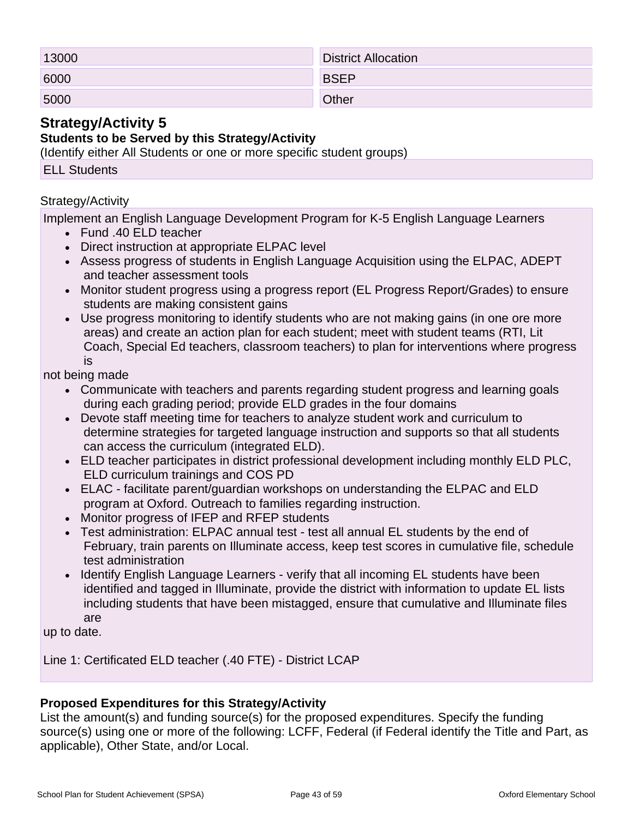| 13000 | <b>District Allocation</b> |
|-------|----------------------------|
| 6000  | <b>BSEP</b>                |
| 5000  | Other                      |

### **Strategy/Activity 5**

#### **Students to be Served by this Strategy/Activity**

(Identify either All Students or one or more specific student groups)

#### ELL Students

#### Strategy/Activity

Implement an English Language Development Program for K-5 English Language Learners

- Fund .40 ELD teacher
- Direct instruction at appropriate ELPAC level
- Assess progress of students in English Language Acquisition using the ELPAC, ADEPT and teacher assessment tools
- Monitor student progress using a progress report (EL Progress Report/Grades) to ensure students are making consistent gains
- Use progress monitoring to identify students who are not making gains (in one ore more areas) and create an action plan for each student; meet with student teams (RTI, Lit Coach, Special Ed teachers, classroom teachers) to plan for interventions where progress is

not being made

- Communicate with teachers and parents regarding student progress and learning goals during each grading period; provide ELD grades in the four domains
- Devote staff meeting time for teachers to analyze student work and curriculum to determine strategies for targeted language instruction and supports so that all students can access the curriculum (integrated ELD).
- ELD teacher participates in district professional development including monthly ELD PLC, ELD curriculum trainings and COS PD
- ELAC facilitate parent/guardian workshops on understanding the ELPAC and ELD program at Oxford. Outreach to families regarding instruction.
- Monitor progress of IFEP and RFEP students
- Test administration: ELPAC annual test test all annual EL students by the end of February, train parents on Illuminate access, keep test scores in cumulative file, schedule test administration
- Identify English Language Learners verify that all incoming EL students have been identified and tagged in Illuminate, provide the district with information to update EL lists including students that have been mistagged, ensure that cumulative and Illuminate files are

up to date.

Line 1: Certificated ELD teacher (.40 FTE) - District LCAP

#### **Proposed Expenditures for this Strategy/Activity**

List the amount(s) and funding source(s) for the proposed expenditures. Specify the funding source(s) using one or more of the following: LCFF, Federal (if Federal identify the Title and Part, as applicable), Other State, and/or Local.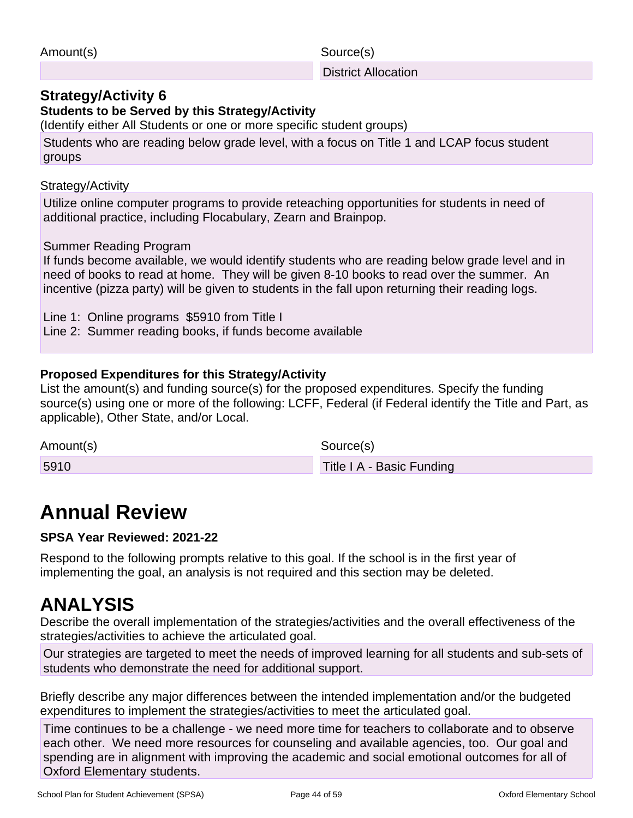| Amount(s) | Source(s)                  |
|-----------|----------------------------|
|           | <b>District Allocation</b> |

### **Strategy/Activity 6**

**Students to be Served by this Strategy/Activity**

(Identify either All Students or one or more specific student groups)

Students who are reading below grade level, with a focus on Title 1 and LCAP focus student groups

Strategy/Activity

Utilize online computer programs to provide reteaching opportunities for students in need of additional practice, including Flocabulary, Zearn and Brainpop.

#### Summer Reading Program

If funds become available, we would identify students who are reading below grade level and in need of books to read at home. They will be given 8-10 books to read over the summer. An incentive (pizza party) will be given to students in the fall upon returning their reading logs.

Line 1: Online programs \$5910 from Title I

Line 2: Summer reading books, if funds become available

#### **Proposed Expenditures for this Strategy/Activity**

List the amount(s) and funding source(s) for the proposed expenditures. Specify the funding source(s) using one or more of the following: LCFF, Federal (if Federal identify the Title and Part, as applicable), Other State, and/or Local.

| Amount(s) | Source(s)                 |
|-----------|---------------------------|
| 5910      | Title I A - Basic Funding |

## **Annual Review**

#### **SPSA Year Reviewed: 2021-22**

Respond to the following prompts relative to this goal. If the school is in the first year of implementing the goal, an analysis is not required and this section may be deleted.

## **ANALYSIS**

Describe the overall implementation of the strategies/activities and the overall effectiveness of the strategies/activities to achieve the articulated goal.

Our strategies are targeted to meet the needs of improved learning for all students and sub-sets of students who demonstrate the need for additional support.

Briefly describe any major differences between the intended implementation and/or the budgeted expenditures to implement the strategies/activities to meet the articulated goal.

Time continues to be a challenge - we need more time for teachers to collaborate and to observe each other. We need more resources for counseling and available agencies, too. Our goal and spending are in alignment with improving the academic and social emotional outcomes for all of Oxford Elementary students.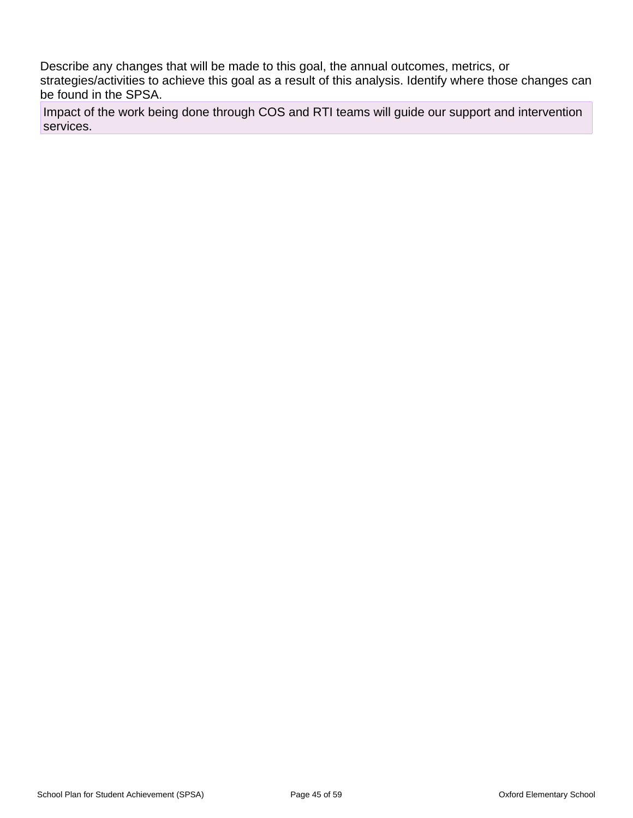Describe any changes that will be made to this goal, the annual outcomes, metrics, or strategies/activities to achieve this goal as a result of this analysis. Identify where those changes can be found in the SPSA.

Impact of the work being done through COS and RTI teams will guide our support and intervention services.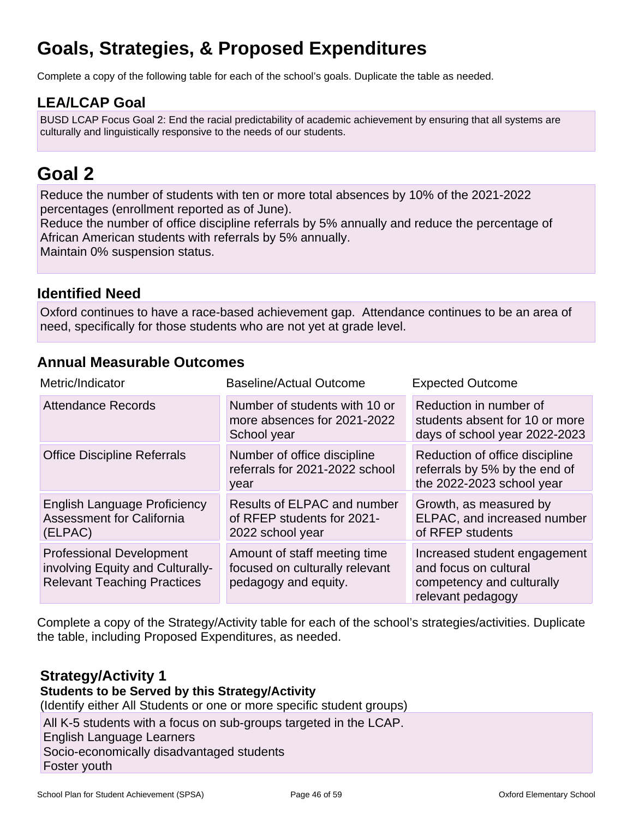## **Goals, Strategies, & Proposed Expenditures**

Complete a copy of the following table for each of the school's goals. Duplicate the table as needed.

### **LEA/LCAP Goal**

BUSD LCAP Focus Goal 2: End the racial predictability of academic achievement by ensuring that all systems are culturally and linguistically responsive to the needs of our students.

## **Goal 2**

Reduce the number of students with ten or more total absences by 10% of the 2021-2022 percentages (enrollment reported as of June).

Reduce the number of office discipline referrals by 5% annually and reduce the percentage of African American students with referrals by 5% annually.

Maintain 0% suspension status.

### **Identified Need**

Oxford continues to have a race-based achievement gap. Attendance continues to be an area of need, specifically for those students who are not yet at grade level.

### **Annual Measurable Outcomes**

| Metric/Indicator                                                                                          | <b>Baseline/Actual Outcome</b>                                                         | <b>Expected Outcome</b>                                                                                 |
|-----------------------------------------------------------------------------------------------------------|----------------------------------------------------------------------------------------|---------------------------------------------------------------------------------------------------------|
| <b>Attendance Records</b>                                                                                 | Number of students with 10 or<br>more absences for 2021-2022<br>School year            | Reduction in number of<br>students absent for 10 or more<br>days of school year 2022-2023               |
| <b>Office Discipline Referrals</b>                                                                        | Number of office discipline<br>referrals for 2021-2022 school<br>year                  | Reduction of office discipline<br>referrals by 5% by the end of<br>the 2022-2023 school year            |
| <b>English Language Proficiency</b><br><b>Assessment for California</b><br>(ELPAC)                        | Results of ELPAC and number<br>of RFEP students for 2021-<br>2022 school year          | Growth, as measured by<br>ELPAC, and increased number<br>of RFEP students                               |
| <b>Professional Development</b><br>involving Equity and Culturally-<br><b>Relevant Teaching Practices</b> | Amount of staff meeting time<br>focused on culturally relevant<br>pedagogy and equity. | Increased student engagement<br>and focus on cultural<br>competency and culturally<br>relevant pedagogy |

Complete a copy of the Strategy/Activity table for each of the school's strategies/activities. Duplicate the table, including Proposed Expenditures, as needed.

### **Strategy/Activity 1**

#### **Students to be Served by this Strategy/Activity**

(Identify either All Students or one or more specific student groups)

All K-5 students with a focus on sub-groups targeted in the LCAP. English Language Learners Socio-economically disadvantaged students Foster youth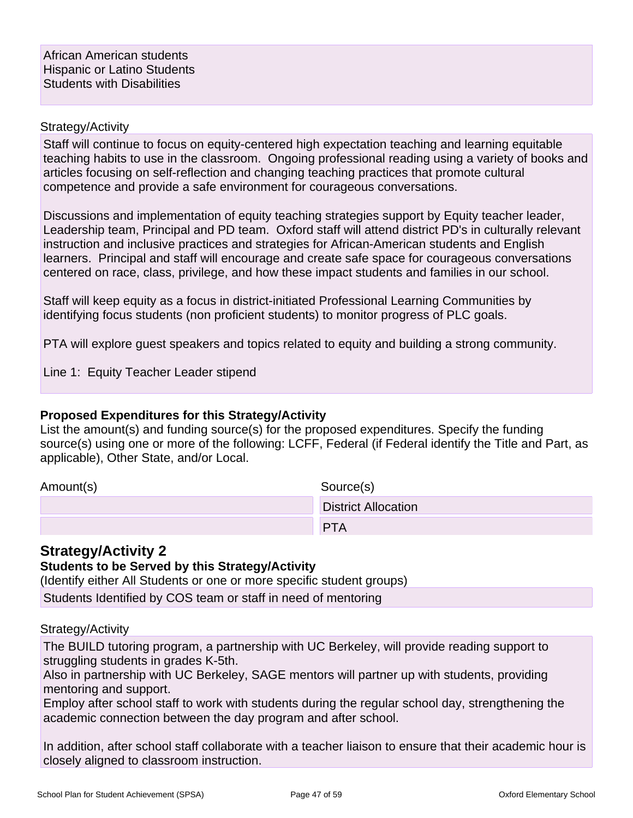#### Strategy/Activity

Staff will continue to focus on equity-centered high expectation teaching and learning equitable teaching habits to use in the classroom. Ongoing professional reading using a variety of books and articles focusing on self-reflection and changing teaching practices that promote cultural competence and provide a safe environment for courageous conversations.

Discussions and implementation of equity teaching strategies support by Equity teacher leader, Leadership team, Principal and PD team. Oxford staff will attend district PD's in culturally relevant instruction and inclusive practices and strategies for African-American students and English learners. Principal and staff will encourage and create safe space for courageous conversations centered on race, class, privilege, and how these impact students and families in our school.

Staff will keep equity as a focus in district-initiated Professional Learning Communities by identifying focus students (non proficient students) to monitor progress of PLC goals.

PTA will explore guest speakers and topics related to equity and building a strong community.

Line 1: Equity Teacher Leader stipend

#### **Proposed Expenditures for this Strategy/Activity**

List the amount(s) and funding source(s) for the proposed expenditures. Specify the funding source(s) using one or more of the following: LCFF, Federal (if Federal identify the Title and Part, as applicable), Other State, and/or Local.

Amount(s) Source(s)

| $\frac{1}{2}$ | 00000000                   |
|---------------|----------------------------|
|               | <b>District Allocation</b> |
|               | DT A                       |
|               |                            |

### **Strategy/Activity 2**

#### **Students to be Served by this Strategy/Activity**

(Identify either All Students or one or more specific student groups)

Students Identified by COS team or staff in need of mentoring

#### Strategy/Activity

The BUILD tutoring program, a partnership with UC Berkeley, will provide reading support to struggling students in grades K-5th.

Also in partnership with UC Berkeley, SAGE mentors will partner up with students, providing mentoring and support.

Employ after school staff to work with students during the regular school day, strengthening the academic connection between the day program and after school.

In addition, after school staff collaborate with a teacher liaison to ensure that their academic hour is closely aligned to classroom instruction.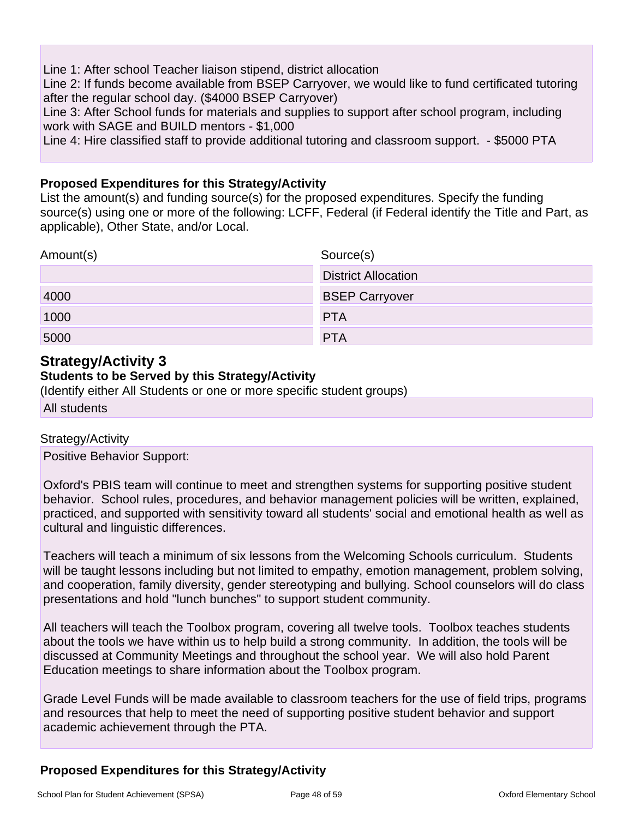Line 1: After school Teacher liaison stipend, district allocation Line 2: If funds become available from BSEP Carryover, we would like to fund certificated tutoring after the regular school day. (\$4000 BSEP Carryover) Line 3: After School funds for materials and supplies to support after school program, including work with SAGE and BUILD mentors - \$1,000

Line 4: Hire classified staff to provide additional tutoring and classroom support. - \$5000 PTA

#### **Proposed Expenditures for this Strategy/Activity**

List the amount(s) and funding source(s) for the proposed expenditures. Specify the funding source(s) using one or more of the following: LCFF, Federal (if Federal identify the Title and Part, as applicable), Other State, and/or Local.

| Amount(s) | Source(s)                  |
|-----------|----------------------------|
|           | <b>District Allocation</b> |
| 4000      | <b>BSEP Carryover</b>      |
| 1000      | <b>PTA</b>                 |
| 5000      | <b>PTA</b>                 |

### **Strategy/Activity 3**

#### **Students to be Served by this Strategy/Activity**

(Identify either All Students or one or more specific student groups)

All students

#### Strategy/Activity

Positive Behavior Support:

Oxford's PBIS team will continue to meet and strengthen systems for supporting positive student behavior. School rules, procedures, and behavior management policies will be written, explained, practiced, and supported with sensitivity toward all students' social and emotional health as well as cultural and linguistic differences.

Teachers will teach a minimum of six lessons from the Welcoming Schools curriculum. Students will be taught lessons including but not limited to empathy, emotion management, problem solving, and cooperation, family diversity, gender stereotyping and bullying. School counselors will do class presentations and hold "lunch bunches" to support student community.

All teachers will teach the Toolbox program, covering all twelve tools. Toolbox teaches students about the tools we have within us to help build a strong community. In addition, the tools will be discussed at Community Meetings and throughout the school year. We will also hold Parent Education meetings to share information about the Toolbox program.

Grade Level Funds will be made available to classroom teachers for the use of field trips, programs and resources that help to meet the need of supporting positive student behavior and support academic achievement through the PTA.

### **Proposed Expenditures for this Strategy/Activity**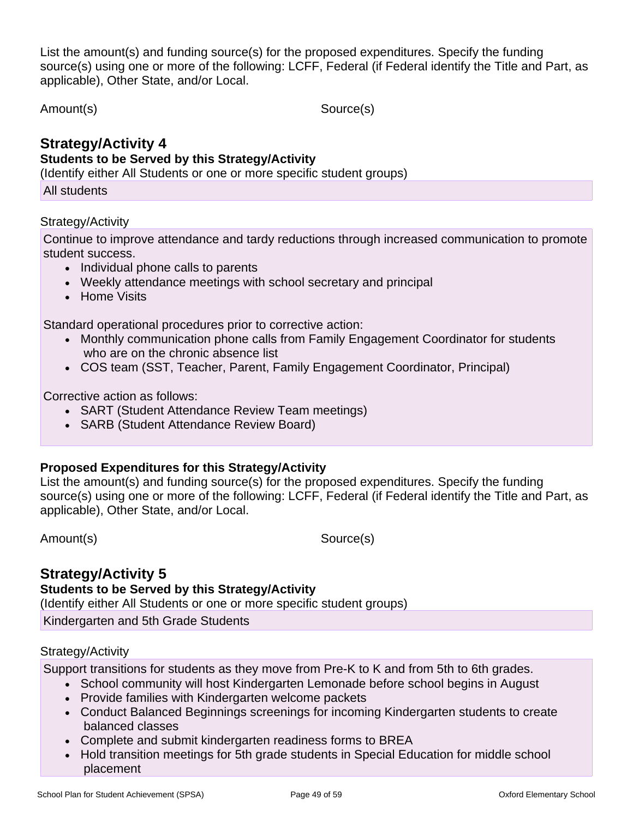List the amount(s) and funding source(s) for the proposed expenditures. Specify the funding source(s) using one or more of the following: LCFF, Federal (if Federal identify the Title and Part, as applicable), Other State, and/or Local.

Amount(s) Source(s)

## **Strategy/Activity 4**

#### **Students to be Served by this Strategy/Activity**

(Identify either All Students or one or more specific student groups)

All students

#### Strategy/Activity

Continue to improve attendance and tardy reductions through increased communication to promote student success.

- Individual phone calls to parents
	- Weekly attendance meetings with school secretary and principal
	- Home Visits

Standard operational procedures prior to corrective action:

- Monthly communication phone calls from Family Engagement Coordinator for students who are on the chronic absence list
- COS team (SST, Teacher, Parent, Family Engagement Coordinator, Principal)

Corrective action as follows:

- SART (Student Attendance Review Team meetings)
- SARB (Student Attendance Review Board)

### **Proposed Expenditures for this Strategy/Activity**

List the amount(s) and funding source(s) for the proposed expenditures. Specify the funding source(s) using one or more of the following: LCFF, Federal (if Federal identify the Title and Part, as applicable), Other State, and/or Local.

Amount(s) Source(s)

### **Strategy/Activity 5**

#### **Students to be Served by this Strategy/Activity**

(Identify either All Students or one or more specific student groups)

Kindergarten and 5th Grade Students

#### Strategy/Activity

Support transitions for students as they move from Pre-K to K and from 5th to 6th grades.

- School community will host Kindergarten Lemonade before school begins in August
- Provide families with Kindergarten welcome packets
- Conduct Balanced Beginnings screenings for incoming Kindergarten students to create balanced classes
- Complete and submit kindergarten readiness forms to BREA
- Hold transition meetings for 5th grade students in Special Education for middle school placement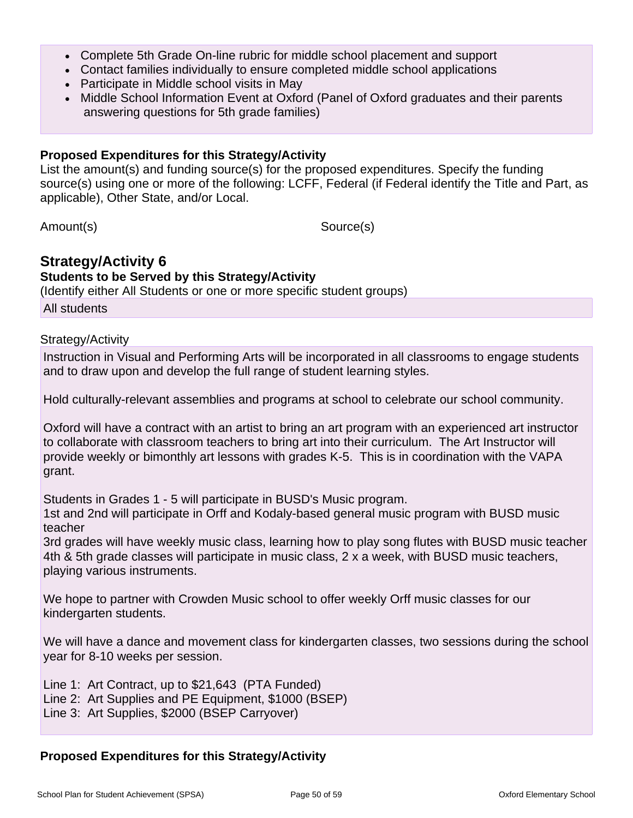- Complete 5th Grade On-line rubric for middle school placement and support
- Contact families individually to ensure completed middle school applications
- Participate in Middle school visits in May
- Middle School Information Event at Oxford (Panel of Oxford graduates and their parents answering questions for 5th grade families)

#### **Proposed Expenditures for this Strategy/Activity**

List the amount(s) and funding source(s) for the proposed expenditures. Specify the funding source(s) using one or more of the following: LCFF, Federal (if Federal identify the Title and Part, as applicable), Other State, and/or Local.

Amount(s) Source(s)

#### **Strategy/Activity 6 Students to be Served by this Strategy/Activity**

(Identify either All Students or one or more specific student groups)

All students

#### Strategy/Activity

Instruction in Visual and Performing Arts will be incorporated in all classrooms to engage students and to draw upon and develop the full range of student learning styles.

Hold culturally-relevant assemblies and programs at school to celebrate our school community.

Oxford will have a contract with an artist to bring an art program with an experienced art instructor to collaborate with classroom teachers to bring art into their curriculum. The Art Instructor will provide weekly or bimonthly art lessons with grades K-5. This is in coordination with the VAPA grant.

Students in Grades 1 - 5 will participate in BUSD's Music program.

1st and 2nd will participate in Orff and Kodaly-based general music program with BUSD music teacher

3rd grades will have weekly music class, learning how to play song flutes with BUSD music teacher 4th & 5th grade classes will participate in music class, 2 x a week, with BUSD music teachers, playing various instruments.

We hope to partner with Crowden Music school to offer weekly Orff music classes for our kindergarten students.

We will have a dance and movement class for kindergarten classes, two sessions during the school year for 8-10 weeks per session.

Line 1: Art Contract, up to \$21,643 (PTA Funded) Line 2: Art Supplies and PE Equipment, \$1000 (BSEP) Line 3: Art Supplies, \$2000 (BSEP Carryover)

#### **Proposed Expenditures for this Strategy/Activity**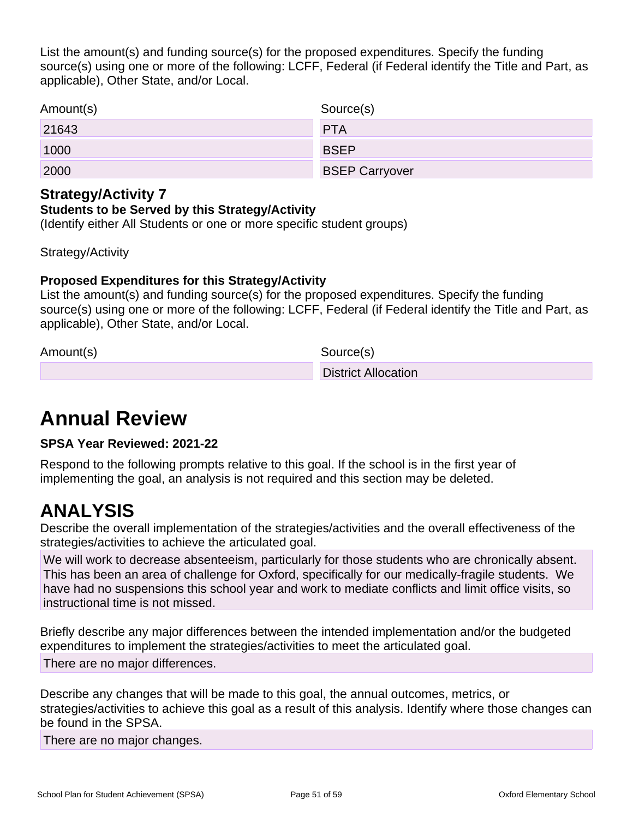List the amount(s) and funding source(s) for the proposed expenditures. Specify the funding source(s) using one or more of the following: LCFF, Federal (if Federal identify the Title and Part, as applicable), Other State, and/or Local.

| Amount(s) | Source(s)             |
|-----------|-----------------------|
| 21643     | <b>PTA</b>            |
| 1000      | <b>BSEP</b>           |
| 2000      | <b>BSEP Carryover</b> |

### **Strategy/Activity 7**

#### **Students to be Served by this Strategy/Activity**

(Identify either All Students or one or more specific student groups)

Strategy/Activity

#### **Proposed Expenditures for this Strategy/Activity**

List the amount(s) and funding source(s) for the proposed expenditures. Specify the funding source(s) using one or more of the following: LCFF, Federal (if Federal identify the Title and Part, as applicable), Other State, and/or Local.

Amount(s) Source(s)

District Allocation

## **Annual Review**

**SPSA Year Reviewed: 2021-22**

Respond to the following prompts relative to this goal. If the school is in the first year of implementing the goal, an analysis is not required and this section may be deleted.

## **ANALYSIS**

Describe the overall implementation of the strategies/activities and the overall effectiveness of the strategies/activities to achieve the articulated goal.

We will work to decrease absenteeism, particularly for those students who are chronically absent. This has been an area of challenge for Oxford, specifically for our medically-fragile students. We have had no suspensions this school year and work to mediate conflicts and limit office visits, so instructional time is not missed.

Briefly describe any major differences between the intended implementation and/or the budgeted expenditures to implement the strategies/activities to meet the articulated goal.

There are no major differences.

Describe any changes that will be made to this goal, the annual outcomes, metrics, or strategies/activities to achieve this goal as a result of this analysis. Identify where those changes can be found in the SPSA.

There are no major changes.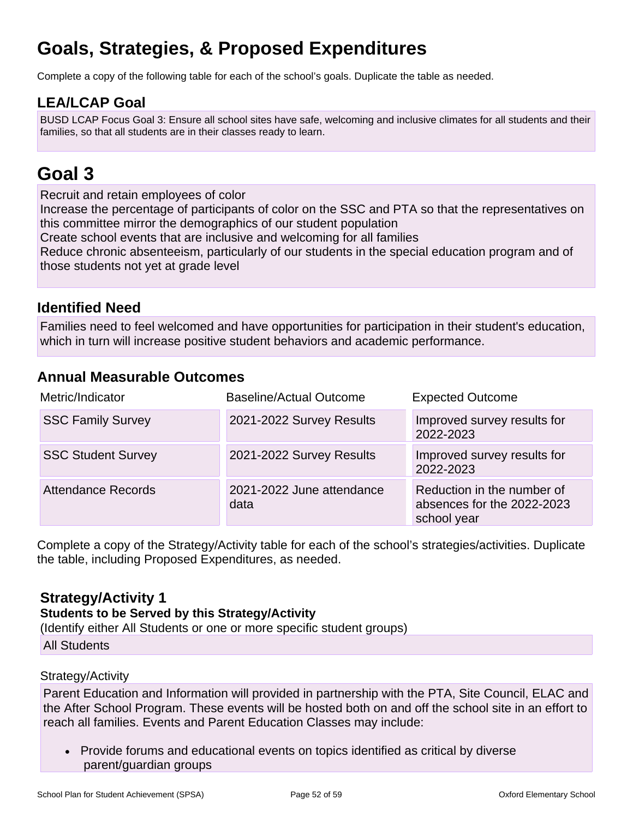## **Goals, Strategies, & Proposed Expenditures**

Complete a copy of the following table for each of the school's goals. Duplicate the table as needed.

### **LEA/LCAP Goal**

BUSD LCAP Focus Goal 3: Ensure all school sites have safe, welcoming and inclusive climates for all students and their families, so that all students are in their classes ready to learn.

## **Goal 3**

Recruit and retain employees of color

Increase the percentage of participants of color on the SSC and PTA so that the representatives on this committee mirror the demographics of our student population

Create school events that are inclusive and welcoming for all families

Reduce chronic absenteeism, particularly of our students in the special education program and of those students not yet at grade level

### **Identified Need**

Families need to feel welcomed and have opportunities for participation in their student's education, which in turn will increase positive student behaviors and academic performance.

### **Annual Measurable Outcomes**

| Metric/Indicator          | <b>Baseline/Actual Outcome</b>    | <b>Expected Outcome</b>                                                 |
|---------------------------|-----------------------------------|-------------------------------------------------------------------------|
| <b>SSC Family Survey</b>  | 2021-2022 Survey Results          | Improved survey results for<br>2022-2023                                |
| <b>SSC Student Survey</b> | 2021-2022 Survey Results          | Improved survey results for<br>2022-2023                                |
| <b>Attendance Records</b> | 2021-2022 June attendance<br>data | Reduction in the number of<br>absences for the 2022-2023<br>school year |

Complete a copy of the Strategy/Activity table for each of the school's strategies/activities. Duplicate the table, including Proposed Expenditures, as needed.

### **Strategy/Activity 1**

#### **Students to be Served by this Strategy/Activity**

(Identify either All Students or one or more specific student groups)

All Students

#### Strategy/Activity

Parent Education and Information will provided in partnership with the PTA, Site Council, ELAC and the After School Program. These events will be hosted both on and off the school site in an effort to reach all families. Events and Parent Education Classes may include:

• Provide forums and educational events on topics identified as critical by diverse parent/guardian groups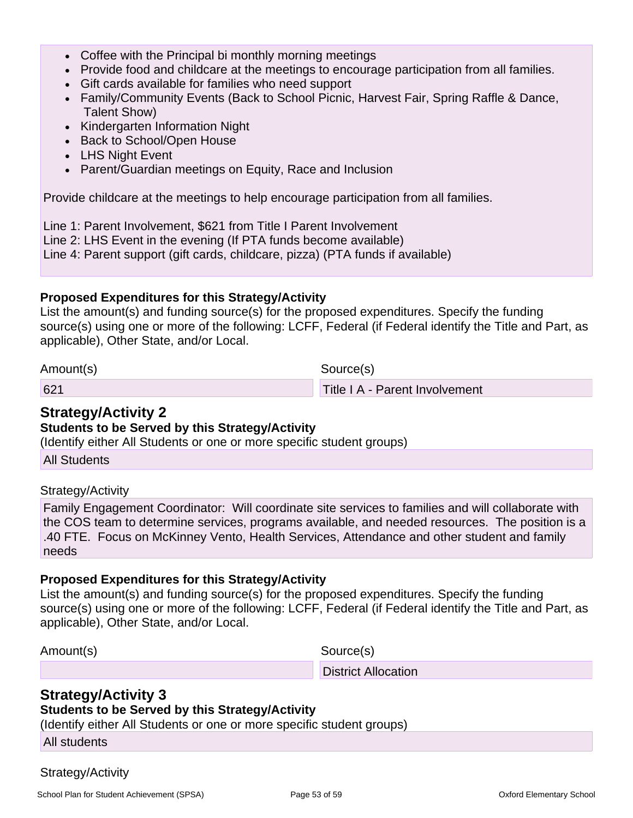- Coffee with the Principal bi monthly morning meetings
- Provide food and childcare at the meetings to encourage participation from all families.
- Gift cards available for families who need support
- Family/Community Events (Back to School Picnic, Harvest Fair, Spring Raffle & Dance, Talent Show)
- Kindergarten Information Night
- Back to School/Open House
- LHS Night Event
- Parent/Guardian meetings on Equity, Race and Inclusion

Provide childcare at the meetings to help encourage participation from all families.

Line 1: Parent Involvement, \$621 from Title I Parent Involvement Line 2: LHS Event in the evening (If PTA funds become available) Line 4: Parent support (gift cards, childcare, pizza) (PTA funds if available)

#### **Proposed Expenditures for this Strategy/Activity**

List the amount(s) and funding source(s) for the proposed expenditures. Specify the funding source(s) using one or more of the following: LCFF, Federal (if Federal identify the Title and Part, as applicable), Other State, and/or Local.

Amount(s) Source(s)

621 Title I A - Parent Involvement

### **Strategy/Activity 2**

#### **Students to be Served by this Strategy/Activity**

(Identify either All Students or one or more specific student groups)

All Students

Strategy/Activity

Family Engagement Coordinator: Will coordinate site services to families and will collaborate with the COS team to determine services, programs available, and needed resources. The position is a .40 FTE. Focus on McKinney Vento, Health Services, Attendance and other student and family needs

#### **Proposed Expenditures for this Strategy/Activity**

List the amount(s) and funding source(s) for the proposed expenditures. Specify the funding source(s) using one or more of the following: LCFF, Federal (if Federal identify the Title and Part, as applicable), Other State, and/or Local.

Amount(s) Source(s)

District Allocation

### **Strategy/Activity 3**

**Students to be Served by this Strategy/Activity**

(Identify either All Students or one or more specific student groups)

All students

#### Strategy/Activity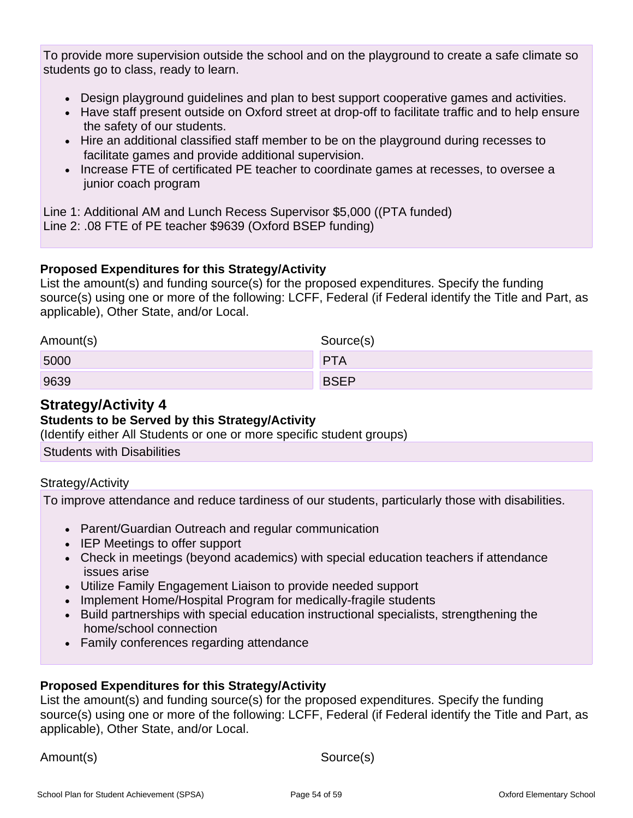To provide more supervision outside the school and on the playground to create a safe climate so students go to class, ready to learn.

- Design playground guidelines and plan to best support cooperative games and activities.
- Have staff present outside on Oxford street at drop-off to facilitate traffic and to help ensure the safety of our students.
- Hire an additional classified staff member to be on the playground during recesses to facilitate games and provide additional supervision.
- Increase FTE of certificated PE teacher to coordinate games at recesses, to oversee a junior coach program

Line 1: Additional AM and Lunch Recess Supervisor \$5,000 ((PTA funded) Line 2: .08 FTE of PE teacher \$9639 (Oxford BSEP funding)

#### **Proposed Expenditures for this Strategy/Activity**

List the amount(s) and funding source(s) for the proposed expenditures. Specify the funding source(s) using one or more of the following: LCFF, Federal (if Federal identify the Title and Part, as applicable), Other State, and/or Local.

| Amount(s) | Source(s)   |
|-----------|-------------|
| 5000      | <b>PTA</b>  |
| 9639      | <b>BSEP</b> |

### **Strategy/Activity 4**

#### **Students to be Served by this Strategy/Activity**

(Identify either All Students or one or more specific student groups)

Students with Disabilities

#### Strategy/Activity

To improve attendance and reduce tardiness of our students, particularly those with disabilities.

- Parent/Guardian Outreach and regular communication
- IEP Meetings to offer support
- Check in meetings (beyond academics) with special education teachers if attendance issues arise
- Utilize Family Engagement Liaison to provide needed support
- Implement Home/Hospital Program for medically-fragile students
- Build partnerships with special education instructional specialists, strengthening the home/school connection
- Family conferences regarding attendance

#### **Proposed Expenditures for this Strategy/Activity**

List the amount(s) and funding source(s) for the proposed expenditures. Specify the funding source(s) using one or more of the following: LCFF, Federal (if Federal identify the Title and Part, as applicable), Other State, and/or Local.

Amount(s) Source(s)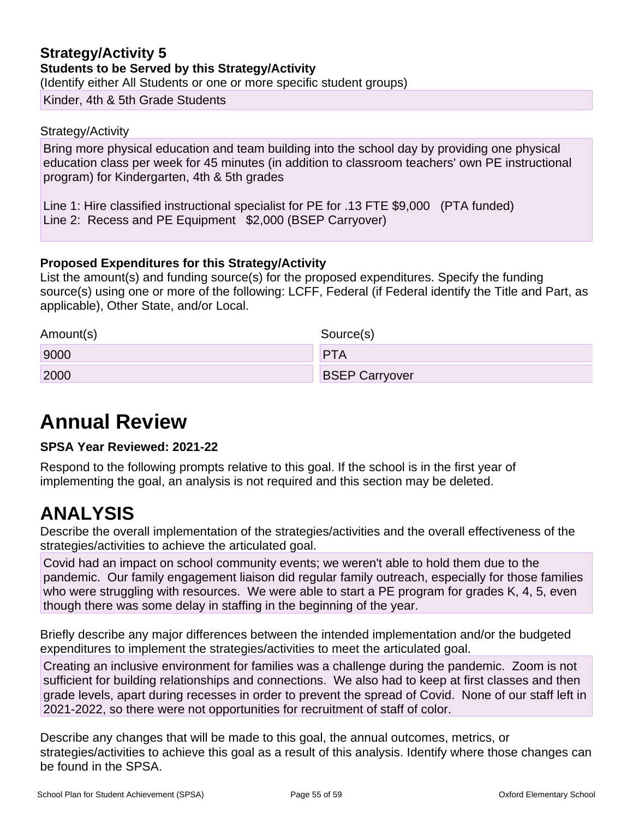#### **Strategy/Activity 5 Students to be Served by this Strategy/Activity** (Identify either All Students or one or more specific student groups)

Kinder, 4th & 5th Grade Students

#### Strategy/Activity

Bring more physical education and team building into the school day by providing one physical education class per week for 45 minutes (in addition to classroom teachers' own PE instructional program) for Kindergarten, 4th & 5th grades

Line 1: Hire classified instructional specialist for PE for .13 FTE \$9,000 (PTA funded) Line 2: Recess and PE Equipment \$2,000 (BSEP Carryover)

#### **Proposed Expenditures for this Strategy/Activity**

List the amount(s) and funding source(s) for the proposed expenditures. Specify the funding source(s) using one or more of the following: LCFF, Federal (if Federal identify the Title and Part, as applicable), Other State, and/or Local.

| Amount(s) | Source(s)             |
|-----------|-----------------------|
| 9000      | <b>PTA</b>            |
| 2000      | <b>BSEP Carryover</b> |

## **Annual Review**

#### **SPSA Year Reviewed: 2021-22**

Respond to the following prompts relative to this goal. If the school is in the first year of implementing the goal, an analysis is not required and this section may be deleted.

## **ANALYSIS**

Describe the overall implementation of the strategies/activities and the overall effectiveness of the strategies/activities to achieve the articulated goal.

Covid had an impact on school community events; we weren't able to hold them due to the pandemic. Our family engagement liaison did regular family outreach, especially for those families who were struggling with resources. We were able to start a PE program for grades K, 4, 5, even though there was some delay in staffing in the beginning of the year.

Briefly describe any major differences between the intended implementation and/or the budgeted expenditures to implement the strategies/activities to meet the articulated goal.

Creating an inclusive environment for families was a challenge during the pandemic. Zoom is not sufficient for building relationships and connections. We also had to keep at first classes and then grade levels, apart during recesses in order to prevent the spread of Covid. None of our staff left in 2021-2022, so there were not opportunities for recruitment of staff of color.

Describe any changes that will be made to this goal, the annual outcomes, metrics, or strategies/activities to achieve this goal as a result of this analysis. Identify where those changes can be found in the SPSA.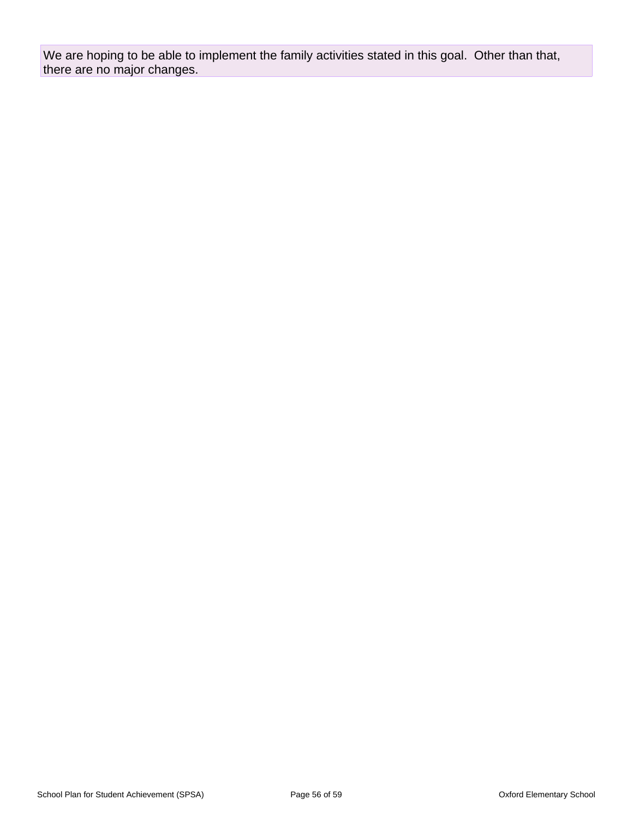We are hoping to be able to implement the family activities stated in this goal. Other than that, there are no major changes.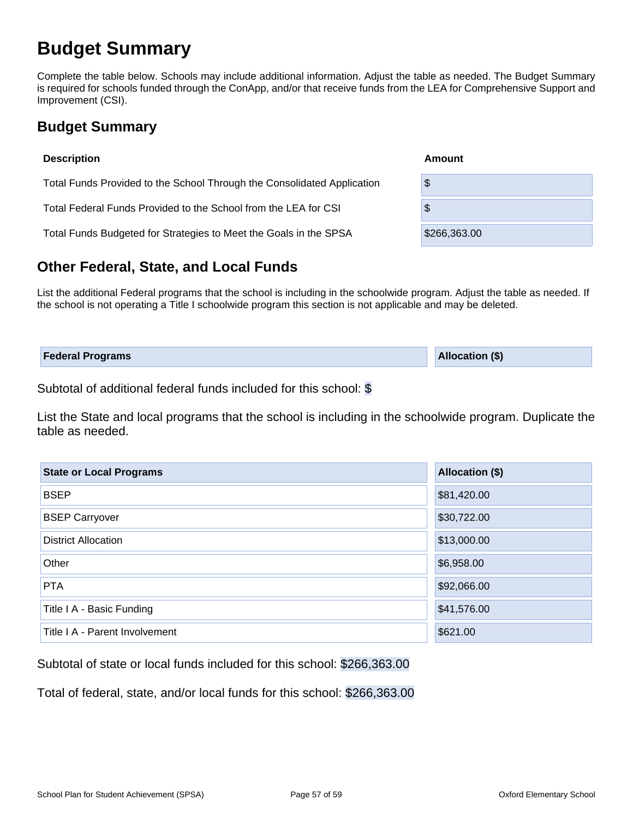## **Budget Summary**

Complete the table below. Schools may include additional information. Adjust the table as needed. The Budget Summary is required for schools funded through the ConApp, and/or that receive funds from the LEA for Comprehensive Support and Improvement (CSI).

## **Budget Summary**

| <b>Description</b>                                                      | Amount       |  |  |  |  |  |
|-------------------------------------------------------------------------|--------------|--|--|--|--|--|
| Total Funds Provided to the School Through the Consolidated Application | \$           |  |  |  |  |  |
| Total Federal Funds Provided to the School from the LEA for CSI         | \$           |  |  |  |  |  |
| Total Funds Budgeted for Strategies to Meet the Goals in the SPSA       | \$266,363.00 |  |  |  |  |  |

## **Other Federal, State, and Local Funds**

List the additional Federal programs that the school is including in the schoolwide program. Adjust the table as needed. If the school is not operating a Title I schoolwide program this section is not applicable and may be deleted.

| <b>Federal Programs</b> | <b>Allocation (\$)</b> |
|-------------------------|------------------------|
|                         |                        |

Subtotal of additional federal funds included for this school: \$

List the State and local programs that the school is including in the schoolwide program. Duplicate the table as needed.

| <b>State or Local Programs</b> | Allocation (\$) |  |  |  |  |
|--------------------------------|-----------------|--|--|--|--|
| <b>BSEP</b>                    | \$81,420.00     |  |  |  |  |
| <b>BSEP Carryover</b>          | \$30,722.00     |  |  |  |  |
| <b>District Allocation</b>     | \$13,000.00     |  |  |  |  |
| Other                          | \$6,958.00      |  |  |  |  |
| <b>PTA</b>                     | \$92,066.00     |  |  |  |  |
| Title I A - Basic Funding      | \$41,576.00     |  |  |  |  |
| Title I A - Parent Involvement | \$621.00        |  |  |  |  |

Subtotal of state or local funds included for this school: \$266,363.00

Total of federal, state, and/or local funds for this school: \$266,363.00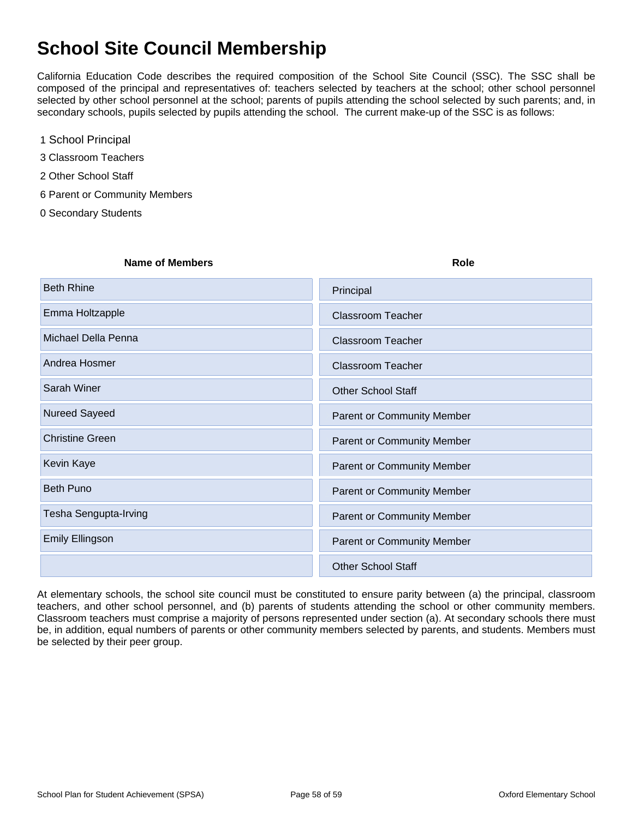## **School Site Council Membership**

California Education Code describes the required composition of the School Site Council (SSC). The SSC shall be composed of the principal and representatives of: teachers selected by teachers at the school; other school personnel selected by other school personnel at the school; parents of pupils attending the school selected by such parents; and, in secondary schools, pupils selected by pupils attending the school. The current make-up of the SSC is as follows:

- 1 School Principal
- 3 Classroom Teachers
- 2 Other School Staff
- 6 Parent or Community Members
- 0 Secondary Students

| <b>Beth Rhine</b><br>Principal<br>Emma Holtzapple<br><b>Classroom Teacher</b><br>Michael Della Penna<br>Classroom Teacher<br>Andrea Hosmer<br><b>Classroom Teacher</b> | <b>Name of Members</b> | <b>Role</b>               |
|------------------------------------------------------------------------------------------------------------------------------------------------------------------------|------------------------|---------------------------|
|                                                                                                                                                                        |                        |                           |
|                                                                                                                                                                        |                        |                           |
|                                                                                                                                                                        |                        |                           |
|                                                                                                                                                                        |                        |                           |
|                                                                                                                                                                        | Sarah Winer            | <b>Other School Staff</b> |
| Nureed Sayeed<br><b>Parent or Community Member</b>                                                                                                                     |                        |                           |
| <b>Christine Green</b><br>Parent or Community Member                                                                                                                   |                        |                           |
| Kevin Kaye<br><b>Parent or Community Member</b>                                                                                                                        |                        |                           |
| <b>Beth Puno</b><br><b>Parent or Community Member</b>                                                                                                                  |                        |                           |
| Tesha Sengupta-Irving<br>Parent or Community Member                                                                                                                    |                        |                           |
| <b>Emily Ellingson</b><br>Parent or Community Member                                                                                                                   |                        |                           |
| <b>Other School Staff</b>                                                                                                                                              |                        |                           |

At elementary schools, the school site council must be constituted to ensure parity between (a) the principal, classroom teachers, and other school personnel, and (b) parents of students attending the school or other community members. Classroom teachers must comprise a majority of persons represented under section (a). At secondary schools there must be, in addition, equal numbers of parents or other community members selected by parents, and students. Members must be selected by their peer group.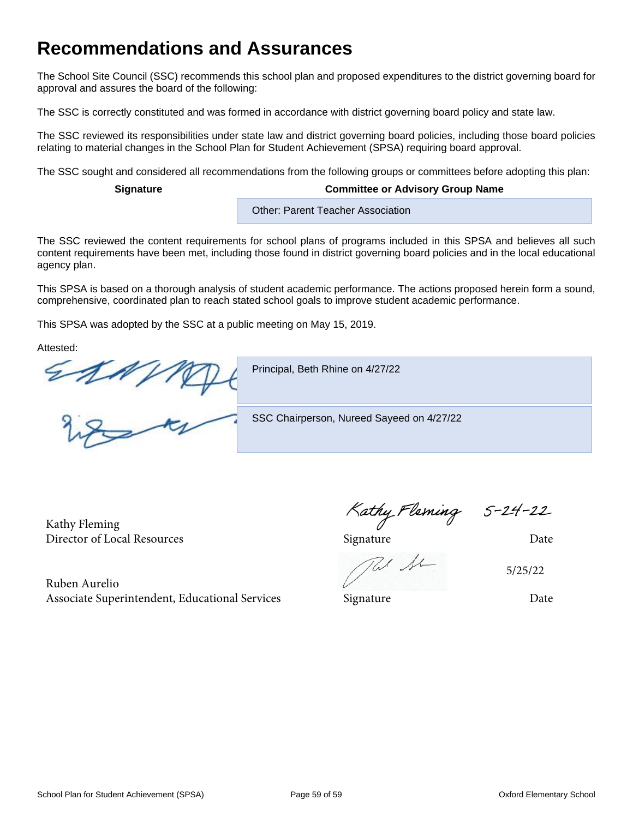## **Recommendations and Assurances**

The School Site Council (SSC) recommends this school plan and proposed expenditures to the district governing board for approval and assures the board of the following:

The SSC is correctly constituted and was formed in accordance with district governing board policy and state law.

The SSC reviewed its responsibilities under state law and district governing board policies, including those board policies relating to material changes in the School Plan for Student Achievement (SPSA) requiring board approval.

The SSC sought and considered all recommendations from the following groups or committees before adopting this plan:

#### **Signature Committee or Advisory Group Name**

Other: Parent Teacher Association

The SSC reviewed the content requirements for school plans of programs included in this SPSA and believes all such content requirements have been met, including those found in district governing board policies and in the local educational agency plan.

This SPSA is based on a thorough analysis of student academic performance. The actions proposed herein form a sound, comprehensive, coordinated plan to reach stated school goals to improve student academic performance.

This SPSA was adopted by the SSC at a public meeting on May 15, 2019.

Attested:

 $\frac{2\pi N}{N}$ 

Principal, Beth Rhine on 4/27/22

SSC Chairperson, Nureed Sayeed on 4/27/22

Kathy Fleming Kathy Fleming S-24-22<br>Director of Local Resources Signature Director of Local Resources

5/25/22

Ruben Aurelio Associate Superintendent, Educational Services Signature Signature Date